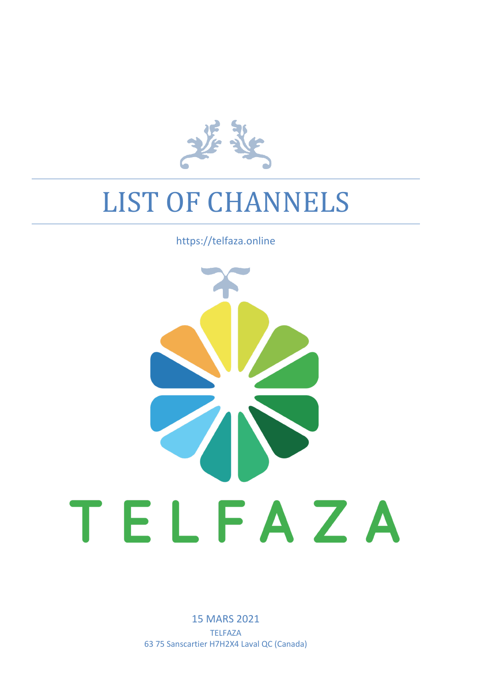

## LIST OF CHANNELS

## https://telfaza.online



15 MARS 2021 TELFAZA 63 75 Sanscartier H7H2X4 Laval QC (Canada)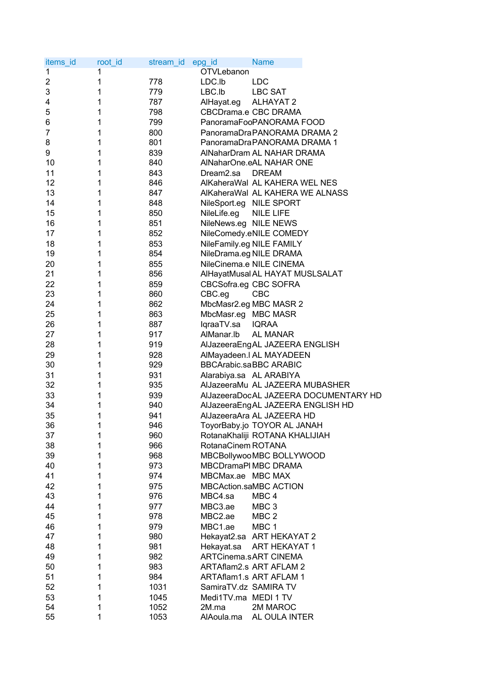| items_id       | root_id | stream_id | <b>Name</b><br>epg_id                 |
|----------------|---------|-----------|---------------------------------------|
| $\overline{1}$ | 1       |           | OTVLebanon                            |
| 2              | 1       | 778       | LDC.Ib<br><b>LDC</b>                  |
| 3              | 1       | 779       | LBC.Ib<br><b>LBC SAT</b>              |
| 4              | 1       | 787       | <b>ALHAYAT 2</b><br>AlHayat.eg        |
| 5              | 1       | 798       | CBCDrama.e CBC DRAMA                  |
| 6              | 1       | 799       | PanoramaFooPANORAMA FOOD              |
| 7              | 1       | 800       | PanoramaDraPANORAMA DRAMA 2           |
| 8              | 1       | 801       | PanoramaDraPANORAMA DRAMA 1           |
| 9              | 1       | 839       | AlNaharDram AL NAHAR DRAMA            |
| 10             | 1       | 840       | AlNaharOne.eAL NAHAR ONE              |
| 11             | 1       | 843       | Dream2.sa<br><b>DREAM</b>             |
| 12             | 1       | 846       | AlKaheraWal AL KAHERA WEL NES         |
| 13             | 1       | 847       | AlKaheraWal AL KAHERA WE ALNASS       |
| 14             | 1       | 848       | NileSport.eg NILE SPORT               |
| 15             | 1       | 850       | NileLife.eg<br><b>NILE LIFE</b>       |
| 16             | 1       | 851       | NileNews.eg NILE NEWS                 |
| 17             | 1       | 852       | NileComedy.eNILE COMEDY               |
| 18             | 1       | 853       | NileFamily.eg NILE FAMILY             |
| 19             | 1       | 854       | NileDrama.eg NILE DRAMA               |
| 20             | 1       | 855       | NileCinema.e NILE CINEMA              |
| 21             | 1       | 856       | AlHayatMusal AL HAYAT MUSLSALAT       |
| 22             | 1       | 859       | CBCSofra.eg CBC SOFRA                 |
| 23             | 1       | 860       | CBC.eg<br><b>CBC</b>                  |
| 24             | 1       | 862       | MbcMasr2.eg MBC MASR 2                |
| 25             | 1       | 863       | MbcMasr.eg MBC MASR                   |
| 26             | 1       | 887       | lqraaTV.sa<br><b>IQRAA</b>            |
| 27             | 1       | 917       | AlManar.lb<br><b>AL MANAR</b>         |
| 28             | 1       | 919       |                                       |
| 29             | 1       | 928       | AlJazeeraEngAL JAZEERA ENGLISH        |
| 30             |         |           | AlMayadeen.I AL MAYADEEN              |
|                | 1       | 929       | <b>BBCArabic.saBBC ARABIC</b>         |
| 31             | 1       | 931       | Alarabiya.sa AL ARABIYA               |
| 32             | 1       | 935       | AlJazeeraMu AL JAZEERA MUBASHER       |
| 33             | 1       | 939       | AlJazeeraDocAL JAZEERA DOCUMENTARY HD |
| 34             | 1       | 940       | AlJazeeraEngAL JAZEERA ENGLISH HD     |
| 35             | 1       | 941       | AlJazeeraAra AL JAZEERA HD            |
| 36             | 1       | 946       | ToyorBaby.jo TOYOR AL JANAH           |
| 37             | 1       | 960       | RotanaKhaliji ROTANA KHALIJIAH        |
| 38             | 1       | 966       | RotanaCinem ROTANA                    |
| 39             | 1       | 968       | MBCBollywooMBC BOLLYWOOD              |
| 40             | 1       | 973       | MBCDramaPI MBC DRAMA                  |
| 41             | 1       | 974       | MBCMax.ae MBC MAX                     |
| 42             | 1       | 975       | MBCAction.saMBC ACTION                |
| 43             | 1       | 976       | MBC4.sa<br>MBC <sub>4</sub>           |
| 44             | 1       | 977       | MBC3.ae<br>MBC <sub>3</sub>           |
| 45             | 1       | 978       | MBC2.ae<br>MBC <sub>2</sub>           |
| 46             | 1       | 979       | MBC1.ae<br>MBC <sub>1</sub>           |
| 47             | 1       | 980       | Hekayat2.sa ART HEKAYAT 2             |
| 48             | 1       | 981       | Hekayat.sa<br>ART HEKAYAT 1           |
| 49             | 1       | 982       | <b>ARTCinema.sART CINEMA</b>          |
| 50             | 1       | 983       | ARTAflam2.s ART AFLAM 2               |
| 51             | 1       | 984       | ARTAflam1.s ART AFLAM 1               |
| 52             | 1       | 1031      | SamiraTV.dz SAMIRA TV                 |
| 53             | 1       | 1045      | Medi1TV.ma MEDI 1 TV                  |
| 54             | 1       | 1052      | 2M MAROC<br>2M.ma                     |
| 55             | 1       | 1053      | AlAoula.ma<br>AL OULA INTER           |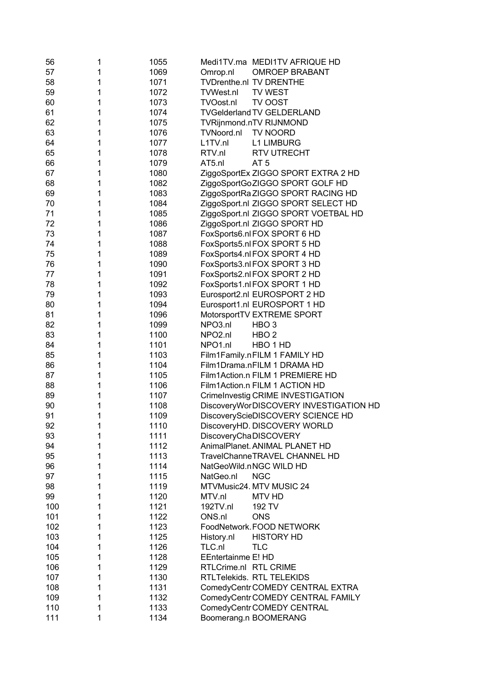| 56  | 1 | 1055 | Medi1TV.ma MEDI1TV AFRIQUE HD           |
|-----|---|------|-----------------------------------------|
| 57  | 1 | 1069 | <b>OMROEP BRABANT</b><br>Omrop.nl       |
| 58  | 1 | 1071 | <b>TVDrenthe.nl TV DRENTHE</b>          |
| 59  | 1 | 1072 | <b>TVWest.nl</b><br><b>TV WEST</b>      |
| 60  | 1 | 1073 | TVOost.nl<br>TV OOST                    |
| 61  | 1 | 1074 | <b>TVGelderland TV GELDERLAND</b>       |
| 62  | 1 | 1075 | <b>TVRijnmond.nTV RIJNMOND</b>          |
| 63  | 1 | 1076 | TVNoord.nl<br><b>TV NOORD</b>           |
| 64  | 1 | 1077 | L1TV.nl<br><b>L1 LIMBURG</b>            |
| 65  | 1 | 1078 | RTV.nl<br><b>RTV UTRECHT</b>            |
| 66  | 1 | 1079 | AT5.nl<br>AT <sub>5</sub>               |
| 67  | 1 | 1080 | ZiggoSportEx ZIGGO SPORT EXTRA 2 HD     |
| 68  | 1 | 1082 | ZiggoSportGoZIGGO SPORT GOLF HD         |
| 69  | 1 | 1083 | ZiggoSportRa ZIGGO SPORT RACING HD      |
| 70  | 1 | 1084 | ZiggoSport.nl ZIGGO SPORT SELECT HD     |
| 71  | 1 | 1085 | ZiggoSport.nl ZIGGO SPORT VOETBAL HD    |
| 72  | 1 | 1086 | ZiggoSport.nl ZIGGO SPORT HD            |
| 73  | 1 | 1087 | FoxSports6.nl FOX SPORT 6 HD            |
| 74  | 1 | 1088 | FoxSports5.nl FOX SPORT 5 HD            |
| 75  | 1 | 1089 | FoxSports4.nlFOX SPORT 4 HD             |
| 76  | 1 | 1090 | FoxSports3.nlFOX SPORT 3 HD             |
| 77  | 1 | 1091 | FoxSports2.nl FOX SPORT 2 HD            |
| 78  | 1 | 1092 | FoxSports1.nlFOX SPORT 1 HD             |
| 79  | 1 | 1093 | Eurosport2.nl EUROSPORT 2 HD            |
| 80  | 1 | 1094 | Eurosport1.nl EUROSPORT 1 HD            |
| 81  | 1 | 1096 | MotorsportTV EXTREME SPORT              |
| 82  | 1 | 1099 | NPO3.nl<br>HBO <sub>3</sub>             |
| 83  | 1 | 1100 | NPO <sub>2.nl</sub><br>HBO <sub>2</sub> |
| 84  | 1 | 1101 | NPO1.nl<br>HBO 1 HD                     |
| 85  | 1 | 1103 | Film1Family.nFILM 1 FAMILY HD           |
| 86  | 1 | 1104 | Film1Drama.nFILM 1 DRAMA HD             |
| 87  | 1 | 1105 | Film1Action.n FILM 1 PREMIERE HD        |
| 88  | 1 | 1106 | Film1Action.n FILM 1 ACTION HD          |
| 89  | 1 | 1107 | CrimeInvestig CRIME INVESTIGATION       |
| 90  | 1 | 1108 | DiscoveryWorDISCOVERY INVESTIGATION HD  |
| 91  | 1 | 1109 | DiscoveryScieDISCOVERY SCIENCE HD       |
| 92  |   | 1110 | DiscoveryHD. DISCOVERY WORLD            |
| 93  | 1 | 1111 | DiscoveryChaDISCOVERY                   |
| 94  | 1 | 1112 | AnimalPlanet. ANIMAL PLANET HD          |
| 95  | 1 | 1113 | TravelChanneTRAVEL CHANNEL HD           |
| 96  | 1 | 1114 | NatGeoWild.nNGC WILD HD                 |
| 97  | 1 | 1115 | NatGeo.nl<br><b>NGC</b>                 |
| 98  | 1 | 1119 | MTVMusic24. MTV MUSIC 24                |
| 99  | 1 | 1120 | MTV.nl<br><b>MTV HD</b>                 |
| 100 | 1 | 1121 | 192TV.nl<br>192 TV                      |
| 101 | 1 | 1122 | ONS.nl<br><b>ONS</b>                    |
| 102 | 1 | 1123 | FoodNetwork. FOOD NETWORK               |
| 103 | 1 | 1125 | <b>HISTORY HD</b><br>History.nl         |
| 104 | 1 | 1126 | TLC.nl<br><b>TLC</b>                    |
| 105 | 1 | 1128 | <b>EEntertainme E! HD</b>               |
| 106 | 1 | 1129 | RTLCrime.nl RTL CRIME                   |
| 107 | 1 | 1130 | RTLTelekids. RTL TELEKIDS               |
| 108 | 1 | 1131 | ComedyCentrCOMEDY CENTRAL EXTRA         |
| 109 | 1 | 1132 | ComedyCentr COMEDY CENTRAL FAMILY       |
| 110 | 1 | 1133 | ComedyCentr COMEDY CENTRAL              |
| 111 | 1 | 1134 | Boomerang.n BOOMERANG                   |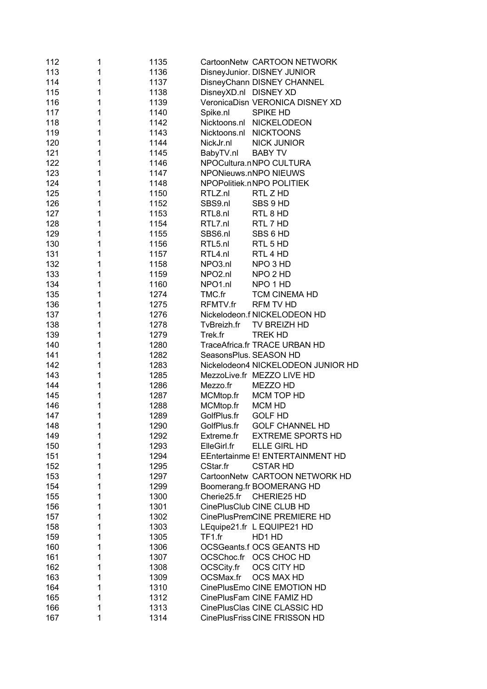| 112 | 1 | 1135 | CartoonNetw CARTOON NETWORK            |
|-----|---|------|----------------------------------------|
| 113 | 1 | 1136 | DisneyJunior. DISNEY JUNIOR            |
| 114 | 1 | 1137 | DisneyChann DISNEY CHANNEL             |
| 115 | 1 | 1138 | DisneyXD.nl DISNEY XD                  |
| 116 | 1 | 1139 | VeronicaDisn VERONICA DISNEY XD        |
| 117 | 1 | 1140 | SPIKE HD<br>Spike.nl                   |
| 118 | 1 | 1142 | Nicktoons.nl<br>NICKELODEON            |
| 119 | 1 | 1143 | <b>NICKTOONS</b><br>Nicktoons.nl       |
| 120 | 1 | 1144 | NickJr.nl<br><b>NICK JUNIOR</b>        |
| 121 | 1 | 1145 | BabyTV.nl<br><b>BABY TV</b>            |
| 122 | 1 | 1146 | NPOCultura.nNPO CULTURA                |
| 123 | 1 | 1147 | NPONieuws.nNPO NIEUWS                  |
|     |   |      |                                        |
| 124 | 1 | 1148 | NPOPolitiek.nNPO POLITIEK<br>RTL Z HD  |
| 125 | 1 | 1150 | RTLZ.nl                                |
| 126 | 1 | 1152 | SBS9.nl<br>SBS 9 HD                    |
| 127 | 1 | 1153 | RTL8.nl<br>RTL 8 HD                    |
| 128 | 1 | 1154 | RTL7.nl<br>RTL 7 HD                    |
| 129 | 1 | 1155 | SBS6.nl<br>SBS 6 HD                    |
| 130 | 1 | 1156 | RTL5.nl<br>RTL 5 HD                    |
| 131 | 1 | 1157 | RTL4.nl<br>RTL 4 HD                    |
| 132 | 1 | 1158 | NPO3.nl<br>NPO 3 HD                    |
| 133 | 1 | 1159 | NPO <sub>2.nl</sub><br>NPO 2 HD        |
| 134 | 1 | 1160 | NPO1.nl<br>NPO 1 HD                    |
| 135 | 1 | 1274 | TMC.fr<br><b>TCM CINEMA HD</b>         |
| 136 | 1 | 1275 | RFMTV.fr<br><b>RFM TV HD</b>           |
| 137 | 1 | 1276 | Nickelodeon.f NICKELODEON HD           |
| 138 | 1 | 1278 | TvBreizh.fr<br>TV BREIZH HD            |
| 139 | 1 | 1279 | <b>TREK HD</b><br>Trek.fr              |
| 140 | 1 | 1280 | TraceAfrica.fr TRACE URBAN HD          |
| 141 | 1 | 1282 | SeasonsPlus. SEASON HD                 |
| 142 | 1 | 1283 | Nickelodeon4 NICKELODEON JUNIOR HD     |
| 143 | 1 | 1285 | MezzoLive.fr MEZZO LIVE HD             |
| 144 | 1 | 1286 | MEZZO HD<br>Mezzo.fr                   |
| 145 | 1 | 1287 | MCM TOP HD<br>MCMtop.fr                |
| 146 | 1 | 1288 | MCMtop.fr<br><b>MCM HD</b>             |
| 147 | 1 | 1289 | GolfPlus.fr<br><b>GOLF HD</b>          |
| 148 | 1 | 1290 | GolfPlus.fr<br><b>GOLF CHANNEL HD</b>  |
| 149 | 1 | 1292 | <b>EXTREME SPORTS HD</b><br>Extreme.fr |
| 150 | 1 | 1293 | ElleGirl.fr<br>ELLE GIRL HD            |
| 151 | 1 | 1294 | EEntertainme E! ENTERTAINMENT HD       |
| 152 | 1 | 1295 | CStar.fr<br><b>CSTAR HD</b>            |
| 153 | 1 | 1297 | CartoonNetw CARTOON NETWORK HD         |
| 154 |   |      |                                        |
|     | 1 | 1299 | Boomerang.fr BOOMERANG HD              |
| 155 | 1 | 1300 | CHERIE25 HD<br>Cherie25.fr             |
| 156 | 1 | 1301 | CinePlusClub CINE CLUB HD              |
| 157 | 1 | 1302 | CinePlusPremCINE PREMIERE HD           |
| 158 | 1 | 1303 | LEquipe21.fr L EQUIPE21 HD             |
| 159 | 1 | 1305 | TF1.fr<br>HD1 HD                       |
| 160 | 1 | 1306 | <b>OCSGeants.f OCS GEANTS HD</b>       |
| 161 | 1 | 1307 | OCSChoc.fr OCS CHOC HD                 |
| 162 | 1 | 1308 | OCS CITY HD<br>OCSCity.fr              |
| 163 | 1 | 1309 | OCSMax.fr<br><b>OCS MAX HD</b>         |
| 164 | 1 | 1310 | CinePlusEmo CINE EMOTION HD            |
| 165 | 1 | 1312 | CinePlusFam CINE FAMIZ HD              |
| 166 | 1 | 1313 | CinePlusClas CINE CLASSIC HD           |
| 167 | 1 | 1314 | CinePlusFriss CINE FRISSON HD          |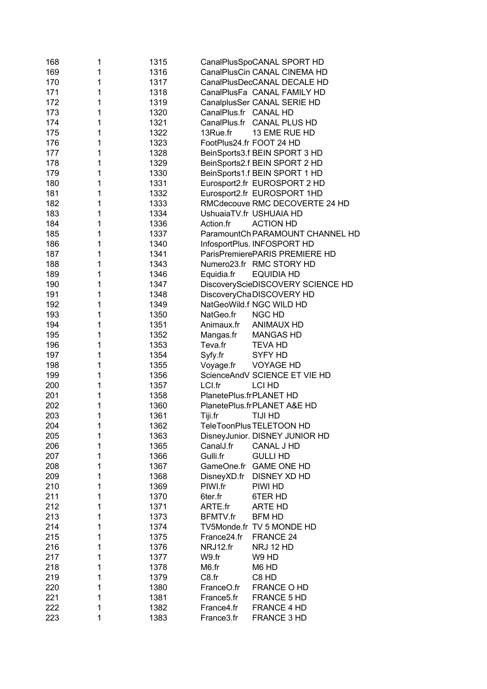| 168 | 1 | 1315 |                         | CanalPlusSpoCANAL SPORT HD        |
|-----|---|------|-------------------------|-----------------------------------|
| 169 | 1 | 1316 |                         | CanalPlusCin CANAL CINEMA HD      |
| 170 | 1 | 1317 |                         | CanalPlusDecCANAL DECALE HD       |
| 171 | 1 | 1318 |                         | CanalPlusFa CANAL FAMILY HD       |
| 172 | 1 | 1319 |                         | CanalplusSer CANAL SERIE HD       |
| 173 | 1 | 1320 | CanalPlus.fr CANAL HD   |                                   |
| 174 | 1 | 1321 |                         | CanalPlus.fr CANAL PLUS HD        |
| 175 | 1 | 1322 | 13Rue.fr                | 13 EME RUE HD                     |
| 176 | 1 | 1323 |                         | FootPlus24.fr FOOT 24 HD          |
| 177 | 1 | 1328 |                         | BeinSports3.f BEIN SPORT 3 HD     |
| 178 | 1 | 1329 |                         | BeinSports2.f BEIN SPORT 2 HD     |
| 179 | 1 | 1330 |                         | BeinSports1.f BEIN SPORT 1 HD     |
| 180 | 1 | 1331 |                         | Eurosport2.fr EUROSPORT 2 HD      |
| 181 | 1 | 1332 |                         | Eurosport2.fr EUROSPORT 1HD       |
| 182 | 1 | 1333 |                         | RMCdecouve RMC DECOVERTE 24 HD    |
| 183 | 1 | 1334 |                         | UshuaiaTV.fr USHUAIA HD           |
| 184 | 1 | 1336 | Action.fr               | <b>ACTION HD</b>                  |
| 185 | 1 | 1337 |                         | ParamountCh PARAMOUNT CHANNEL HD  |
| 186 | 1 | 1340 |                         | InfosportPlus. INFOSPORT HD       |
| 187 | 1 | 1341 |                         | ParisPremierePARIS PREMIERE HD    |
| 188 | 1 | 1343 |                         | Numero23.fr RMC STORY HD          |
| 189 | 1 | 1346 | Equidia.fr              | <b>EQUIDIA HD</b>                 |
| 190 | 1 | 1347 |                         | DiscoveryScieDISCOVERY SCIENCE HD |
| 191 | 1 | 1348 |                         | DiscoveryChaDISCOVERY HD          |
| 192 | 1 | 1349 |                         | NatGeoWild.f NGC WILD HD          |
| 193 | 1 | 1350 | NatGeo.fr               | <b>NGC HD</b>                     |
| 194 | 1 | 1351 | Animaux.fr              | <b>ANIMAUX HD</b>                 |
| 195 | 1 | 1352 | Mangas.fr               | <b>MANGAS HD</b>                  |
| 196 | 1 | 1353 | Teva.fr                 | <b>TEVA HD</b>                    |
| 197 | 1 | 1354 | Syfy.fr                 | <b>SYFY HD</b>                    |
| 198 | 1 | 1355 | Voyage.fr               | <b>VOYAGE HD</b>                  |
| 199 | 1 | 1356 |                         | ScienceAndV SCIENCE ET VIE HD     |
| 200 | 1 | 1357 | LCI.fr                  | LCI HD                            |
| 201 | 1 | 1358 | PlanetePlus.frPLANET HD |                                   |
| 202 | 1 | 1360 |                         | PlanetePlus.frPLANET A&E HD       |
| 203 | 1 | 1361 | Tiji.fr                 | TIJI HD                           |
| 204 | 1 | 1362 |                         | TeleToonPlus TELETOON HD          |
| 205 | 1 | 1363 |                         | DisneyJunior. DISNEY JUNIOR HD    |
| 206 | 1 | 1365 | CanalJ.fr               | <b>CANAL J HD</b>                 |
| 207 | 1 | 1366 | Gulli.fr                | <b>GULLI HD</b>                   |
| 208 | 1 | 1367 | GameOne.fr              | <b>GAME ONE HD</b>                |
| 209 | 1 | 1368 | DisneyXD.fr             | DISNEY XD HD                      |
| 210 | 1 | 1369 | PIWI.fr                 | PIWI HD                           |
| 211 | 1 | 1370 | 6ter.fr                 | 6TER HD                           |
| 212 | 1 | 1371 | ARTE.fr                 | <b>ARTE HD</b>                    |
| 213 | 1 | 1373 | <b>BFMTV.fr</b>         | <b>BFM HD</b>                     |
| 214 | 1 | 1374 |                         | TV5Monde.fr TV 5 MONDE HD         |
| 215 | 1 | 1375 | France24.fr             | FRANCE 24                         |
| 216 | 1 | 1376 | NRJ12.fr                | NRJ 12 HD                         |
| 217 | 1 | 1377 | W9.fr                   | W9 HD                             |
| 218 | 1 | 1378 | M6.fr                   | M6 HD                             |
| 219 | 1 | 1379 | C8.fr                   | C8 HD                             |
| 220 | 1 | 1380 | FranceO.fr              | FRANCE O HD                       |
| 221 | 1 | 1381 | France <sub>5.fr</sub>  | FRANCE 5 HD                       |
| 222 | 1 | 1382 | France4.fr              | FRANCE 4 HD                       |
| 223 | 1 | 1383 | France3.fr              | FRANCE 3 HD                       |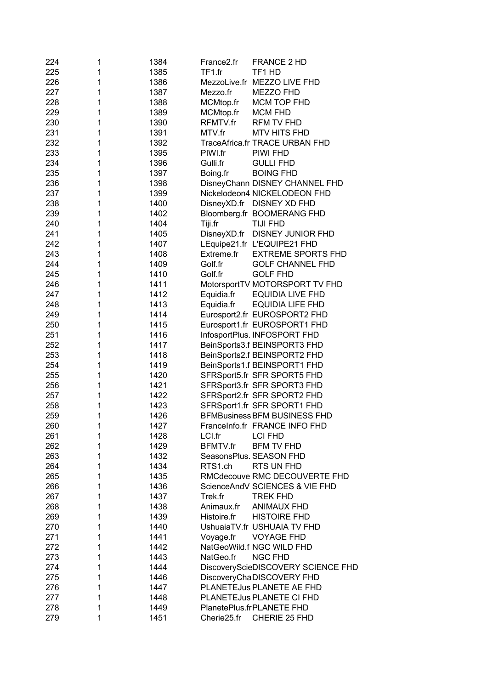| 224 | 1 | 1384 | France <sub>2.fr</sub> | <b>FRANCE 2 HD</b>                  |
|-----|---|------|------------------------|-------------------------------------|
| 225 | 1 | 1385 | TF1.fr                 | TF1 HD                              |
| 226 | 1 | 1386 | MezzoLive.fr           | <b>MEZZO LIVE FHD</b>               |
| 227 | 1 | 1387 | Mezzo.fr               | <b>MEZZO FHD</b>                    |
| 228 | 1 | 1388 | MCMtop.fr              | MCM TOP FHD                         |
| 229 | 1 | 1389 | MCMtop.fr              | <b>MCM FHD</b>                      |
| 230 | 1 | 1390 | RFMTV.fr               | <b>RFM TV FHD</b>                   |
| 231 | 1 | 1391 | MTV.fr                 | <b>MTV HITS FHD</b>                 |
| 232 | 1 | 1392 |                        | TraceAfrica.fr TRACE URBAN FHD      |
| 233 | 1 | 1395 | PIWI.fr                | PIWI FHD                            |
| 234 | 1 | 1396 | Gulli.fr               | <b>GULLI FHD</b>                    |
| 235 | 1 | 1397 | Boing.fr               | <b>BOING FHD</b>                    |
| 236 | 1 | 1398 |                        | DisneyChann DISNEY CHANNEL FHD      |
| 237 | 1 | 1399 |                        | Nickelodeon4 NICKELODEON FHD        |
| 238 | 1 | 1400 |                        | DisneyXD.fr DISNEY XD FHD           |
| 239 | 1 | 1402 |                        | Bloomberg.fr BOOMERANG FHD          |
| 240 | 1 | 1404 | Tiji.fr                | <b>TIJI FHD</b>                     |
| 241 | 1 | 1405 | DisneyXD.fr            | DISNEY JUNIOR FHD                   |
| 242 | 1 | 1407 |                        | LEquipe21.fr L'EQUIPE21 FHD         |
| 243 | 1 | 1408 | Extreme.fr             | <b>EXTREME SPORTS FHD</b>           |
| 244 | 1 | 1409 | Golf.fr                | <b>GOLF CHANNEL FHD</b>             |
| 245 | 1 | 1410 | Golf.fr                | <b>GOLF FHD</b>                     |
| 246 | 1 | 1411 |                        | MotorsportTV MOTORSPORT TV FHD      |
| 247 | 1 | 1412 | Equidia.fr             | <b>EQUIDIA LIVE FHD</b>             |
| 248 | 1 | 1413 | Equidia.fr             | <b>EQUIDIA LIFE FHD</b>             |
| 249 | 1 | 1414 |                        | Eurosport2.fr EUROSPORT2 FHD        |
| 250 | 1 | 1415 |                        | Eurosport1.fr EUROSPORT1 FHD        |
| 251 | 1 | 1416 |                        | InfosportPlus. INFOSPORT FHD        |
| 252 | 1 | 1417 |                        | BeinSports3.f BEINSPORT3 FHD        |
| 253 | 1 | 1418 |                        | BeinSports2.f BEINSPORT2 FHD        |
| 254 | 1 | 1419 |                        | BeinSports1.f BEINSPORT1 FHD        |
| 255 | 1 | 1420 |                        | SFRSport5.fr SFR SPORT5 FHD         |
| 256 | 1 | 1421 |                        | SFRSport3.fr SFR SPORT3 FHD         |
| 257 | 1 | 1422 |                        | SFRSport2.fr SFR SPORT2 FHD         |
| 258 | 1 | 1423 |                        | SFRSport1.fr SFR SPORT1 FHD         |
| 259 | 1 | 1426 |                        | <b>BFMBusiness BFM BUSINESS FHD</b> |
| 260 | 1 | 1427 |                        | FranceInfo.fr FRANCE INFO FHD       |
| 261 | 1 | 1428 | LCI.fr                 | <b>LCI FHD</b>                      |
| 262 | 1 | 1429 | <b>BFMTV.fr</b>        | <b>BFM TV FHD</b>                   |
| 263 | 1 | 1432 |                        | SeasonsPlus. SEASON FHD             |
| 264 | 1 | 1434 | RTS1.ch                | RTS UN FHD                          |
| 265 | 1 | 1435 |                        | RMCdecouve RMC DECOUVERTE FHD       |
| 266 | 1 | 1436 |                        | ScienceAndV SCIENCES & VIE FHD      |
| 267 | 1 | 1437 | Trek.fr                | <b>TREK FHD</b>                     |
| 268 | 1 | 1438 | Animaux.fr             | <b>ANIMAUX FHD</b>                  |
| 269 | 1 | 1439 | Histoire.fr            | <b>HISTOIRE FHD</b>                 |
| 270 | 1 | 1440 |                        | UshuaiaTV.fr USHUAIA TV FHD         |
| 271 | 1 | 1441 | Voyage.fr              | <b>VOYAGE FHD</b>                   |
| 272 | 1 | 1442 |                        | NatGeoWild.f NGC WILD FHD           |
| 273 | 1 | 1443 | NatGeo.fr              | <b>NGC FHD</b>                      |
| 274 | 1 | 1444 |                        | DiscoveryScieDISCOVERY SCIENCE FHD  |
| 275 | 1 | 1446 |                        | DiscoveryChaDISCOVERY FHD           |
| 276 | 1 | 1447 |                        | PLANETEJus PLANETE AE FHD           |
| 277 | 1 | 1448 |                        | PLANETEJus PLANETE CI FHD           |
| 278 | 1 | 1449 |                        | PlanetePlus.frPLANETE FHD           |
| 279 | 1 | 1451 | Cherie25.fr            | CHERIE 25 FHD                       |
|     |   |      |                        |                                     |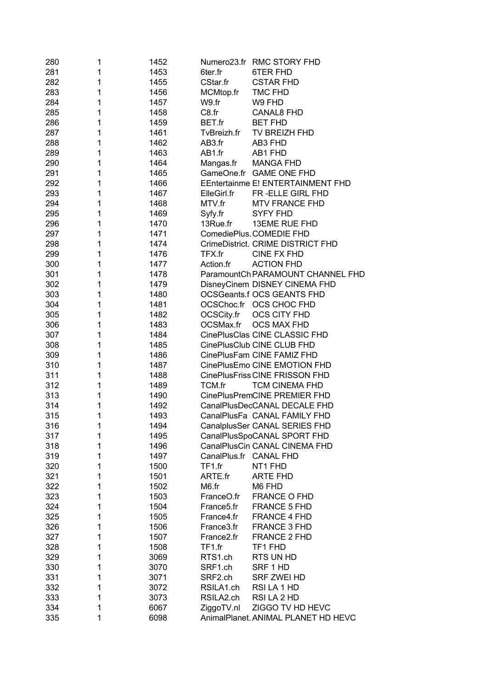| 280 | 1 | 1452 |                        | Numero23.fr RMC STORY FHD           |
|-----|---|------|------------------------|-------------------------------------|
| 281 | 1 | 1453 | 6ter.fr                | 6TER FHD                            |
| 282 | 1 | 1455 | CStar.fr               | <b>CSTAR FHD</b>                    |
| 283 | 1 | 1456 | MCMtop.fr              | <b>TMC FHD</b>                      |
| 284 | 1 | 1457 | W9.fr                  | W9 FHD                              |
| 285 | 1 | 1458 | C8.fr                  | <b>CANAL8 FHD</b>                   |
| 286 | 1 | 1459 | BET.fr                 | <b>BET FHD</b>                      |
| 287 | 1 | 1461 | TvBreizh.fr            | TV BREIZH FHD                       |
| 288 | 1 | 1462 | AB3.fr                 | AB3 FHD                             |
| 289 | 1 | 1463 | AB1.fr                 | AB1 FHD                             |
| 290 | 1 | 1464 | Mangas.fr              | <b>MANGA FHD</b>                    |
| 291 | 1 | 1465 |                        | GameOne.fr GAME ONE FHD             |
| 292 | 1 | 1466 |                        | EEntertainme E! ENTERTAINMENT FHD   |
| 293 | 1 | 1467 | ElleGirl.fr            | FR-ELLE GIRL FHD                    |
| 294 | 1 | 1468 | MTV.fr                 | MTV FRANCE FHD                      |
| 295 | 1 | 1469 | Syfy.fr                | SYFY FHD                            |
| 296 | 1 | 1470 | 13Rue.fr               | <b>13EME RUE FHD</b>                |
| 297 | 1 | 1471 |                        | ComediePlus. COMEDIE FHD            |
| 298 | 1 | 1474 |                        | CrimeDistrict. CRIME DISTRICT FHD   |
| 299 | 1 | 1476 | TFX.fr                 | CINE FX FHD                         |
| 300 | 1 | 1477 | Action.fr              | <b>ACTION FHD</b>                   |
| 301 | 1 | 1478 |                        | ParamountCh PARAMOUNT CHANNEL FHD   |
| 302 | 1 | 1479 |                        | DisneyCinem DISNEY CINEMA FHD       |
| 303 | 1 | 1480 |                        | <b>OCSGeants.f OCS GEANTS FHD</b>   |
| 304 | 1 | 1481 |                        | OCSChoc.fr OCS CHOC FHD             |
| 305 | 1 | 1482 | OCSCity.fr             | OCS CITY FHD                        |
| 306 | 1 | 1483 | OCSMax.fr              | <b>OCS MAX FHD</b>                  |
| 307 | 1 | 1484 |                        | CinePlusClas CINE CLASSIC FHD       |
| 308 | 1 | 1485 |                        | CinePlusClub CINE CLUB FHD          |
| 309 | 1 | 1486 |                        | CinePlusFam CINE FAMIZ FHD          |
| 310 | 1 | 1487 |                        | CinePlusEmo CINE EMOTION FHD        |
| 311 | 1 | 1488 |                        | CinePlusFriss CINE FRISSON FHD      |
| 312 | 1 | 1489 | TCM.fr                 | <b>TCM CINEMA FHD</b>               |
| 313 | 1 | 1490 |                        | CinePlusPremCINE PREMIER FHD        |
| 314 | 1 | 1492 |                        | CanalPlusDecCANAL DECALE FHD        |
| 315 | 1 | 1493 |                        | CanalPlusFa CANAL FAMILY FHD        |
| 316 | 1 | 1494 |                        | CanalplusSer CANAL SERIES FHD       |
| 317 | 1 | 1495 |                        | CanalPlusSpoCANAL SPORT FHD         |
| 318 | 1 | 1496 |                        | CanalPlusCin CANAL CINEMA FHD       |
| 319 | 1 | 1497 |                        | CanalPlus.fr CANAL FHD              |
| 320 | 1 | 1500 | TF1.fr                 | NT1 FHD                             |
| 321 | 1 | 1501 | ARTE.fr                | <b>ARTE FHD</b>                     |
| 322 | 1 | 1502 | M6.fr                  | M6 FHD                              |
| 323 | 1 | 1503 | FranceO.fr             | FRANCE O FHD                        |
| 324 | 1 | 1504 | France5.fr             | <b>FRANCE 5 FHD</b>                 |
| 325 | 1 | 1505 | France4.fr             | FRANCE 4 FHD                        |
| 326 | 1 | 1506 | France3.fr             | FRANCE 3 FHD                        |
| 327 | 1 | 1507 | France <sub>2.fr</sub> | FRANCE 2 FHD                        |
| 328 | 1 | 1508 | TF1.fr                 | TF1 FHD                             |
| 329 | 1 | 3069 | RTS1.ch                | RTS UN HD                           |
| 330 | 1 | 3070 | SRF1.ch                | SRF 1 HD                            |
| 331 | 1 | 3071 | SRF2.ch                | SRF ZWEI HD                         |
| 332 | 1 | 3072 | RSILA1.ch              | RSILA 1 HD                          |
| 333 | 1 | 3073 | RSILA2.ch              | RSILA 2 HD                          |
| 334 | 1 | 6067 | ZiggoTV.nl             | ZIGGO TV HD HEVC                    |
| 335 | 1 | 6098 |                        | AnimalPlanet. ANIMAL PLANET HD HEVC |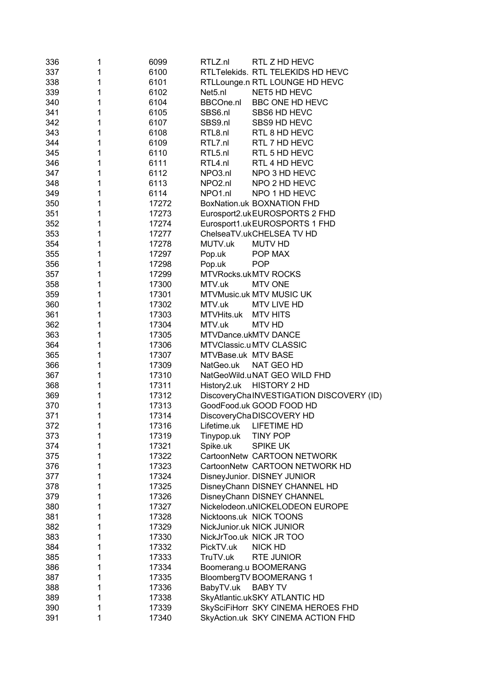| 336        | 1      | 6099           | RTLZ.nl                         | RTL Z HD HEVC                                            |
|------------|--------|----------------|---------------------------------|----------------------------------------------------------|
| 337        | 1      | 6100           |                                 | RTLTelekids. RTL TELEKIDS HD HEVC                        |
| 338        | 1      | 6101           |                                 | RTLLounge.n RTL LOUNGE HD HEVC                           |
| 339        | 1      | 6102           | Net <sub>5.nl</sub>             | NET5 HD HEVC                                             |
| 340        | 1      | 6104           | <b>BBCOne.nl</b>                | BBC ONE HD HEVC                                          |
| 341        | 1      | 6105           | SBS6.nl                         | SBS6 HD HEVC                                             |
| 342        | 1      | 6107           | SBS9.nl                         | SBS9 HD HEVC                                             |
| 343        | 1      | 6108           | RTL8.nl                         | RTL 8 HD HEVC                                            |
| 344        | 1      | 6109           | RTL7.nl                         | RTL 7 HD HEVC                                            |
| 345        | 1      | 6110           | RTL5.nl                         | RTL 5 HD HEVC                                            |
| 346        | 1      | 6111           | RTL4.nl                         | RTL 4 HD HEVC                                            |
| 347        | 1      | 6112           | NPO3.nl                         | NPO 3 HD HEVC                                            |
| 348        | 1      | 6113           | NPO <sub>2.nl</sub>             | NPO 2 HD HEVC                                            |
| 349        | 1      | 6114           | NPO1.nl                         | NPO 1 HD HEVC                                            |
| 350        | 1      | 17272          |                                 | BoxNation.uk BOXNATION FHD                               |
| 351        | 1      | 17273          |                                 | Eurosport2.ukEUROSPORTS 2 FHD                            |
| 352        | 1      | 17274          |                                 | Eurosport1.ukEUROSPORTS 1 FHD                            |
| 353        | 1      | 17277          |                                 | ChelseaTV.ukCHELSEA TV HD                                |
|            | 1      |                | MUTV.uk                         |                                                          |
| 354        |        | 17278          |                                 | <b>MUTV HD</b>                                           |
| 355        | 1      | 17297          | Pop.uk                          | POP MAX                                                  |
| 356        | 1      | 17298          | Pop.uk                          | <b>POP</b>                                               |
| 357        | 1      | 17299          | <b>MTVRocks.ukMTV ROCKS</b>     |                                                          |
| 358        | 1      | 17300          | MTV.uk                          | <b>MTV ONE</b>                                           |
| 359        | 1      | 17301          | <b>MTVMusic.uk MTV MUSIC UK</b> |                                                          |
| 360        | 1      | 17302          | MTV.uk                          | MTV LIVE HD                                              |
| 361        | 1      | 17303          | MTVHits.uk                      | MTV HITS                                                 |
| 362        | 1      | 17304          | MTV.uk                          | MTV HD                                                   |
| 363        | 1      | 17305          | <b>MTVDance.ukMTV DANCE</b>     |                                                          |
| 364        | 1      | 17306          | <b>MTVClassic.u MTV CLASSIC</b> |                                                          |
| 365        | 1      | 17307          | MTVBase.uk MTV BASE             |                                                          |
| 366        | 1      | 17309          | NatGeo.uk NAT GEO HD            |                                                          |
| 367        | 1      | 17310<br>17311 |                                 | NatGeoWild.uNAT GEO WILD FHD                             |
| 368<br>369 | 1<br>1 | 17312          | History2.uk                     | HISTORY 2 HD<br>DiscoveryChaINVESTIGATION DISCOVERY (ID) |
| 370        | 1      | 17313          |                                 | GoodFood.uk GOOD FOOD HD                                 |
| 371        |        | 17314          |                                 | DiscoveryChaDISCOVERY HD                                 |
| 372        | 1      | 17316          | Lifetime.uk                     | <b>LIFETIME HD</b>                                       |
| 373        | 1      | 17319          |                                 | <b>TINY POP</b>                                          |
| 374        | 1      |                | Tinypop.uk<br>Spike.uk          | <b>SPIKE UK</b>                                          |
| 375        |        | 17321<br>17322 |                                 | CartoonNetw CARTOON NETWORK                              |
| 376        | 1      | 17323          |                                 | CartoonNetw CARTOON NETWORK HD                           |
| 377        |        | 17324          |                                 | DisneyJunior. DISNEY JUNIOR                              |
| 378        | 1      | 17325          |                                 | DisneyChann DISNEY CHANNEL HD                            |
| 379        | 1      | 17326          |                                 | DisneyChann DISNEY CHANNEL                               |
| 380        | 1      | 17327          |                                 | Nickelodeon.uNICKELODEON EUROPE                          |
| 381        | 1      | 17328          | Nicktoons.uk NICK TOONS         |                                                          |
| 382        | 1      | 17329          | NickJunior.uk NICK JUNIOR       |                                                          |
| 383        | 1      | 17330          | NickJrToo.uk NICK JR TOO        |                                                          |
| 384        | 1      | 17332          | PickTV.uk                       | <b>NICK HD</b>                                           |
| 385        | 1      | 17333          | TruTV.uk                        | <b>RTE JUNIOR</b>                                        |
| 386        | 1      | 17334          | Boomerang.u BOOMERANG           |                                                          |
| 387        | 1      | 17335          | BloombergTV BOOMERANG 1         |                                                          |
| 388        | 1      | 17336          | BabyTV.uk                       | <b>BABY TV</b>                                           |
| 389        | 1      | 17338          |                                 | SkyAtlantic.ukSKY ATLANTIC HD                            |
| 390        | 1      | 17339          |                                 | SkySciFiHorr SKY CINEMA HEROES FHD                       |
| 391        | 1      | 17340          |                                 | SkyAction.uk SKY CINEMA ACTION FHD                       |
|            |        |                |                                 |                                                          |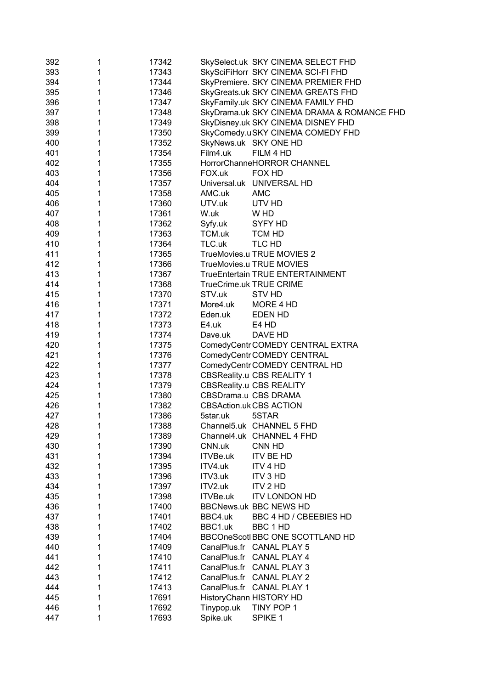| 392 | 1           | 17342 |            | SkySelect.uk SKY CINEMA SELECT FHD         |
|-----|-------------|-------|------------|--------------------------------------------|
| 393 | 1           | 17343 |            | SkySciFiHorr SKY CINEMA SCI-FI FHD         |
| 394 | $\mathbf 1$ | 17344 |            | SkyPremiere. SKY CINEMA PREMIER FHD        |
| 395 | 1           | 17346 |            | SkyGreats.uk SKY CINEMA GREATS FHD         |
| 396 | 1           | 17347 |            | SkyFamily.uk SKY CINEMA FAMILY FHD         |
| 397 | 1           | 17348 |            | SkyDrama.uk SKY CINEMA DRAMA & ROMANCE FHD |
| 398 | 1           | 17349 |            | SkyDisney.uk SKY CINEMA DISNEY FHD         |
| 399 | 1           | 17350 |            | SkyComedy.uSKY CINEMA COMEDY FHD           |
| 400 | 1           | 17352 |            | SkyNews.uk SKY ONE HD                      |
| 401 | 1           | 17354 | Film4.uk   | FILM 4 HD                                  |
| 402 | 1           | 17355 |            | HorrorChanneHORROR CHANNEL                 |
| 403 | 1           | 17356 | FOX.uk     | FOX HD                                     |
| 404 | 1           | 17357 |            | Universal.uk UNIVERSAL HD                  |
| 405 | 1           | 17358 | AMC.uk     | <b>AMC</b>                                 |
| 406 | 1           | 17360 | UTV.uk     | UTV HD                                     |
| 407 | 1           | 17361 | W.uk       | W HD                                       |
| 408 | 1           | 17362 | Syfy.uk    | SYFY HD                                    |
| 409 | 1           | 17363 | TCM.uk     | TCM HD                                     |
| 410 | 1           | 17364 | TLC.uk     | TLC HD                                     |
| 411 | 1           | 17365 |            | TrueMovies.u TRUE MOVIES 2                 |
| 412 | 1           | 17366 |            | TrueMovies.u TRUE MOVIES                   |
| 413 | 1           | 17367 |            | TrueEntertain TRUE ENTERTAINMENT           |
| 414 | 1           | 17368 |            | TrueCrime.uk TRUE CRIME                    |
| 415 | 1           | 17370 | STV.uk     | <b>STV HD</b>                              |
| 416 | 1           | 17371 | More4.uk   | MORE 4 HD                                  |
| 417 | 1           | 17372 | Eden.uk    | EDEN HD                                    |
| 418 | 1           | 17373 | E4.uk      | E4 HD                                      |
| 419 | 1           | 17374 | Dave.uk    | DAVE HD                                    |
| 420 | 1           | 17375 |            | ComedyCentr COMEDY CENTRAL EXTRA           |
| 421 | 1           | 17376 |            | ComedyCentr COMEDY CENTRAL                 |
| 422 | 1           | 17377 |            | ComedyCentr COMEDY CENTRAL HD              |
| 423 | 1           | 17378 |            | <b>CBSReality.u CBS REALITY 1</b>          |
| 424 | 1           | 17379 |            | <b>CBSReality.u CBS REALITY</b>            |
| 425 | 1           | 17380 |            | CBSDrama.u CBS DRAMA                       |
| 426 | 1           | 17382 |            | <b>CBSAction.uk CBS ACTION</b>             |
| 427 | 1           | 17386 | 5star.uk   | 5STAR                                      |
| 428 | 1           | 17388 |            | Channel5.uk CHANNEL 5 FHD                  |
| 429 | 1           | 17389 |            | Channel4.uk CHANNEL 4 FHD                  |
| 430 | 1           | 17390 | CNN.uk     | CNN HD                                     |
| 431 | 1           | 17394 | ITVBe.uk   | <b>ITV BE HD</b>                           |
| 432 | 1           | 17395 | ITV4.uk    | ITV 4 HD                                   |
| 433 | 1           | 17396 | ITV3.uk    | ITV 3 HD                                   |
| 434 | 1           | 17397 | ITV2.uk    | ITV 2 HD                                   |
| 435 | 1           | 17398 | ITVBe.uk   | <b>ITV LONDON HD</b>                       |
| 436 | 1           | 17400 |            | <b>BBCNews.uk BBC NEWS HD</b>              |
| 437 | 1           | 17401 | BBC4.uk    | BBC 4 HD / CBEEBIES HD                     |
| 438 | 1           | 17402 | BBC1.uk    | BBC 1 HD                                   |
| 439 | 1           | 17404 |            | BBCOneScotl BBC ONE SCOTTLAND HD           |
| 440 | 1           | 17409 |            | CanalPlus.fr CANAL PLAY 5                  |
| 441 | 1           | 17410 |            | CanalPlus.fr CANAL PLAY 4                  |
| 442 | 1           | 17411 |            | CanalPlus.fr CANAL PLAY 3                  |
| 443 | 1           | 17412 |            | CanalPlus.fr CANAL PLAY 2                  |
| 444 | 1           | 17413 |            | CanalPlus.fr CANAL PLAY 1                  |
| 445 | 1           | 17691 |            | HistoryChann HISTORY HD                    |
| 446 | 1           | 17692 | Tinypop.uk | TINY POP 1                                 |
| 447 | 1           | 17693 | Spike.uk   | SPIKE 1                                    |
|     |             |       |            |                                            |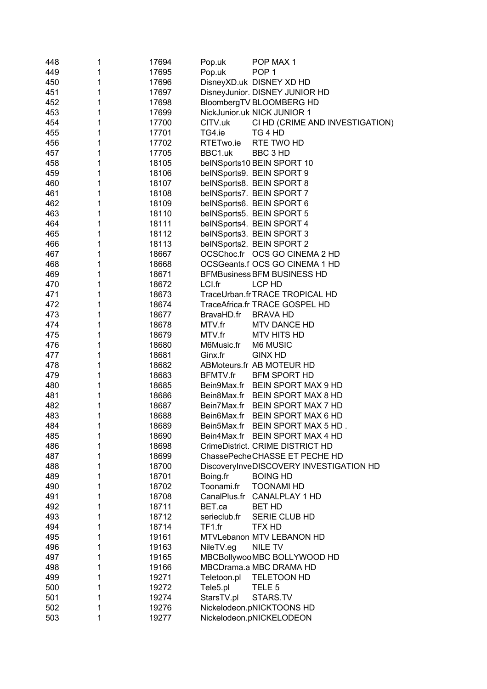| 448 | 1 | 17694 | Pop.uk       | POP MAX 1                               |
|-----|---|-------|--------------|-----------------------------------------|
| 449 | 1 | 17695 | Pop.uk       | POP <sub>1</sub>                        |
| 450 | 1 | 17696 |              | DisneyXD.uk DISNEY XD HD                |
| 451 | 1 | 17697 |              | DisneyJunior. DISNEY JUNIOR HD          |
| 452 | 1 | 17698 |              | BloombergTV BLOOMBERG HD                |
| 453 | 1 | 17699 |              | NickJunior.uk NICK JUNIOR 1             |
| 454 | 1 | 17700 | CITV.uk      | CI HD (CRIME AND INVESTIGATION)         |
| 455 | 1 | 17701 | TG4.ie       | TG 4 HD                                 |
| 456 | 1 | 17702 | RTETwo.ie    | RTE TWO HD                              |
| 457 | 1 | 17705 | BBC1.uk      | BBC 3 HD                                |
| 458 | 1 | 18105 |              | belNSports10 BEIN SPORT 10              |
| 459 | 1 | 18106 |              | belNSports9. BEIN SPORT 9               |
| 460 | 1 | 18107 |              | beINSports8. BEIN SPORT 8               |
| 461 | 1 | 18108 |              | beINSports7. BEIN SPORT 7               |
| 462 | 1 | 18109 |              | beINSports6. BEIN SPORT 6               |
| 463 | 1 | 18110 |              | beINSports5. BEIN SPORT 5               |
| 464 | 1 | 18111 |              | belNSports4. BEIN SPORT 4               |
| 465 | 1 | 18112 |              | beINSports3. BEIN SPORT 3               |
| 466 | 1 | 18113 |              | belNSports2. BEIN SPORT 2               |
| 467 | 1 | 18667 |              | OCSChoc.fr OCS GO CINEMA 2 HD           |
| 468 | 1 | 18668 |              | OCSGeants.f OCS GO CINEMA 1 HD          |
| 469 | 1 | 18671 |              | <b>BFMBusiness BFM BUSINESS HD</b>      |
| 470 | 1 | 18672 | LCI.fr       | LCP HD                                  |
| 471 | 1 | 18673 |              | TraceUrban.fr TRACE TROPICAL HD         |
| 472 | 1 | 18674 |              | TraceAfrica.fr TRACE GOSPEL HD          |
| 473 | 1 | 18677 | BravaHD.fr   | <b>BRAVA HD</b>                         |
| 474 | 1 | 18678 | MTV.fr       | MTV DANCE HD                            |
| 475 | 1 | 18679 | MTV.fr       | <b>MTV HITS HD</b>                      |
| 476 | 1 | 18680 | M6Music.fr   | M6 MUSIC                                |
| 477 | 1 | 18681 | Ginx.fr      | <b>GINX HD</b>                          |
| 478 | 1 | 18682 |              | ABMoteurs.fr AB MOTEUR HD               |
| 479 | 1 | 18683 | BFMTV.fr     | <b>BFM SPORT HD</b>                     |
| 480 | 1 | 18685 |              | Bein9Max.fr BEIN SPORT MAX 9 HD         |
| 481 | 1 | 18686 |              | Bein8Max.fr BEIN SPORT MAX 8 HD         |
| 482 | 1 | 18687 |              | Bein7Max.fr BEIN SPORT MAX 7 HD         |
| 483 | 1 | 18688 |              | Bein6Max.fr BEIN SPORT MAX 6 HD         |
| 484 | 1 | 18689 |              | Bein5Max.fr BEIN SPORT MAX 5 HD.        |
| 485 | 1 | 18690 |              | Bein4Max.fr BEIN SPORT MAX 4 HD         |
| 486 | 1 | 18698 |              | CrimeDistrict. CRIME DISTRICT HD        |
| 487 | 1 | 18699 |              | ChassePecheCHASSE ET PECHE HD           |
| 488 | 1 | 18700 |              | DiscoveryInveDISCOVERY INVESTIGATION HD |
| 489 | 1 | 18701 | Boing.fr     | <b>BOING HD</b>                         |
| 490 | 1 | 18702 | Toonami.fr   | <b>TOONAMI HD</b>                       |
| 491 | 1 | 18708 |              | CanalPlus.fr CANALPLAY 1 HD             |
| 492 | 1 | 18711 | BET.ca       | <b>BET HD</b>                           |
| 493 | 1 | 18712 | serieclub.fr | SERIE CLUB HD                           |
| 494 | 1 | 18714 | TF1.fr       | <b>TFX HD</b>                           |
| 495 | 1 | 19161 |              | MTVLebanon MTV LEBANON HD               |
| 496 | 1 | 19163 | NileTV.eg    | NILE TV                                 |
| 497 | 1 | 19165 |              | MBCBollywooMBC BOLLYWOOD HD             |
| 498 | 1 | 19166 |              | MBCDrama.a MBC DRAMA HD                 |
| 499 | 1 | 19271 | Teletoon.pl  | <b>TELETOON HD</b>                      |
| 500 | 1 | 19272 | Tele5.pl     | TELE <sub>5</sub>                       |
| 501 | 1 | 19274 | StarsTV.pl   | STARS.TV                                |
| 502 | 1 | 19276 |              | Nickelodeon.pNICKTOONS HD               |
| 503 | 1 | 19277 |              | Nickelodeon.pNICKELODEON                |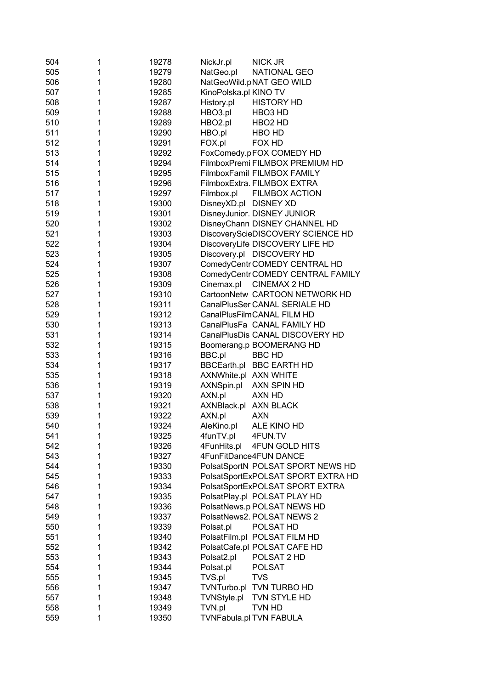| 504 | 1 | 19278          | NickJr.pl             | <b>NICK JR</b>                     |
|-----|---|----------------|-----------------------|------------------------------------|
| 505 | 1 | 19279          | NatGeo.pl             | NATIONAL GEO                       |
| 506 | 1 | 19280          |                       | NatGeoWild.pNAT GEO WILD           |
| 507 | 1 | 19285          | KinoPolska.pl KINO TV |                                    |
| 508 | 1 | 19287          | History.pl            | <b>HISTORY HD</b>                  |
| 509 | 1 | 19288          | HBO3.pl               | HBO <sub>3</sub> HD                |
| 510 | 1 | 19289          | HBO2.pl               | HBO <sub>2</sub> HD                |
| 511 | 1 | 19290          | HBO.pl                | HBO HD                             |
| 512 | 1 | 19291          | FOX.pl                | FOX HD                             |
| 513 | 1 | 19292          |                       | FoxComedy.pFOX COMEDY HD           |
| 514 | 1 | 19294          |                       | FilmboxPremi FILMBOX PREMIUM HD    |
| 515 | 1 | 19295          |                       | FilmboxFamil FILMBOX FAMILY        |
| 516 | 1 | 19296          |                       | FilmboxExtra. FILMBOX EXTRA        |
| 517 | 1 | 19297          | Filmbox.pl            | <b>FILMBOX ACTION</b>              |
| 518 | 1 | 19300          | DisneyXD.pl DISNEY XD |                                    |
| 519 | 1 | 19301          |                       | DisneyJunior. DISNEY JUNIOR        |
| 520 | 1 | 19302          |                       | DisneyChann DISNEY CHANNEL HD      |
| 521 | 1 | 19303          |                       | DiscoveryScieDISCOVERY SCIENCE HD  |
| 522 | 1 | 19304          |                       | DiscoveryLife DISCOVERY LIFE HD    |
| 523 | 1 | 19305          |                       | Discovery.pl DISCOVERY HD          |
| 524 | 1 | 19307          |                       | ComedyCentr COMEDY CENTRAL HD      |
| 525 | 1 | 19308          |                       | ComedyCentrCOMEDY CENTRAL FAMILY   |
| 526 | 1 | 19309          | Cinemax.pl            | CINEMAX 2 HD                       |
| 527 | 1 | 19310          |                       | CartoonNetw CARTOON NETWORK HD     |
| 528 | 1 | 19311          |                       | CanalPlusSer CANAL SERIALE HD      |
| 529 | 1 | 19312          |                       | CanalPlusFilmCANAL FILM HD         |
| 530 | 1 | 19313          |                       | CanalPlusFa CANAL FAMILY HD        |
| 531 | 1 | 19314          |                       | CanalPlusDis CANAL DISCOVERY HD    |
| 532 | 1 | 19315          |                       | Boomerang.p BOOMERANG HD           |
| 533 | 1 | 19316          | BBC.pl                | <b>BBC HD</b>                      |
| 534 | 1 | 19317          |                       | BBCEarth.pl BBC EARTH HD           |
| 535 | 1 | 19318          | AXNWhite.pl AXN WHITE |                                    |
| 536 | 1 | 19319          | AXNSpin.pl            | AXN SPIN HD                        |
| 537 | 1 | 19320          | AXN.pl                | AXN HD                             |
| 538 | 1 | 19321          | AXNBlack.pl AXN BLACK |                                    |
| 539 | 1 | 19322          | AXN.pl                | <b>AXN</b>                         |
| 540 | 1 | 19324          | AleKino.pl            | ALE KINO HD                        |
| 541 | 1 | 19325          | 4funTV.pl             | 4FUN.TV                            |
| 542 | 1 | 19326          | 4FunHits.pl           | 4FUN GOLD HITS                     |
| 543 | 1 | 19327          |                       | 4FunFitDance4FUN DANCE             |
| 544 | 1 | 19330          |                       | PolsatSportN POLSAT SPORT NEWS HD  |
| 545 | 1 | 19333          |                       | PolsatSportExPOLSAT SPORT EXTRA HD |
| 546 | 1 | 19334          |                       | PolsatSportExPOLSAT SPORT EXTRA    |
| 547 | 1 | 19335          |                       | PolsatPlay.pl POLSAT PLAY HD       |
| 548 | 1 | 19336          |                       | PolsatNews.p POLSAT NEWS HD        |
| 549 | 1 |                |                       | PolsatNews2. POLSAT NEWS 2         |
| 550 | 1 | 19337<br>19339 |                       | POLSAT HD                          |
|     | 1 |                | Polsat.pl             |                                    |
| 551 | 1 | 19340          |                       | PolsatFilm.pl POLSAT FILM HD       |
| 552 |   | 19342          |                       | PolsatCafe.pl POLSAT CAFE HD       |
| 553 | 1 | 19343          | Polsat2.pl            | POLSAT 2 HD                        |
| 554 | 1 | 19344          | Polsat.pl             | <b>POLSAT</b>                      |
| 555 | 1 | 19345          | TVS.pl                | <b>TVS</b>                         |
| 556 | 1 | 19347          |                       | TVNTurbo.pl TVN TURBO HD           |
| 557 | 1 | 19348          | TVNStyle.pl           | TVN STYLE HD                       |
| 558 | 1 | 19349          | TVN.pl                | TVN HD                             |
| 559 | 1 | 19350          |                       | TVNFabula.pl TVN FABULA            |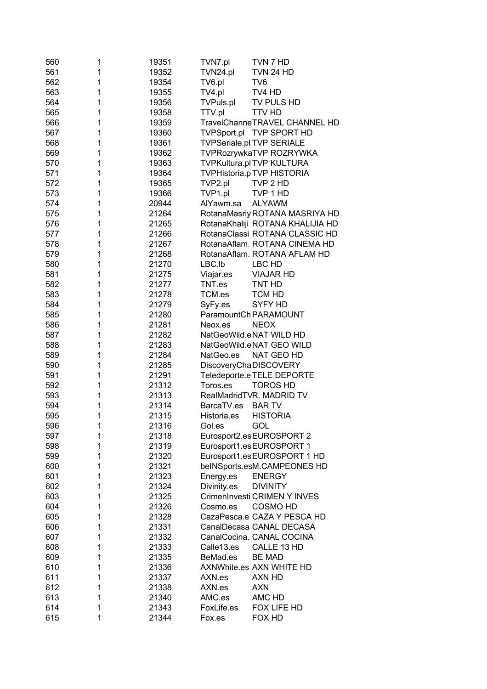| 560 | 1 | 19351 | TVN7.pl          | TVN 7 HD                          |
|-----|---|-------|------------------|-----------------------------------|
| 561 | 1 | 19352 | TVN24.pl         | <b>TVN 24 HD</b>                  |
| 562 | 1 | 19354 | TV6.pl           | TV <sub>6</sub>                   |
| 563 | 1 | 19355 | TV4.pl           | TV4 HD                            |
| 564 | 1 | 19356 | <b>TVPuls.pl</b> | TV PULS HD                        |
| 565 | 1 | 19358 | TTV.pl           | <b>TTV HD</b>                     |
| 566 | 1 | 19359 |                  | TravelChanneTRAVEL CHANNEL HD     |
| 567 | 1 | 19360 | TVPSport.pl      | TVP SPORT HD                      |
| 568 | 1 | 19361 |                  | <b>TVPSeriale.pl TVP SERIALE</b>  |
| 569 | 1 | 19362 |                  | TVPRozrywkaTVP ROZRYWKA           |
| 570 | 1 | 19363 |                  | TVPKultura.pl TVP KULTURA         |
| 571 | 1 | 19364 |                  | <b>TVPHistoria.p TVP HISTORIA</b> |
| 572 | 1 | 19365 | TVP2.pl          | TVP 2 HD                          |
| 573 | 1 | 19366 | TVP1.pl          | TVP 1 HD                          |
| 574 | 1 | 20944 | AlYawm.sa        | <b>ALYAWM</b>                     |
| 575 | 1 | 21264 |                  | RotanaMasriy ROTANA MASRIYA HD    |
| 576 | 1 | 21265 |                  | RotanaKhaliji ROTANA KHALIJIA HD  |
| 577 | 1 | 21266 |                  | RotanaClassi ROTANA CLASSIC HD    |
| 578 | 1 | 21267 |                  | RotanaAflam. ROTANA CINEMA HD     |
| 579 | 1 | 21268 |                  | RotanaAflam. ROTANA AFLAM HD      |
| 580 | 1 | 21270 | LBC.Ib           | LBC HD                            |
| 581 | 1 | 21275 | Viajar.es        | <b>VIAJAR HD</b>                  |
| 582 | 1 | 21277 | TNT.es           | TNT HD                            |
| 583 | 1 | 21278 | TCM.es           | <b>TCM HD</b>                     |
| 584 | 1 | 21279 | SyFy.es          | <b>SYFY HD</b>                    |
| 585 | 1 | 21280 |                  | ParamountCh PARAMOUNT             |
| 586 | 1 | 21281 | Neox.es          | <b>NEOX</b>                       |
| 587 | 1 | 21282 |                  | NatGeoWild.eNAT WILD HD           |
| 588 | 1 | 21283 |                  | NatGeoWild.eNAT GEO WILD          |
| 589 | 1 | 21284 | NatGeo.es        | NAT GEO HD                        |
| 590 | 1 | 21285 |                  | <b>DiscoveryChaDISCOVERY</b>      |
| 591 | 1 | 21291 |                  | Teledeporte.e TELE DEPORTE        |
| 592 | 1 | 21312 | Toros.es         | <b>TOROS HD</b>                   |
| 593 | 1 | 21313 |                  | RealMadridTVR. MADRID TV          |
| 594 | 1 | 21314 | BarcaTV.es       | <b>BARTV</b>                      |
| 595 | 1 | 21315 | Historia.es      | <b>HISTORIA</b>                   |
| 596 | 1 | 21316 | Gol.es           | GOL                               |
| 597 | 1 | 21318 |                  | Eurosport2.esEUROSPORT 2          |
| 598 | 1 | 21319 |                  | Eurosport1.esEUROSPORT 1          |
| 599 | 1 | 21320 |                  | Eurosport1.esEUROSPORT 1 HD       |
| 600 | 1 | 21321 |                  | beINSports.esM.CAMPEONES HD       |
| 601 | 1 | 21323 | Energy.es        | <b>ENERGY</b>                     |
| 602 | 1 | 21324 | Divinity.es      | <b>DIVINITY</b>                   |
| 603 | 1 | 21325 |                  | CrimenInvesti CRIMEN Y INVES      |
| 604 | 1 | 21326 | Cosmo.es         | <b>COSMO HD</b>                   |
| 605 | 1 | 21328 |                  | CazaPesca.e CAZA Y PESCA HD       |
| 606 | 1 | 21331 |                  | CanalDecasa CANAL DECASA          |
| 607 | 1 | 21332 |                  | CanalCocina. CANAL COCINA         |
| 608 | 1 | 21333 | Calle13.es       | CALLE 13 HD                       |
| 609 | 1 | 21335 | BeMad.es         | <b>BE MAD</b>                     |
| 610 | 1 | 21336 |                  | <b>AXNWhite.es AXN WHITE HD</b>   |
| 611 | 1 | 21337 | AXN.es           | AXN HD                            |
| 612 | 1 | 21338 | AXN.es           | <b>AXN</b>                        |
| 613 | 1 | 21340 | AMC.es           | AMC HD                            |
| 614 | 1 | 21343 | FoxLife.es       | FOX LIFE HD                       |
| 615 | 1 | 21344 | Fox.es           | FOX HD                            |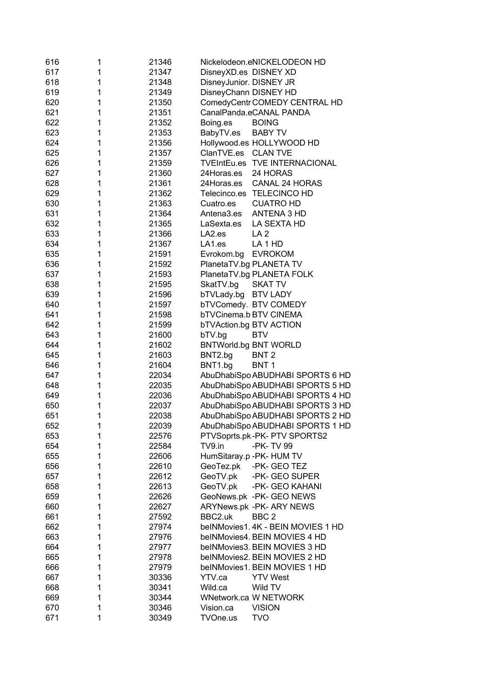| 616 | 1      | 21346          | Nickelodeon.eNICKELODEON HD           |
|-----|--------|----------------|---------------------------------------|
| 617 | 1      | 21347          | DisneyXD.es DISNEY XD                 |
| 618 | 1      | 21348          | DisneyJunior. DISNEY JR               |
| 619 | 1      | 21349          | DisneyChann DISNEY HD                 |
| 620 | 1      | 21350          | ComedyCentr COMEDY CENTRAL HD         |
| 621 | 1      | 21351          | CanalPanda.eCANAL PANDA               |
| 622 | 1      | 21352          | <b>BOING</b><br>Boing.es              |
| 623 | 1      | 21353          | BabyTV.es<br><b>BABY TV</b>           |
| 624 | 1      | 21356          | Hollywood.es HOLLYWOOD HD             |
| 625 | 1      | 21357          | ClanTVE.es<br><b>CLAN TVE</b>         |
| 626 | 1      | 21359          | TVEIntEu.es TVE INTERNACIONAL         |
| 627 | 1      | 21360          | 24 HORAS<br>24Horas.es                |
| 628 | 1      | 21361          | 24Horas.es<br><b>CANAL 24 HORAS</b>   |
| 629 | 1      | 21362          | Telecinco.es TELECINCO HD             |
| 630 | 1      | 21363          | <b>CUATRO HD</b><br>Cuatro.es         |
| 631 | 1      | 21364          | Antena3.es<br>ANTENA 3 HD             |
| 632 | 1      | 21365          | LaSexta.es<br>LA SEXTA HD             |
| 633 | 1      | 21366          | LA <sub>2.es</sub><br>LA <sub>2</sub> |
| 634 | 1      | 21367          | LA1.es<br>LA <sub>1</sub> HD          |
| 635 | 1      | 21591          | Evrokom.bg<br><b>EVROKOM</b>          |
| 636 | 1      | 21592          | PlanetaTV.bg PLANETA TV               |
| 637 | 1      | 21593          | PlanetaTV.bg PLANETA FOLK             |
| 638 | 1      | 21595          | SkatTV.bg<br><b>SKAT TV</b>           |
| 639 | 1      | 21596          | bTVLady.bg<br><b>BTV LADY</b>         |
| 640 | 1      | 21597          | bTVComedy. BTV COMEDY                 |
| 641 | 1      | 21598          | bTVCinema.b BTV CINEMA                |
| 642 | 1      | 21599          | <b>bTVAction.bg BTV ACTION</b>        |
| 643 | 1      | 21600          | bTV.bg<br><b>BTV</b>                  |
| 644 | 1      | 21602          | <b>BNTWorld.bg BNT WORLD</b>          |
| 645 | 1      | 21603          | BNT2.bg<br>BNT <sub>2</sub>           |
| 646 | 1      | 21604          | BNT1.bg<br>BNT <sub>1</sub>           |
| 647 | 1      | 22034          | AbuDhabiSpo ABUDHABI SPORTS 6 HD      |
| 648 | 1      | 22035          | AbuDhabiSpo ABUDHABI SPORTS 5 HD      |
| 649 | 1      | 22036          | AbuDhabiSpo ABUDHABI SPORTS 4 HD      |
| 650 | 1      | 22037          | AbuDhabiSpo ABUDHABI SPORTS 3 HD      |
| 651 | 1      | 22038          | AbuDhabiSpo ABUDHABI SPORTS 2 HD      |
| 652 | 1      | 22039          | AbuDhabiSpo ABUDHABI SPORTS 1 HD      |
| 653 | 1      | 22576          | PTVSoprts.pk-PK-PTV SPORTS2           |
| 654 | 1      | 22584          | TV9.in<br>-PK-TV 99                   |
| 655 | 1      | 22606          | HumSitaray.p -PK- HUM TV              |
| 656 | 1      | 22610          | GeoTez.pk<br>-PK- GEO TEZ             |
| 657 | 1      | 22612          | GeoTV.pk<br>-PK- GEO SUPER            |
| 658 | 1      | 22613          | GeoTV.pk<br>-PK- GEO KAHANI           |
| 659 | 1      | 22626          | GeoNews.pk -PK- GEO NEWS              |
| 660 | 1      | 22627          | ARYNews.pk - PK- ARY NEWS             |
| 661 | 1      | 27592          | BBC2.uk<br>BBC <sub>2</sub>           |
| 662 | 1      | 27974          | belNMovies1.4K - BEIN MOVIES 1 HD     |
| 663 | 1      | 27976          | belNMovies4. BEIN MOVIES 4 HD         |
| 664 | 1      | 27977          | belNMovies3. BEIN MOVIES 3 HD         |
| 665 | 1      | 27978          | belNMovies2. BEIN MOVIES 2 HD         |
| 666 | 1      |                | belNMovies1. BEIN MOVIES 1 HD         |
|     | 1      | 27979<br>30336 | YTV.ca<br><b>YTV West</b>             |
| 667 |        |                |                                       |
| 668 | 1<br>1 | 30341          | Wild.ca<br>Wild TV                    |
| 669 |        | 30344          | <b>WNetwork.ca W NETWORK</b>          |
| 670 | 1      | 30346          | <b>VISION</b><br>Vision.ca            |
| 671 | 1      | 30349          | <b>TVO</b><br>TVOne.us                |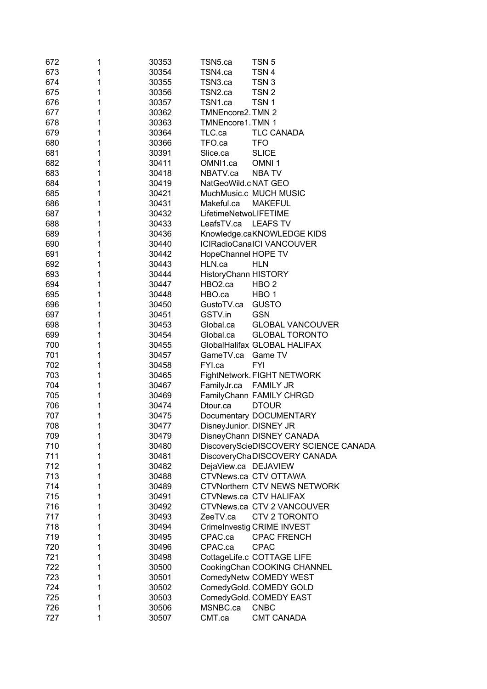| 672 | 1 | 30353 | TSN5.ca                     | TSN <sub>5</sub>                      |
|-----|---|-------|-----------------------------|---------------------------------------|
| 673 | 1 | 30354 | TSN4.ca                     | TSN <sub>4</sub>                      |
| 674 | 1 | 30355 | TSN3.ca                     | TSN <sub>3</sub>                      |
| 675 | 1 | 30356 | TSN2.ca                     | TSN <sub>2</sub>                      |
| 676 | 1 | 30357 | TSN1.ca                     | TSN <sub>1</sub>                      |
| 677 | 1 | 30362 | TMNEncore2. TMN 2           |                                       |
| 678 | 1 | 30363 | <b>TMNEncore1. TMN 1</b>    |                                       |
| 679 | 1 | 30364 | TLC.ca                      | <b>TLC CANADA</b>                     |
| 680 | 1 | 30366 | TFO.ca                      | <b>TFO</b>                            |
| 681 | 1 | 30391 | Slice.ca                    | <b>SLICE</b>                          |
|     |   |       |                             |                                       |
| 682 | 1 | 30411 | OMNI1.ca                    | OMNI <sub>1</sub>                     |
| 683 | 1 | 30418 | NBATV.ca                    | <b>NBATV</b>                          |
| 684 | 1 | 30419 | NatGeoWild.c NAT GEO        |                                       |
| 685 | 1 | 30421 |                             | MuchMusic.c MUCH MUSIC                |
| 686 | 1 | 30431 | Makeful.ca                  | <b>MAKEFUL</b>                        |
| 687 | 1 | 30432 | LifetimeNetwoLIFETIME       |                                       |
| 688 | 1 | 30433 | LeafsTV.ca                  | <b>LEAFS TV</b>                       |
| 689 | 1 | 30436 |                             | Knowledge.caKNOWLEDGE KIDS            |
| 690 | 1 | 30440 |                             | <b>ICIRadioCanaICI VANCOUVER</b>      |
| 691 | 1 | 30442 | HopeChannel HOPE TV         |                                       |
| 692 | 1 | 30443 | HLN.ca                      | <b>HLN</b>                            |
| 693 | 1 | 30444 | <b>HistoryChann HISTORY</b> |                                       |
| 694 | 1 | 30447 | HBO <sub>2</sub> .ca        | HBO <sub>2</sub>                      |
| 695 | 1 | 30448 | HBO.ca                      | HBO <sub>1</sub>                      |
| 696 | 1 | 30450 | GustoTV.ca                  | <b>GUSTO</b>                          |
| 697 | 1 | 30451 | GSTV.in                     | <b>GSN</b>                            |
| 698 | 1 | 30453 | Global.ca                   | <b>GLOBAL VANCOUVER</b>               |
| 699 | 1 | 30454 | Global.ca                   | <b>GLOBAL TORONTO</b>                 |
| 700 | 1 | 30455 |                             | GlobalHalifax GLOBAL HALIFAX          |
| 701 | 1 | 30457 | GameTV.ca                   | Game TV                               |
| 702 | 1 | 30458 | FYI.ca                      | <b>FYI</b>                            |
| 703 | 1 | 30465 |                             | FightNetwork. FIGHT NETWORK           |
| 704 | 1 | 30467 | FamilyJr.ca                 | <b>FAMILY JR</b>                      |
| 705 | 1 | 30469 |                             | FamilyChann FAMILY CHRGD              |
| 706 | 1 | 30474 | Dtour.ca                    | <b>DTOUR</b>                          |
| 707 | 1 | 30475 |                             | Documentary DOCUMENTARY               |
| 708 | 1 | 30477 | DisneyJunior. DISNEY JR     |                                       |
| 709 | 1 | 30479 |                             | DisneyChann DISNEY CANADA             |
| 710 | 1 | 30480 |                             | DiscoveryScieDISCOVERY SCIENCE CANADA |
| 711 | 1 | 30481 |                             | DiscoveryChaDISCOVERY CANADA          |
| 712 | 1 | 30482 | DejaView.ca DEJAVIEW        |                                       |
| 713 | 1 | 30488 |                             | CTVNews.ca CTV OTTAWA                 |
| 714 | 1 | 30489 |                             | <b>CTVNorthern CTV NEWS NETWORK</b>   |
| 715 | 1 | 30491 |                             | <b>CTVNews.ca CTV HALIFAX</b>         |
| 716 | 1 | 30492 |                             | CTVNews.ca CTV 2 VANCOUVER            |
|     |   |       |                             |                                       |
| 717 | 1 | 30493 | ZeeTV.ca                    | CTV 2 TORONTO                         |
| 718 | 1 | 30494 |                             | CrimeInvestig CRIME INVEST            |
| 719 | 1 | 30495 | CPAC.ca                     | <b>CPAC FRENCH</b>                    |
| 720 | 1 | 30496 | CPAC.ca                     | <b>CPAC</b>                           |
| 721 | 1 | 30498 |                             | CottageLife.c COTTAGE LIFE            |
| 722 | 1 | 30500 |                             | CookingChan COOKING CHANNEL           |
| 723 | 1 | 30501 |                             | ComedyNetw COMEDY WEST                |
| 724 | 1 | 30502 |                             | ComedyGold. COMEDY GOLD               |
| 725 | 1 | 30503 |                             | ComedyGold. COMEDY EAST               |
| 726 | 1 | 30506 | MSNBC.ca                    | <b>CNBC</b>                           |
| 727 | 1 | 30507 | CMT.ca                      | <b>CMT CANADA</b>                     |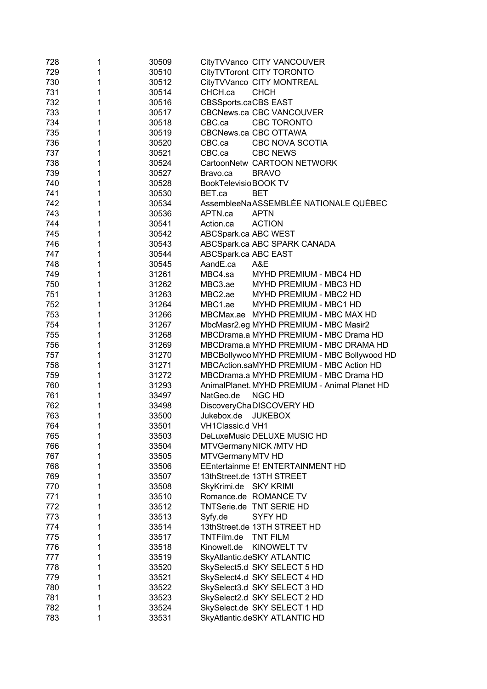| 728 | 1 | 30509 | CityTVVanco CITY VANCOUVER                    |
|-----|---|-------|-----------------------------------------------|
| 729 | 1 | 30510 | CityTVToront CITY TORONTO                     |
| 730 | 1 | 30512 | CityTVVanco CITY MONTREAL                     |
| 731 | 1 | 30514 | CHCH.ca<br><b>CHCH</b>                        |
| 732 | 1 | 30516 | <b>CBSSports.caCBS EAST</b>                   |
| 733 | 1 | 30517 | <b>CBCNews.ca CBC VANCOUVER</b>               |
| 734 | 1 | 30518 | CBC TORONTO<br>CBC.ca                         |
| 735 | 1 | 30519 | CBCNews.ca CBC OTTAWA                         |
| 736 | 1 | 30520 | CBC.ca<br><b>CBC NOVA SCOTIA</b>              |
| 737 | 1 | 30521 | CBC.ca<br><b>CBC NEWS</b>                     |
| 738 | 1 | 30524 | CartoonNetw CARTOON NETWORK                   |
| 739 | 1 | 30527 | <b>BRAVO</b><br>Bravo.ca                      |
| 740 | 1 | 30528 | BookTelevisioBOOK TV                          |
| 741 | 1 | 30530 | <b>BET</b><br>BET.ca                          |
| 742 | 1 | 30534 | AssembleeNaASSEMBLÉE NATIONALE QUÉBEC         |
| 743 | 1 | 30536 | <b>APTN</b><br>APTN.ca                        |
| 744 | 1 | 30541 | Action.ca<br><b>ACTION</b>                    |
| 745 | 1 | 30542 | ABCSpark.ca ABC WEST                          |
| 746 | 1 | 30543 | ABCSpark.ca ABC SPARK CANADA                  |
| 747 | 1 | 30544 | ABCSpark.ca ABC EAST                          |
| 748 | 1 | 30545 | AandE.ca<br>A&E                               |
| 749 | 1 | 31261 | MBC4.sa<br>MYHD PREMIUM - MBC4 HD             |
| 750 | 1 | 31262 | MBC3.ae<br>MYHD PREMIUM - MBC3 HD             |
| 751 | 1 | 31263 | MBC2.ae<br>MYHD PREMIUM - MBC2 HD             |
| 752 | 1 | 31264 | MBC1.ae<br>MYHD PREMIUM - MBC1 HD             |
| 753 | 1 | 31266 | MBCMax.ae MYHD PREMIUM - MBC MAX HD           |
| 754 | 1 | 31267 | MbcMasr2.eg MYHD PREMIUM - MBC Masir2         |
| 755 | 1 | 31268 | MBCDrama.a MYHD PREMIUM - MBC Drama HD        |
| 756 | 1 | 31269 | MBCDrama.a MYHD PREMIUM - MBC DRAMA HD        |
| 757 | 1 | 31270 | MBCBollywooMYHD PREMIUM - MBC Bollywood HD    |
| 758 | 1 | 31271 | MBCAction.saMYHD PREMIUM - MBC Action HD      |
| 759 | 1 | 31272 | MBCDrama.a MYHD PREMIUM - MBC Drama HD        |
| 760 | 1 | 31293 | AnimalPlanet. MYHD PREMIUM - Animal Planet HD |
| 761 | 1 | 33497 | NatGeo.de<br><b>NGC HD</b>                    |
| 762 | 1 | 33498 | DiscoveryChaDISCOVERY HD                      |
| 763 | 1 | 33500 | Jukebox.de<br><b>JUKEBOX</b>                  |
| 764 |   | 33501 | VH1Classic.d VH1                              |
| 765 | 1 | 33503 | DeLuxeMusic DELUXE MUSIC HD                   |
| 766 | 1 | 33504 | MTVGermany NICK /MTV HD                       |
| 767 | 1 | 33505 | MTVGermany MTV HD                             |
| 768 | 1 | 33506 | EEntertainme E! ENTERTAINMENT HD              |
| 769 | 1 | 33507 | 13thStreet.de 13TH STREET                     |
| 770 | 1 | 33508 | SkyKrimi.de SKY KRIMI                         |
| 771 | 1 | 33510 | Romance.de ROMANCE TV                         |
| 772 | 1 | 33512 | TNTSerie.de TNT SERIE HD                      |
| 773 | 1 | 33513 | SYFY HD<br>Syfy.de                            |
| 774 | 1 | 33514 | 13thStreet.de 13TH STREET HD                  |
| 775 | 1 | 33517 | TNTFilm.de<br><b>TNT FILM</b>                 |
| 776 | 1 | 33518 | Kinowelt.de<br><b>KINOWELT TV</b>             |
| 777 | 1 | 33519 | SkyAtlantic.deSKY ATLANTIC                    |
| 778 | 1 | 33520 | SkySelect5.d SKY SELECT 5 HD                  |
| 779 | 1 | 33521 | SkySelect4.d SKY SELECT 4 HD                  |
| 780 | 1 | 33522 | SkySelect3.d SKY SELECT 3 HD                  |
| 781 | 1 | 33523 | SkySelect2.d SKY SELECT 2 HD                  |
| 782 | 1 | 33524 | SkySelect.de SKY SELECT 1 HD                  |
| 783 | 1 | 33531 | SkyAtlantic.deSKY ATLANTIC HD                 |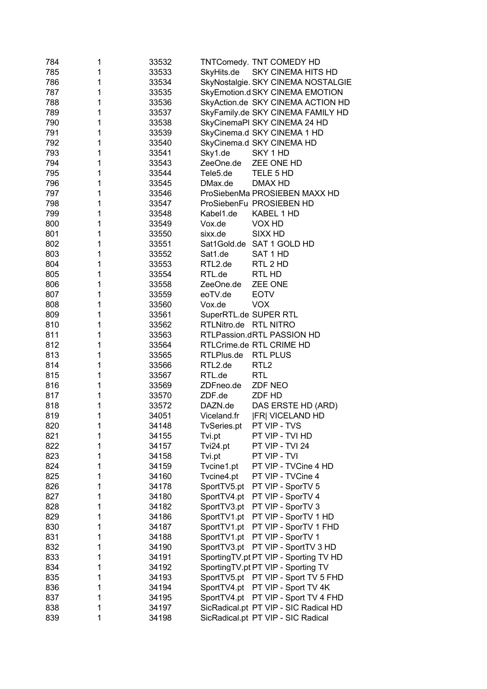| 784 | 1 | 33532 | TNTComedy. TNT COMEDY HD               |
|-----|---|-------|----------------------------------------|
| 785 | 1 | 33533 | SKY CINEMA HITS HD<br>SkyHits.de       |
| 786 | 1 | 33534 | SkyNostalgie. SKY CINEMA NOSTALGIE     |
| 787 | 1 | 33535 | SkyEmotion.d SKY CINEMA EMOTION        |
| 788 | 1 | 33536 | SkyAction.de SKY CINEMA ACTION HD      |
| 789 | 1 | 33537 | SkyFamily.de SKY CINEMA FAMILY HD      |
| 790 | 1 | 33538 | SkyCinemaPI SKY CINEMA 24 HD           |
| 791 | 1 | 33539 | SkyCinema.d SKY CINEMA 1 HD            |
| 792 | 1 | 33540 | SkyCinema.d SKY CINEMA HD              |
| 793 | 1 | 33541 | Sky1.de<br>SKY 1 HD                    |
| 794 | 1 | 33543 | ZeeOne.de<br>ZEE ONE HD                |
| 795 | 1 | 33544 | Tele5.de<br>TELE 5 HD                  |
| 796 | 1 | 33545 | DMax.de<br>DMAX HD                     |
| 797 | 1 | 33546 | ProSiebenMa PROSIEBEN MAXX HD          |
| 798 | 1 | 33547 | ProSiebenFu PROSIEBEN HD               |
| 799 | 1 | 33548 | Kabel1.de<br>KABEL 1 HD                |
| 800 | 1 | 33549 | Vox.de<br>VOX HD                       |
| 801 | 1 | 33550 | sixx.de<br>SIXX HD                     |
| 802 | 1 | 33551 | Sat1Gold.de SAT 1 GOLD HD              |
| 803 | 1 | 33552 | Sat1.de<br>SAT 1 HD                    |
| 804 | 1 | 33553 | RTL2.de<br>RTL 2 HD                    |
| 805 | 1 | 33554 | RTL.de<br>RTL HD                       |
| 806 | 1 | 33558 | ZeeOne.de<br>ZEE ONE                   |
| 807 | 1 | 33559 | eoTV.de<br><b>EOTV</b>                 |
| 808 | 1 | 33560 | <b>VOX</b><br>Vox.de                   |
| 809 | 1 | 33561 | SuperRTL.de SUPER RTL                  |
| 810 | 1 | 33562 | <b>RTL NITRO</b><br>RTLNitro.de        |
| 811 | 1 | 33563 | RTLPassion.dRTL PASSION HD             |
| 812 | 1 | 33564 | RTLCrime.de RTL CRIME HD               |
| 813 | 1 | 33565 | <b>RTL PLUS</b><br>RTLPlus.de          |
| 814 | 1 | 33566 | RTL2.de<br>RTL <sub>2</sub>            |
| 815 | 1 | 33567 | RTL.de<br><b>RTL</b>                   |
| 816 | 1 | 33569 | <b>ZDF NEO</b><br>ZDFneo.de            |
| 817 | 1 | 33570 | ZDF.de<br>ZDF HD                       |
| 818 | 1 | 33572 | DAZN.de<br>DAS ERSTE HD (ARD)          |
| 819 | 1 | 34051 | Viceland.fr<br><b>FRI VICELAND HD</b>  |
| 820 | 1 | 34148 | TvSeries.pt<br>PT VIP - TVS            |
| 821 | 1 | 34155 | PT VIP - TVI HD<br>Tvi.pt              |
| 822 | 1 | 34157 | PT VIP - TVI 24<br>Tvi24.pt            |
| 823 | 1 | 34158 | PT VIP - TVI<br>Tvi.pt                 |
| 824 | 1 | 34159 | Tvcine1.pt<br>PT VIP - TVCine 4 HD     |
| 825 | 1 | 34160 | Tvcine4.pt<br>PT VIP - TVCine 4        |
| 826 | 1 | 34178 | SportTV5.pt<br>PT VIP - SporTV 5       |
| 827 | 1 | 34180 | SportTV4.pt<br>PT VIP - SporTV 4       |
| 828 | 1 | 34182 | SportTV3.pt<br>PT VIP - SporTV 3       |
| 829 | 1 | 34186 | PT VIP - SporTV 1 HD<br>SportTV1.pt    |
| 830 | 1 | 34187 | PT VIP - SporTV 1 FHD<br>SportTV1.pt   |
| 831 | 1 | 34188 | PT VIP - SporTV 1<br>SportTV1.pt       |
| 832 | 1 | 34190 | PT VIP - SportTV 3 HD<br>SportTV3.pt   |
| 833 | 1 | 34191 | SportingTV.pt PT VIP - Sporting TV HD  |
| 834 | 1 | 34192 | SportingTV.pt PT VIP - Sporting TV     |
| 835 | 1 | 34193 | PT VIP - Sport TV 5 FHD<br>SportTV5.pt |
| 836 | 1 | 34194 | PT VIP - Sport TV 4K<br>SportTV4.pt    |
| 837 | 1 | 34195 | SportTV4.pt<br>PT VIP - Sport TV 4 FHD |
| 838 | 1 | 34197 | SicRadical.pt PT VIP - SIC Radical HD  |
| 839 | 1 | 34198 | SicRadical.pt PT VIP - SIC Radical     |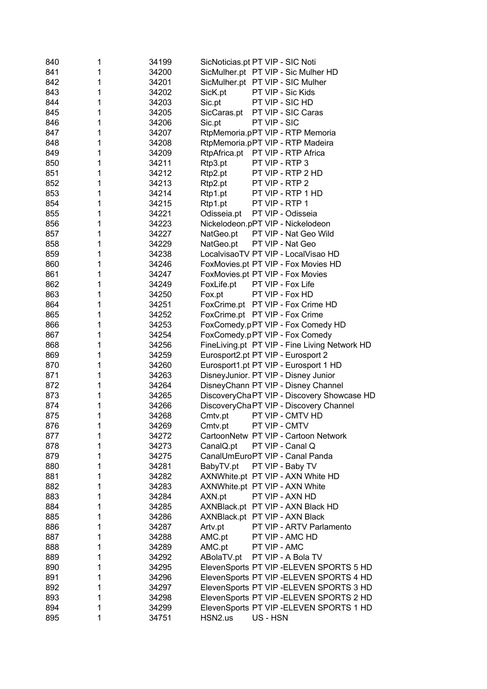| 840 | 1 | 34199 | SicNoticias.pt PT VIP - SIC Noti              |
|-----|---|-------|-----------------------------------------------|
| 841 | 1 | 34200 | SicMulher.pt PT VIP - Sic Mulher HD           |
| 842 | 1 | 34201 | SicMulher.pt PT VIP - SIC Mulher              |
| 843 | 1 | 34202 | SicK.pt<br>PT VIP - Sic Kids                  |
| 844 | 1 | 34203 | PT VIP - SIC HD<br>Sic.pt                     |
| 845 | 1 | 34205 | PT VIP - SIC Caras<br>SicCaras.pt             |
| 846 | 1 | 34206 | PT VIP - SIC<br>Sic.pt                        |
| 847 | 1 | 34207 | RtpMemoria.pPT VIP - RTP Memoria              |
| 848 | 1 | 34208 | RtpMemoria.pPT VIP - RTP Madeira              |
| 849 | 1 | 34209 | RtpAfrica.pt PT VIP - RTP Africa              |
| 850 | 1 | 34211 | Rtp3.pt<br>PT VIP - RTP 3                     |
| 851 | 1 | 34212 | PT VIP - RTP 2 HD<br>Rtp2.pt                  |
| 852 | 1 | 34213 | Rtp2.pt<br>PT VIP - RTP 2                     |
| 853 | 1 | 34214 | Rtp1.pt<br>PT VIP - RTP 1 HD                  |
| 854 | 1 | 34215 | PT VIP - RTP 1<br>Rtp1.pt                     |
| 855 | 1 | 34221 | PT VIP - Odisseia<br>Odisseia.pt              |
| 856 | 1 | 34223 | Nickelodeon.pPT VIP - Nickelodeon             |
| 857 | 1 | 34227 | NatGeo.pt<br>PT VIP - Nat Geo Wild            |
| 858 | 1 | 34229 | NatGeo.pt<br>PT VIP - Nat Geo                 |
| 859 | 1 | 34238 | LocalvisaoTV PT VIP - LocalVisao HD           |
| 860 | 1 | 34246 | FoxMovies.pt PT VIP - Fox Movies HD           |
| 861 | 1 | 34247 | FoxMovies.pt PT VIP - Fox Movies              |
| 862 | 1 | 34249 | FoxLife.pt<br>PT VIP - Fox Life               |
| 863 | 1 | 34250 | Fox.pt<br>PT VIP - Fox HD                     |
| 864 | 1 | 34251 | FoxCrime.pt PT VIP - Fox Crime HD             |
| 865 | 1 | 34252 | FoxCrime.pt PT VIP - Fox Crime                |
| 866 | 1 | 34253 | FoxComedy.pPT VIP - Fox Comedy HD             |
| 867 | 1 | 34254 | FoxComedy.pPT VIP - Fox Comedy                |
| 868 | 1 | 34256 | FineLiving.pt PT VIP - Fine Living Network HD |
| 869 | 1 | 34259 | Eurosport2.pt PT VIP - Eurosport 2            |
| 870 | 1 | 34260 | Eurosport1.pt PT VIP - Eurosport 1 HD         |
| 871 | 1 | 34263 | DisneyJunior. PT VIP - Disney Junior          |
| 872 | 1 | 34264 | DisneyChann PT VIP - Disney Channel           |
| 873 | 1 | 34265 | DiscoveryChaPT VIP - Discovery Showcase HD    |
| 874 | 1 | 34266 | DiscoveryChaPT VIP - Discovery Channel        |
| 875 | 1 | 34268 | PT VIP - CMTV HD<br>Cmtv.pt                   |
| 876 | 1 | 34269 | PT VIP - CMTV<br>Cmtv.pt                      |
| 877 | 1 | 34272 | CartoonNetw PT VIP - Cartoon Network          |
| 878 | 1 | 34273 | CanalQ.pt<br>PT VIP - Canal Q                 |
| 879 | 1 | 34275 | CanalUmEuroPT VIP - Canal Panda               |
| 880 | 1 | 34281 | BabyTV.pt<br>PT VIP - Baby TV                 |
| 881 | 1 | 34282 | AXNWhite.pt PT VIP - AXN White HD             |
| 882 | 1 | 34283 | AXNWhite.pt PT VIP - AXN White                |
| 883 | 1 | 34284 | AXN.pt<br>PT VIP - AXN HD                     |
| 884 | 1 | 34285 | AXNBlack.pt PT VIP - AXN Black HD             |
| 885 | 1 | 34286 | AXNBlack.pt PT VIP - AXN Black                |
| 886 | 1 | 34287 | PT VIP - ARTV Parlamento<br>Artv.pt           |
| 887 | 1 | 34288 | PT VIP - AMC HD<br>AMC.pt                     |
| 888 | 1 | 34289 | AMC.pt<br>PT VIP - AMC                        |
|     | 1 |       |                                               |
| 889 |   | 34292 | PT VIP - A Bola TV<br>ABolaTV.pt              |
| 890 | 1 | 34295 | ElevenSports PT VIP - ELEVEN SPORTS 5 HD      |
| 891 | 1 | 34296 | ElevenSports PT VIP - ELEVEN SPORTS 4 HD      |
| 892 | 1 | 34297 | ElevenSports PT VIP - ELEVEN SPORTS 3 HD      |
| 893 | 1 | 34298 | ElevenSports PT VIP - ELEVEN SPORTS 2 HD      |
| 894 | 1 | 34299 | ElevenSports PT VIP - ELEVEN SPORTS 1 HD      |
| 895 | 1 | 34751 | HSN2.us<br>US - HSN                           |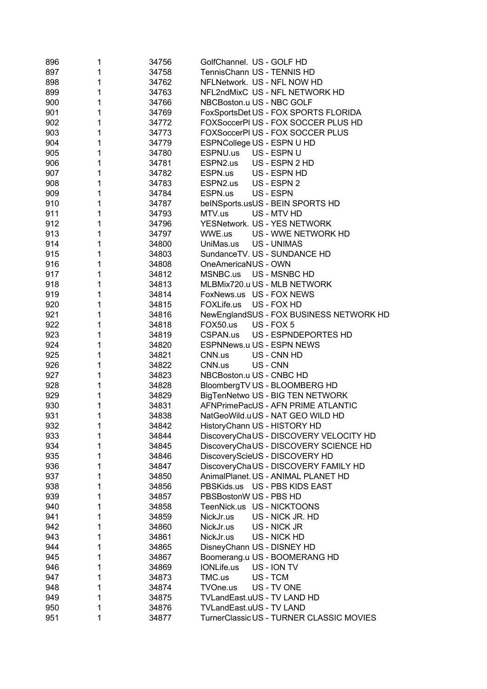| 896 | 1            | 34756 | GolfChannel. US - GOLF HD                |
|-----|--------------|-------|------------------------------------------|
| 897 | 1            | 34758 | TennisChann US - TENNIS HD               |
| 898 | 1            | 34762 | NFLNetwork. US - NFL NOW HD              |
| 899 | 1            | 34763 | NFL2ndMixC US - NFL NETWORK HD           |
| 900 | 1            | 34766 | NBCBoston.u US - NBC GOLF                |
| 901 | 1            | 34769 | FoxSportsDet US - FOX SPORTS FLORIDA     |
| 902 | 1            | 34772 | FOXSoccerPI US - FOX SOCCER PLUS HD      |
| 903 | 1            | 34773 | FOXSoccerPI US - FOX SOCCER PLUS         |
| 904 | 1            | 34779 | ESPNCollege US - ESPN U HD               |
| 905 | 1            | 34780 | ESPNU.us<br>US - ESPN U                  |
| 906 | 1            | 34781 | ESPN2.us US - ESPN 2 HD                  |
| 907 | 1            | 34782 | ESPN.us US - ESPN HD                     |
| 908 | 1            | 34783 | ESPN2.us US - ESPN 2                     |
| 909 | 1            | 34784 | US - ESPN<br>ESPN.us                     |
| 910 | 1            | 34787 | beINSports.usUS - BEIN SPORTS HD         |
| 911 | 1            | 34793 | MTV.us<br>US - MTV HD                    |
| 912 | 1            | 34796 | YESNetwork. US - YES NETWORK             |
| 913 | 1            | 34797 | US - WWE NETWORK HD<br>WWE.us            |
| 914 | 1            | 34800 | UniMas.us US - UNIMAS                    |
| 915 | 1            | 34803 | SundanceTV. US - SUNDANCE HD             |
| 916 | $\mathbf{1}$ | 34808 | OneAmericaNUS - OWN                      |
| 917 | 1            | 34812 | MSNBC.us<br>US - MSNBC HD                |
| 918 | 1            | 34813 | MLBMix720.u US - MLB NETWORK             |
| 919 | 1            | 34814 | FoxNews.us US - FOX NEWS                 |
| 920 | 1            | 34815 | FOXLife.us US - FOX HD                   |
| 921 | 1            | 34816 | NewEnglandSUS - FOX BUSINESS NETWORK HD  |
| 922 | 1            | 34818 | FOX50.us US - FOX 5                      |
| 923 | 1            | 34819 | CSPAN.us US - ESPNDEPORTES HD            |
| 924 | 1            | 34820 | ESPNNews.u US - ESPN NEWS                |
| 925 | 1            | 34821 | CNN.us<br>US - CNN HD                    |
| 926 | 1            | 34822 | CNN.us<br>US - CNN                       |
| 927 | 1            | 34823 | NBCBoston.u US - CNBC HD                 |
| 928 | 1            | 34828 | BloombergTV US - BLOOMBERG HD            |
| 929 | 1            | 34829 | BigTenNetwo US - BIG TEN NETWORK         |
| 930 | 1            | 34831 | AFNPrimePacUS - AFN PRIME ATLANTIC       |
| 931 | 1            | 34838 | NatGeoWild.uUS - NAT GEO WILD HD         |
| 932 | 1            | 34842 | HistoryChann US - HISTORY HD             |
| 933 | 1            | 34844 | DiscoveryChaUS - DISCOVERY VELOCITY HD   |
| 934 | 1            | 34845 | DiscoveryChaUS - DISCOVERY SCIENCE HD    |
| 935 | 1            | 34846 | DiscoveryScieUS - DISCOVERY HD           |
| 936 | 1            | 34847 | DiscoveryChaUS - DISCOVERY FAMILY HD     |
| 937 | 1            | 34850 | AnimalPlanet. US - ANIMAL PLANET HD      |
| 938 | 1            | 34856 | PBSKids.us US - PBS KIDS EAST            |
| 939 | 1            | 34857 | PBSBostonW US - PBS HD                   |
| 940 | 1            | 34858 | TeenNick.us US - NICKTOONS               |
| 941 | 1            | 34859 | NickJr.us<br>US - NICK JR. HD            |
| 942 | 1            | 34860 | NickJr.us<br>US - NICK JR                |
| 943 | 1            | 34861 | US - NICK HD<br>NickJr.us                |
| 944 | 1            | 34865 | DisneyChann US - DISNEY HD               |
| 945 | 1            | 34867 | Boomerang.u US - BOOMERANG HD            |
| 946 | 1            | 34869 | IONLife.us<br>US - ION TV                |
| 947 | 1            | 34873 | TMC.us<br>US-TCM                         |
| 948 | 1            | 34874 | TVOne.us<br>US - TV ONE                  |
| 949 | 1            | 34875 | TVLandEast.uUS - TV LAND HD              |
| 950 | 1            | 34876 | TVLandEast.uUS - TV LAND                 |
| 951 | 1            | 34877 | TurnerClassic US - TURNER CLASSIC MOVIES |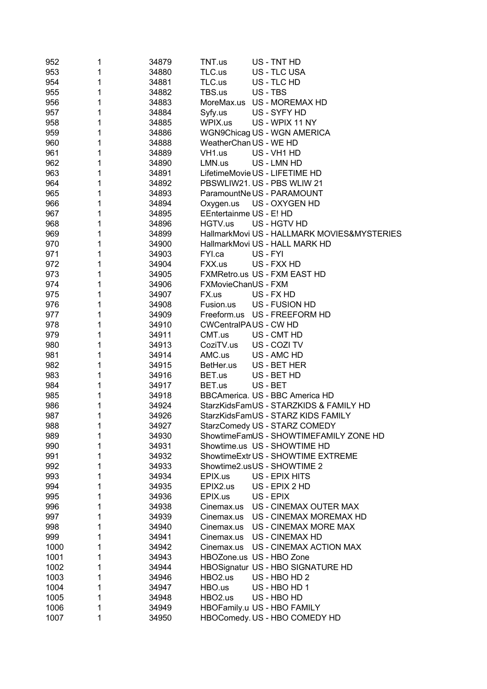| 952  | 1 | 34879 | TNT.us                       |          | US - TNT HD                                 |
|------|---|-------|------------------------------|----------|---------------------------------------------|
| 953  | 1 | 34880 | TLC.us                       |          | US - TLC USA                                |
| 954  | 1 | 34881 | TLC.us                       |          | US - TLC HD                                 |
| 955  | 1 | 34882 | TBS.us                       |          | US - TBS                                    |
| 956  | 1 | 34883 |                              |          | MoreMax.us US - MOREMAX HD                  |
| 957  | 1 | 34884 | Syfy.us                      |          | US - SYFY HD                                |
| 958  | 1 | 34885 | WPIX.us                      |          | US - WPIX 11 NY                             |
| 959  | 1 | 34886 |                              |          | WGN9Chicag US - WGN AMERICA                 |
| 960  | 1 | 34888 | WeatherChan US - WE HD       |          |                                             |
| 961  | 1 | 34889 | VH <sub>1.us</sub>           |          | US - VH1 HD                                 |
| 962  | 1 | 34890 | LMN.us                       |          | US - LMN HD                                 |
| 963  | 1 | 34891 |                              |          | LifetimeMovie US - LIFETIME HD              |
| 964  | 1 | 34892 |                              |          | PBSWLIW21. US - PBS WLIW 21                 |
| 965  | 1 | 34893 |                              |          | ParamountNe US - PARAMOUNT                  |
| 966  | 1 | 34894 | Oxygen.us                    |          | US - OXYGEN HD                              |
| 967  | 1 | 34895 | EEntertainme US - E! HD      |          |                                             |
| 968  | 1 | 34896 | HGTV.us                      |          | US - HGTV HD                                |
| 969  | 1 | 34899 |                              |          | HallmarkMovi US - HALLMARK MOVIES&MYSTERIES |
| 970  | 1 | 34900 |                              |          | HallmarkMovi US - HALL MARK HD              |
| 971  | 1 | 34903 | FYI.ca                       | US - FYI |                                             |
| 972  | 1 | 34904 | FXX.us                       |          | US - FXX HD                                 |
| 973  | 1 | 34905 |                              |          | FXMRetro.us US - FXM EAST HD                |
| 974  | 1 | 34906 | FXMovieChanUS - FXM          |          |                                             |
| 975  | 1 | 34907 | FX.us                        |          | US - FX HD                                  |
| 976  | 1 | 34908 | Fusion.us                    |          | US - FUSION HD                              |
| 977  | 1 | 34909 |                              |          | Freeform.us US - FREEFORM HD                |
| 978  | 1 | 34910 | <b>CWCentralPAUS - CW HD</b> |          |                                             |
| 979  | 1 | 34911 | CMT.us                       |          | US - CMT HD                                 |
| 980  | 1 | 34913 | CoziTV.us                    |          | US - COZI TV                                |
| 981  | 1 | 34914 | AMC.us                       |          | US - AMC HD                                 |
| 982  | 1 | 34915 | BetHer.us                    |          | US - BET HER                                |
| 983  | 1 | 34916 | BET.us                       |          | US - BET HD                                 |
| 984  | 1 | 34917 | BET.us                       |          | US - BET                                    |
| 985  | 1 | 34918 |                              |          | BBCAmerica. US - BBC America HD             |
| 986  | 1 | 34924 |                              |          | StarzKidsFamUS - STARZKIDS & FAMILY HD      |
| 987  | 1 | 34926 |                              |          | StarzKidsFamUS - STARZ KIDS FAMILY          |
| 988  |   | 34927 |                              |          | StarzComedy US - STARZ COMEDY               |
| 989  | 1 | 34930 |                              |          | ShowtimeFamUS - SHOWTIMEFAMILY ZONE HD      |
| 990  | 1 | 34931 |                              |          | Showtime.us US - SHOWTIME HD                |
| 991  | 1 | 34932 |                              |          | ShowtimeExtr US - SHOWTIME EXTREME          |
| 992  | 1 | 34933 |                              |          | Showtime2.usUS - SHOWTIME 2                 |
| 993  | 1 | 34934 | EPIX.us                      |          | US - EPIX HITS                              |
| 994  | 1 | 34935 | EPIX2.us                     |          | US - EPIX 2 HD                              |
| 995  | 1 | 34936 | EPIX.us                      |          | US - EPIX                                   |
| 996  | 1 | 34938 | Cinemax.us                   |          | US - CINEMAX OUTER MAX                      |
| 997  | 1 | 34939 | Cinemax.us                   |          | US - CINEMAX MOREMAX HD                     |
| 998  | 1 | 34940 |                              |          | Cinemax.us US - CINEMAX MORE MAX            |
| 999  | 1 | 34941 |                              |          | Cinemax.us US - CINEMAX HD                  |
| 1000 | 1 | 34942 |                              |          | Cinemax.us US - CINEMAX ACTION MAX          |
| 1001 | 1 | 34943 | HBOZone.us US - HBO Zone     |          |                                             |
| 1002 | 1 | 34944 |                              |          | HBOSignatur US - HBO SIGNATURE HD           |
| 1003 | 1 | 34946 | HBO2.us                      |          | US - HBO HD 2                               |
| 1004 | 1 | 34947 | HBO.us                       |          | US - HBO HD 1                               |
| 1005 | 1 | 34948 | HBO2.us                      |          | US - HBO HD                                 |
| 1006 | 1 | 34949 |                              |          | HBOFamily.u US - HBO FAMILY                 |
| 1007 | 1 | 34950 |                              |          | HBOComedy. US - HBO COMEDY HD               |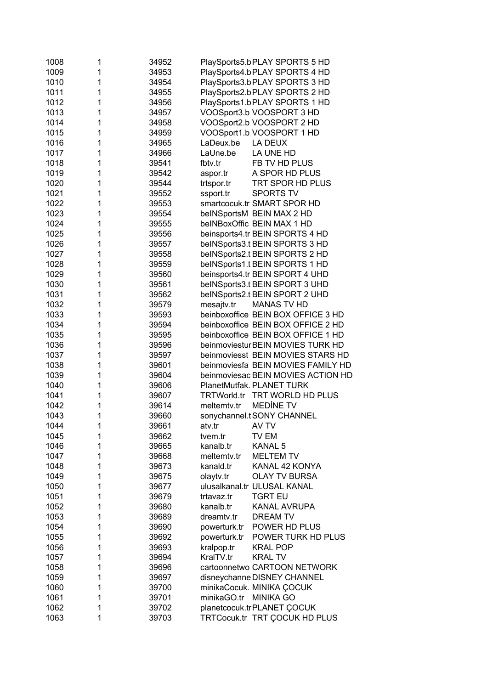| 1008 | 1 | 34952 | PlaySports5.bPLAY SPORTS 5 HD           |
|------|---|-------|-----------------------------------------|
| 1009 | 1 | 34953 | PlaySports4.bPLAY SPORTS 4 HD           |
| 1010 | 1 | 34954 | PlaySports3.bPLAY SPORTS 3 HD           |
| 1011 | 1 | 34955 | PlaySports2.bPLAY SPORTS 2 HD           |
|      |   |       |                                         |
| 1012 | 1 | 34956 | PlaySports1.bPLAY SPORTS 1 HD           |
| 1013 | 1 | 34957 | VOOSport3.b VOOSPORT 3 HD               |
| 1014 | 1 | 34958 | VOOSport2.b VOOSPORT 2 HD               |
| 1015 | 1 | 34959 | VOOSport1.b VOOSPORT 1 HD               |
| 1016 | 1 | 34965 | LaDeux.be<br>LA DEUX                    |
| 1017 | 1 | 34966 | LaUne.be<br>LA UNE HD                   |
| 1018 | 1 | 39541 | FB TV HD PLUS<br>fbtv.tr                |
| 1019 | 1 | 39542 | A SPOR HD PLUS<br>aspor.tr              |
| 1020 | 1 | 39544 | trtspor.tr<br>TRT SPOR HD PLUS          |
| 1021 | 1 | 39552 | <b>SPORTS TV</b><br>ssport.tr           |
| 1022 | 1 | 39553 | smartcocuk.tr SMART SPOR HD             |
| 1023 | 1 | 39554 | beINSportsM BEIN MAX 2 HD               |
| 1024 | 1 | 39555 | beINBoxOffic BEIN MAX 1 HD              |
|      |   |       |                                         |
| 1025 | 1 | 39556 | beinsports4.tr BEIN SPORTS 4 HD         |
| 1026 | 1 | 39557 | beINSports3.t BEIN SPORTS 3 HD          |
| 1027 | 1 | 39558 | beINSports2.t BEIN SPORTS 2 HD          |
| 1028 | 1 | 39559 | beINSports1.t BEIN SPORTS 1 HD          |
| 1029 | 1 | 39560 | beinsports4.tr BEIN SPORT 4 UHD         |
| 1030 | 1 | 39561 | beINSports3.t BEIN SPORT 3 UHD          |
| 1031 | 1 | 39562 | beINSports2.t BEIN SPORT 2 UHD          |
| 1032 | 1 | 39579 | mesajtv.tr<br><b>MANAS TV HD</b>        |
| 1033 | 1 | 39593 | beinboxoffice BEIN BOX OFFICE 3 HD      |
| 1034 | 1 | 39594 | beinboxoffice BEIN BOX OFFICE 2 HD      |
| 1035 | 1 | 39595 | beinboxoffice BEIN BOX OFFICE 1 HD      |
| 1036 | 1 | 39596 | beinmoviestur BEIN MOVIES TURK HD       |
| 1037 | 1 | 39597 | beinmoviesst BEIN MOVIES STARS HD       |
| 1038 | 1 | 39601 | beinmoviesfa BEIN MOVIES FAMILY HD      |
| 1039 | 1 | 39604 | beinmoviesac BEIN MOVIES ACTION HD      |
| 1040 | 1 | 39606 | PlanetMutfak. PLANET TURK               |
| 1041 | 1 | 39607 | <b>TRTWorld.tr</b><br>TRT WORLD HD PLUS |
| 1042 | 1 | 39614 | <b>MEDINE TV</b><br>meltemtv.tr         |
|      |   |       |                                         |
| 1043 | 1 | 39660 | sonychannel.t SONY CHANNEL              |
| 1044 | 1 | 39661 | atv.tr<br>AV TV                         |
| 1045 | 1 | 39662 | TV EM<br>tvem.tr                        |
| 1046 | 1 | 39665 | KANAL 5<br>kanalb.tr                    |
| 1047 | 1 | 39668 | <b>MELTEM TV</b><br>meltemty.tr         |
| 1048 | 1 | 39673 | kanald.tr<br>KANAL 42 KONYA             |
| 1049 | 1 | 39675 | olaytv.tr<br><b>OLAY TV BURSA</b>       |
| 1050 | 1 | 39677 | ulusalkanal.tr ULUSAL KANAL             |
| 1051 | 1 | 39679 | <b>TGRT EU</b><br>trtavaz.tr            |
| 1052 | 1 | 39680 | <b>KANAL AVRUPA</b><br>kanalb.tr        |
| 1053 | 1 | 39689 | <b>DREAM TV</b><br>dreamtv.tr           |
| 1054 | 1 | 39690 | POWER HD PLUS<br>powerturk.tr           |
| 1055 | 1 | 39692 | powerturk.tr<br>POWER TURK HD PLUS      |
| 1056 | 1 | 39693 | <b>KRAL POP</b><br>kralpop.tr           |
| 1057 | 1 | 39694 | KralTV.tr<br><b>KRAL TV</b>             |
| 1058 | 1 | 39696 | cartoonnetwo CARTOON NETWORK            |
| 1059 | 1 | 39697 | disneychanne DISNEY CHANNEL             |
| 1060 | 1 | 39700 | minikaCocuk. MINIKA ÇOCUK               |
| 1061 | 1 |       | minikaGO.tr MINIKA GO                   |
|      |   | 39701 |                                         |
| 1062 | 1 | 39702 | planetcocuk.trPLANET COCUK              |
| 1063 | 1 | 39703 | TRTCocuk.tr TRT ÇOCUK HD PLUS           |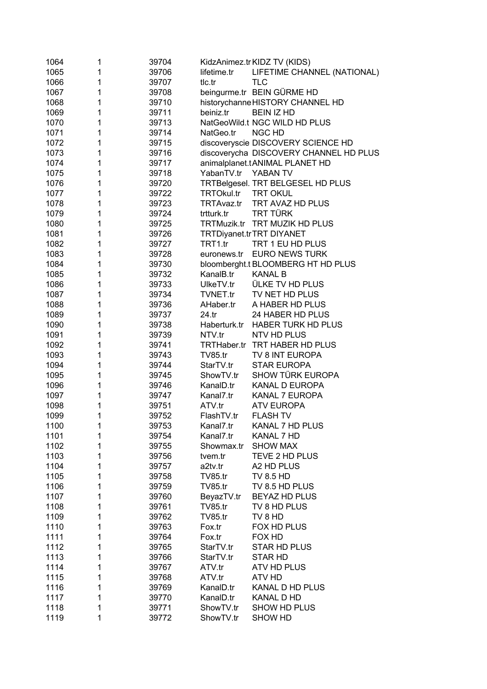| 1064 | 1 | 39704          |                     | KidzAnimez.tr KIDZ TV (KIDS)           |
|------|---|----------------|---------------------|----------------------------------------|
| 1065 | 1 | 39706          | lifetime.tr         | LIFETIME CHANNEL (NATIONAL)            |
| 1066 | 1 | 39707          | tlc.tr              | <b>TLC</b>                             |
| 1067 | 1 | 39708          |                     | beingurme.tr BEIN GÜRME HD             |
| 1068 | 1 | 39710          |                     | historychanne HISTORY CHANNEL HD       |
| 1069 | 1 | 39711          | beiniz.tr           | <b>BEIN IZ HD</b>                      |
| 1070 | 1 | 39713          |                     | NatGeoWild.t NGC WILD HD PLUS          |
| 1071 | 1 | 39714          | NatGeo.tr           | <b>NGC HD</b>                          |
| 1072 | 1 | 39715          |                     | discoveryscie DISCOVERY SCIENCE HD     |
| 1073 | 1 | 39716          |                     | discoverycha DISCOVERY CHANNEL HD PLUS |
| 1074 | 1 | 39717          |                     | animalplanet.tANIMAL PLANET HD         |
| 1075 | 1 | 39718          | YabanTV.tr YABAN TV |                                        |
| 1076 | 1 | 39720          |                     | TRTBelgesel. TRT BELGESEL HD PLUS      |
| 1077 | 1 | 39722          | TRTOkul.tr          | <b>TRT OKUL</b>                        |
| 1078 | 1 | 39723          | TRTAvaz.tr          | TRT AVAZ HD PLUS                       |
| 1079 | 1 | 39724          | trtturk.tr          | TRT TÜRK                               |
| 1080 | 1 | 39725          |                     | TRTMuzik.tr TRT MUZIK HD PLUS          |
| 1081 | 1 | 39726          |                     | TRTDiyanet.trTRT DIYANET               |
| 1082 | 1 | 39727          | TRT1.tr             | TRT 1 EU HD PLUS                       |
| 1083 | 1 | 39728          | euronews.tr         | <b>EURO NEWS TURK</b>                  |
| 1084 | 1 | 39730          |                     | bloomberght.t BLOOMBERG HT HD PLUS     |
| 1085 | 1 | 39732          | KanalB.tr           | <b>KANAL B</b>                         |
| 1086 | 1 | 39733          | UlkeTV.tr           | <b>ÜLKE TV HD PLUS</b>                 |
| 1087 | 1 | 39734          | TVNET.tr            | TV NET HD PLUS                         |
| 1088 | 1 | 39736          | AHaber.tr           | A HABER HD PLUS                        |
| 1089 | 1 | 39737          | 24.tr               | 24 HABER HD PLUS                       |
| 1090 | 1 | 39738          |                     | Haberturk.tr HABER TURK HD PLUS        |
| 1091 | 1 | 39739          | NTV.tr              | NTV HD PLUS                            |
| 1092 | 1 | 39741          |                     | TRTHaber.tr TRT HABER HD PLUS          |
| 1093 | 1 | 39743          | <b>TV85.tr</b>      | TV 8 INT EUROPA                        |
| 1094 | 1 | 39744          | StarTV.tr           | <b>STAR EUROPA</b>                     |
| 1095 | 1 | 39745          | ShowTV.tr           | SHOW TÜRK EUROPA                       |
| 1096 | 1 | 39746          | KanalD.tr           | <b>KANAL D EUROPA</b>                  |
| 1097 | 1 | 39747          | Kanal7.tr           | <b>KANAL 7 EUROPA</b>                  |
| 1098 | 1 | 39751          | ATV.tr              | <b>ATV EUROPA</b>                      |
| 1099 | 1 | 39752          | FlashTV.tr          | <b>FLASH TV</b>                        |
| 1100 | 1 | 39753          | Kanal7.tr           | KANAL 7 HD PLUS                        |
| 1101 | 1 | 39754          | Kanal7.tr           | KANAL 7 HD                             |
| 1102 | 1 | 39755          | Showmax.tr          | <b>SHOW MAX</b>                        |
| 1103 | 1 | 39756          | tvem.tr             | TEVE 2 HD PLUS                         |
| 1104 | 1 | 39757          | a2tv.tr             | A2 HD PLUS                             |
| 1105 | 1 | 39758          | <b>TV85.tr</b>      | <b>TV 8.5 HD</b>                       |
| 1106 | 1 | 39759          | <b>TV85.tr</b>      | TV 8.5 HD PLUS                         |
| 1107 | 1 | 39760          | BeyazTV.tr          | <b>BEYAZ HD PLUS</b>                   |
| 1108 | 1 | 39761          | <b>TV85.tr</b>      | TV 8 HD PLUS                           |
| 1109 | 1 | 39762          | TV85.tr             | TV 8 HD                                |
| 1110 | 1 | 39763          | Fox.tr              | FOX HD PLUS                            |
| 1111 | 1 | 39764          | Fox.tr              | FOX HD                                 |
| 1112 | 1 | 39765          | StarTV.tr           | <b>STAR HD PLUS</b>                    |
| 1113 | 1 | 39766          | StarTV.tr           | <b>STAR HD</b>                         |
| 1114 | 1 |                | ATV.tr              | <b>ATV HD PLUS</b>                     |
| 1115 | 1 | 39767<br>39768 | ATV.tr              | ATV HD                                 |
| 1116 | 1 | 39769          | KanalD.tr           | KANAL D HD PLUS                        |
| 1117 | 1 |                |                     | <b>KANAL D HD</b>                      |
|      |   | 39770          | KanalD.tr           |                                        |
| 1118 | 1 | 39771          | ShowTV.tr           | SHOW HD PLUS                           |
| 1119 | 1 | 39772          | ShowTV.tr           | <b>SHOW HD</b>                         |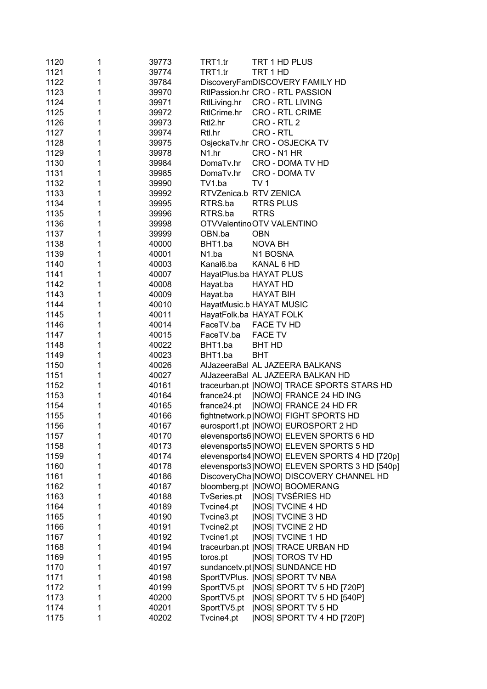| 1120 | 1 | 39773 | TRT1.tr            | TRT 1 HD PLUS                                    |
|------|---|-------|--------------------|--------------------------------------------------|
| 1121 | 1 | 39774 | TRT1.tr            | TRT 1 HD                                         |
| 1122 | 1 | 39784 |                    | DiscoveryFamDISCOVERY FAMILY HD                  |
| 1123 | 1 | 39970 |                    | RtlPassion.hr CRO - RTL PASSION                  |
| 1124 | 1 | 39971 | RtlLiving.hr       | <b>CRO - RTL LIVING</b>                          |
| 1125 | 1 | 39972 | RtlCrime.hr        | <b>CRO - RTL CRIME</b>                           |
| 1126 | 1 | 39973 | Rtl2.hr            | CRO - RTL 2                                      |
| 1127 | 1 | 39974 | Rtl.hr             | CRO - RTL                                        |
|      |   |       |                    |                                                  |
| 1128 | 1 | 39975 |                    | OsjeckaTv.hr CRO - OSJECKA TV<br>CRO - N1 HR     |
| 1129 | 1 | 39978 | N1.hr              |                                                  |
| 1130 | 1 | 39984 | DomaTv.hr          | CRO - DOMA TV HD                                 |
| 1131 | 1 | 39985 | DomaTv.hr          | CRO - DOMA TV                                    |
| 1132 | 1 | 39990 | TV1.ba             | TV <sub>1</sub>                                  |
| 1133 | 1 | 39992 |                    | RTVZenica.b RTV ZENICA                           |
| 1134 | 1 | 39995 | RTRS.ba            | <b>RTRS PLUS</b>                                 |
| 1135 | 1 | 39996 | RTRS.ba            | <b>RTRS</b>                                      |
| 1136 | 1 | 39998 |                    | OTVValentinoOTV VALENTINO                        |
| 1137 | 1 | 39999 | OBN.ba             | <b>OBN</b>                                       |
| 1138 | 1 | 40000 | BHT1.ba            | <b>NOVA BH</b>                                   |
| 1139 | 1 | 40001 | N <sub>1</sub> .ba | N1 BOSNA                                         |
| 1140 | 1 | 40003 | Kanal6.ba          | KANAL 6 HD                                       |
| 1141 | 1 | 40007 |                    | HayatPlus.ba HAYAT PLUS                          |
| 1142 | 1 | 40008 | Hayat.ba           | <b>HAYAT HD</b>                                  |
| 1143 | 1 | 40009 | Hayat.ba           | <b>HAYAT BIH</b>                                 |
| 1144 | 1 | 40010 |                    | HayatMusic.b HAYAT MUSIC                         |
| 1145 | 1 | 40011 |                    | HayatFolk.ba HAYAT FOLK                          |
| 1146 | 1 | 40014 | FaceTV.ba          | FACE TV HD                                       |
| 1147 | 1 | 40015 | FaceTV.ba          | <b>FACE TV</b>                                   |
| 1148 | 1 | 40022 | BHT1.ba            | <b>BHT HD</b>                                    |
| 1149 | 1 | 40023 | BHT1.ba            | <b>BHT</b>                                       |
| 1150 | 1 | 40026 |                    | AlJazeeraBal AL JAZEERA BALKANS                  |
| 1151 | 1 | 40027 |                    | AlJazeeraBal AL JAZEERA BALKAN HD                |
| 1152 | 1 | 40161 |                    | traceurban.pt   NOWO  TRACE SPORTS STARS HD      |
| 1153 | 1 | 40164 | france24.pt        | <b>INOWOI FRANCE 24 HD ING</b>                   |
| 1154 | 1 | 40165 | france24.pt        | <b>NOWO FRANCE 24 HD FR</b>                      |
| 1155 | 1 | 40166 |                    | fightnetwork.p NOWO  FIGHT SPORTS HD             |
| 1156 | 1 | 40167 |                    | eurosport1.pt   NOWO   EUROSPORT 2 HD            |
| 1157 | 1 | 40170 |                    | elevensports6 NOWO  ELEVEN SPORTS 6 HD           |
| 1158 | 1 | 40173 |                    | elevensports5 NOWO  ELEVEN SPORTS 5 HD           |
| 1159 | 1 | 40174 |                    | elevensports4   NOWO   ELEVEN SPORTS 4 HD [720p] |
| 1160 | 1 |       |                    |                                                  |
|      |   | 40178 |                    | elevensports3 NOWO  ELEVEN SPORTS 3 HD [540p]    |
| 1161 | 1 | 40186 |                    | DiscoveryCha   NOWO   DISCOVERY CHANNEL HD       |
| 1162 | 1 | 40187 |                    | bloomberg.pt  NOWO  BOOMERANG                    |
| 1163 | 1 | 40188 | TvSeries.pt        | <b>INOSI TVSÉRIES HD</b>                         |
| 1164 | 1 | 40189 | Tvcine4.pt         | <b>INOSI TVCINE 4 HD</b>                         |
| 1165 | 1 | 40190 | Tvcine3.pt         | <b>INOSI TVCINE 3 HD</b>                         |
| 1166 | 1 | 40191 | Tvcine2.pt         | <b>INOSI TVCINE 2 HD</b>                         |
| 1167 | 1 | 40192 | Tvcine1.pt         | <b>INOSI TVCINE 1 HD</b>                         |
| 1168 | 1 | 40194 |                    | traceurban.pt   NOS  TRACE URBAN HD              |
| 1169 | 1 | 40195 | toros.pt           | <b>INOSI TOROS TV HD</b>                         |
| 1170 | 1 | 40197 |                    | sundancetv.pt NOS  SUNDANCE HD                   |
| 1171 | 1 | 40198 |                    | SportTVPlus.   NOS  SPORT TV NBA                 |
| 1172 | 1 | 40199 | SportTV5.pt        | INOS  SPORT TV 5 HD [720P]                       |
| 1173 | 1 | 40200 | SportTV5.pt        | INOS  SPORT TV 5 HD [540P]                       |
| 1174 | 1 | 40201 | SportTV5.pt        | <b>INOSI SPORT TV 5 HD</b>                       |
| 1175 | 1 | 40202 | Tvcine4.pt         | NOS  SPORT TV 4 HD [720P]                        |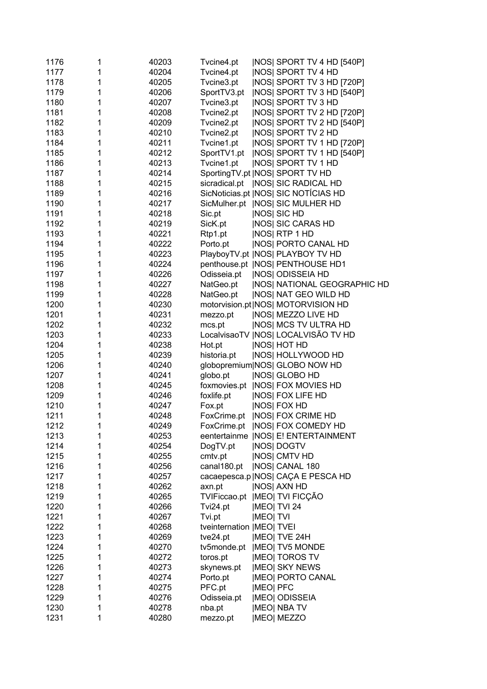| 1176 | 1 | 40203 | Tvcine4.pt                     |                  | <b>INOSI SPORT TV 4 HD [540P]</b>      |
|------|---|-------|--------------------------------|------------------|----------------------------------------|
| 1177 | 1 | 40204 | Tvcine4.pt                     |                  | <b>INOSI SPORT TV 4 HD</b>             |
| 1178 | 1 | 40205 | Tvcine3.pt                     |                  | <b>INOSI SPORT TV 3 HD [720P]</b>      |
| 1179 | 1 | 40206 | SportTV3.pt                    |                  | NOS  SPORT TV 3 HD [540P]              |
| 1180 | 1 | 40207 | Tvcine3.pt                     |                  | <b>NOS SPORT TV 3 HD</b>               |
| 1181 | 1 | 40208 | Tvcine2.pt                     |                  | <b>INOSI SPORT TV 2 HD [720P]</b>      |
| 1182 | 1 | 40209 | Tvcine2.pt                     |                  | NOS  SPORT TV 2 HD [540P]              |
| 1183 | 1 | 40210 | Tvcine2.pt                     |                  | <b>INOSI SPORT TV 2 HD</b>             |
| 1184 | 1 | 40211 | Tvcine1.pt                     |                  | <b>INOSI SPORT TV 1 HD [720P]</b>      |
| 1185 | 1 | 40212 | SportTV1.pt                    |                  | NOS  SPORT TV 1 HD [540P]              |
| 1186 | 1 | 40213 | Tvcine1.pt                     |                  | <b>INOSI SPORT TV 1 HD</b>             |
| 1187 | 1 | 40214 |                                |                  | SportingTV.pt   NOS  SPORT TV HD       |
| 1188 | 1 | 40215 |                                |                  | sicradical.pt   NOS  SIC RADICAL HD    |
| 1189 | 1 | 40216 |                                |                  | SicNoticias.pt   NOS   SIC NOTÍCIAS HD |
| 1190 | 1 | 40217 |                                |                  | SicMulher.pt   NOS  SIC MULHER HD      |
| 1191 |   | 40218 | Sic.pt                         |                  | <b>NOS SIC HD</b>                      |
| 1192 | 1 | 40219 | SicK.pt                        |                  | <b>INOSI SIC CARAS HD</b>              |
| 1193 | 1 | 40221 | Rtp1.pt                        |                  | <b>NOS RTP 1 HD</b>                    |
| 1194 | 1 | 40222 | Porto.pt                       |                  | <b>INOSI PORTO CANAL HD</b>            |
| 1195 | 1 | 40223 |                                |                  | PlayboyTV.pt   NOS  PLAYBOY TV HD      |
| 1196 | 1 | 40224 |                                |                  | penthouse.pt   NOS  PENTHOUSE HD1      |
| 1197 | 1 | 40226 | Odisseia.pt                    |                  | <b>INOSI ODISSEIA HD</b>               |
| 1198 | 1 | 40227 | NatGeo.pt                      |                  | <b>INOSI NATIONAL GEOGRAPHIC HD</b>    |
| 1199 | 1 | 40228 | NatGeo.pt                      |                  | <b>INOSI NAT GEO WILD HD</b>           |
| 1200 | 1 | 40230 |                                |                  | motorvision.pt NOS  MOTORVISION HD     |
| 1201 | 1 | 40231 | mezzo.pt                       |                  | <b>INOSI MEZZO LIVE HD</b>             |
| 1202 | 1 | 40232 | mcs.pt                         |                  | <b>INOSI MCS TV ULTRA HD</b>           |
| 1203 | 1 | 40233 |                                |                  | LocalvisaoTV   NOS   LOCALVISÃO TV HD  |
| 1204 | 1 | 40238 | Hot.pt                         |                  | <b>NOS HOT HD</b>                      |
| 1205 | 1 | 40239 | historia.pt                    |                  | <b>INOSI HOLLYWOOD HD</b>              |
| 1206 | 1 | 40240 |                                |                  | globopremium NOS  GLOBO NOW HD         |
| 1207 | 1 | 40241 | globo.pt                       |                  | <b>INOSI GLOBO HD</b>                  |
| 1208 | 1 | 40245 |                                |                  | foxmovies.pt  NOS  FOX MOVIES HD       |
| 1209 | 1 | 40246 | foxlife.pt                     |                  | <b>INOSI FOX LIFE HD</b>               |
| 1210 | 1 | 40247 | Fox.pt                         |                  | <b>INOSI FOX HD</b>                    |
| 1211 | 1 | 40248 | FoxCrime.pt                    |                  | <b>INOSI FOX CRIME HD</b>              |
| 1212 |   | 40249 | FoxCrime.pt                    |                  | NOS  FOX COMEDY HD                     |
| 1213 |   | 40253 |                                |                  | eentertainme   NOS  E! ENTERTAINMENT   |
| 1214 |   | 40254 | DogTV.pt                       |                  | <b>INOSI DOGTV</b>                     |
| 1215 |   | 40255 | cmtv.pt                        |                  | <b>INOSI CMTV HD</b>                   |
| 1216 |   | 40256 | canal180.pt                    |                  | <b>INOSI CANAL 180</b>                 |
| 1217 | 1 | 40257 |                                |                  | cacaepesca.p   NOS   CAÇA E PESCA HD   |
| 1218 | 1 | 40262 | axn.pt                         |                  | <b>INOSI AXN HD</b>                    |
| 1219 | 1 | 40265 | TVIFiccao.pt   MEO  TVI FICÇÃO |                  |                                        |
| 1220 |   | 40266 | Tvi24.pt                       |                  | <b>IMEO TVI 24</b>                     |
| 1221 |   | 40267 | Tvi.pt                         | <b>IMEOI TVI</b> |                                        |
| 1222 | 1 | 40268 | tveinternation  MEO  TVEI      |                  |                                        |
| 1223 | 1 | 40269 | tve24.pt                       |                  | <b>IMEOI TVE 24H</b>                   |
| 1224 | 1 | 40270 | tv5monde.pt                    |                  | <b>IMEOI TV5 MONDE</b>                 |
| 1225 |   | 40272 | toros.pt                       |                  | <b>IMEOI TOROS TV</b>                  |
| 1226 |   | 40273 | skynews.pt                     |                  | <b>IMEOI SKY NEWS</b>                  |
| 1227 | 1 | 40274 | Porto.pt                       |                  | <b>IMEOI PORTO CANAL</b>               |
| 1228 | 1 | 40275 | PFC.pt                         | <b>IMEOI PFC</b> |                                        |
| 1229 | 1 | 40276 | Odisseia.pt                    |                  | <b>IMEO ODISSEIA</b>                   |
| 1230 | 1 | 40278 | nba.pt                         |                  | <b>IMEOI NBA TV</b>                    |
| 1231 | 1 | 40280 | mezzo.pt                       |                  | <b>IMEOI MEZZO</b>                     |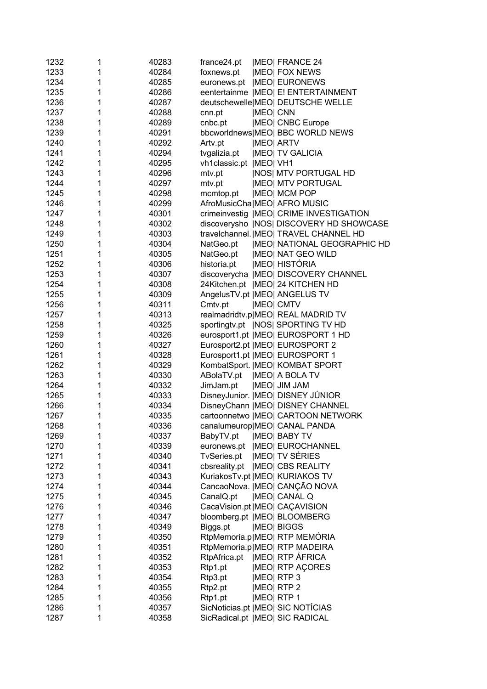| 1232         | 1      | 40283          | france24.pt             |                  | <b>IMEOI FRANCE 24</b>                                    |
|--------------|--------|----------------|-------------------------|------------------|-----------------------------------------------------------|
| 1233         | 1      | 40284          | foxnews.pt              |                  | <b>IMEOI FOX NEWS</b>                                     |
| 1234         | 1      | 40285          | euronews.pt             |                  | <b>IMEOI EURONEWS</b>                                     |
| 1235         | 1      | 40286          |                         |                  | eentertainme   MEO   E! ENTERTAINMENT                     |
| 1236         | 1      | 40287          |                         |                  | deutschewelle MEO  DEUTSCHE WELLE                         |
| 1237         | 1      | 40288          | cnn.pt                  | <b>IMEOI CNN</b> |                                                           |
| 1238         | 1      | 40289          | cnbc.pt                 |                  | <b>IMEO</b> CNBC Europe                                   |
| 1239         | 1      | 40291          |                         |                  | bbcworldnews MEO  BBC WORLD NEWS                          |
| 1240         | 1      | 40292          | Artv.pt                 |                  | <b>IMEOI ARTV</b>                                         |
| 1241         | 1      | 40294          | tvgalizia.pt            |                  | <b>IMEOI TV GALICIA</b>                                   |
| 1242         | 1      | 40295          | vh1classic.pt  MEO  VH1 |                  |                                                           |
| 1243         | 1      | 40296          | mtv.pt                  |                  | <b>INOSI MTV PORTUGAL HD</b>                              |
| 1244         | 1      | 40297          | mtv.pt                  |                  | <b>IMEOI MTV PORTUGAL</b>                                 |
| 1245         | 1      | 40298          | mcmtop.pt               |                  | <b>IMEO MCM POP</b>                                       |
| 1246         | 1      | 40299          |                         |                  | AfroMusicCha MEO  AFRO MUSIC                              |
| 1247         | 1      | 40301          |                         |                  | crimeinvestig  MEO  CRIME INVESTIGATION                   |
| 1248         | 1      | 40302          |                         |                  | discoverysho  NOS  DISCOVERY HD SHOWCASE                  |
| 1249         | 1      | 40303          |                         |                  | travelchannel.   MEO  TRAVEL CHANNEL HD                   |
| 1250         | 1      | 40304          | NatGeo.pt               |                  | <b>IMEO NATIONAL GEOGRAPHIC HD</b>                        |
| 1251         | 1      | 40305          | NatGeo.pt               |                  | <b>IMEOI NAT GEO WILD</b>                                 |
| 1252         | 1      | 40306          | historia.pt             |                  | <b>IMEO HISTÓRIA</b>                                      |
| 1253         | 1      | 40307          |                         |                  | discoverycha  MEO  DISCOVERY CHANNEL                      |
| 1254         | 1      | 40308          |                         |                  | 24Kitchen.pt   MEO   24 KITCHEN HD                        |
| 1255         | 1      | 40309          |                         |                  | AngelusTV.pt   MEO  ANGELUS TV                            |
| 1256         | 1      | 40311          | Cmtv.pt                 |                  | <b>IMEOI CMTV</b>                                         |
| 1257         | 1      | 40313          |                         |                  | realmadridtv.p MEO  REAL MADRID TV                        |
| 1258         | 1      | 40325          |                         |                  | sportingtv.pt   NOS  SPORTING TV HD                       |
| 1259         | 1      | 40326          |                         |                  | eurosport1.pt  MEO  EUROSPORT 1 HD                        |
| 1260         | 1      | 40327          |                         |                  | Eurosport2.pt   MEO   EUROSPORT 2                         |
| 1261         | 1      | 40328          |                         |                  | Eurosport1.pt   MEO   EUROSPORT 1                         |
| 1262         | 1      | 40329          |                         |                  | KombatSport.   MEO   KOMBAT SPORT                         |
| 1263         | 1      | 40330          | ABolaTV.pt              |                  | <b>IMEOI A BOLA TV</b>                                    |
| 1264         | 1      | 40332          | JimJam.pt               |                  | <b>IMEO JIM JAM</b>                                       |
| 1265         | 1      | 40333          |                         |                  | DisneyJunior.   MEO   DISNEY JÚNIOR                       |
| 1266         | 1      | 40334          |                         |                  | DisneyChann   MEO   DISNEY CHANNEL                        |
| 1267         | 1      | 40335          |                         |                  | cartoonnetwo  MEO  CARTOON NETWORK                        |
| 1268         | 1      |                |                         |                  | canalumeurop MEO  CANAL PANDA                             |
| 1269         | 1      | 40336<br>40337 | BabyTV.pt               |                  | <b>IMEO BABY TV</b>                                       |
| 1270         | 1      | 40339          |                         |                  | euronews.pt   MEO  EUROCHANNEL                            |
| 1271         | 1      | 40340          | TvSeries.pt             |                  | <b>IMEOI TV SÉRIES</b>                                    |
| 1272         | 1      | 40341          | cbsreality.pt           |                  | <b>IMEOI CBS REALITY</b>                                  |
| 1273         | 1      | 40343          |                         |                  | KuriakosTv.pt   MEO   KURIAKOS TV                         |
| 1274         | 1      | 40344          |                         |                  | CancaoNova.   MEO   CANÇÃO NOVA                           |
| 1275         | 1      | 40345          | CanalQ.pt               |                  | <b>IMEOI CANAL Q</b>                                      |
| 1276         | 1      | 40346          |                         |                  |                                                           |
|              |        |                |                         |                  | CacaVision.pt   MEO   CAÇAVISION                          |
| 1277         | 1<br>1 | 40347          |                         |                  | bloomberg.pt  MEO  BLOOMBERG                              |
| 1278         |        | 40349          | Biggs.pt                |                  | <b>IMEO BIGGS</b>                                         |
| 1279<br>1280 | 1<br>1 | 40350          |                         |                  | RtpMemoria.p MEO  RTP MEMÓRIA                             |
|              |        | 40351          |                         |                  | RtpMemoria.p MEO  RTP MADEIRA                             |
| 1281         | 1      | 40352          | RtpAfrica.pt            |                  | <b>IMEO RTP ÁFRICA</b>                                    |
| 1282         | 1      | 40353          | Rtp1.pt                 |                  | <b>IMEOI RTP AÇORES</b>                                   |
| 1283         | 1      | 40354          | Rtp3.pt                 |                  | <b>IMEOI RTP3</b>                                         |
| 1284         | 1      | 40355          | Rtp2.pt                 |                  | <b>IMEOI RTP 2</b>                                        |
| 1285<br>1286 | 1      | 40356          | Rtp1.pt                 |                  | <b>IMEOI RTP 1</b><br>SicNoticias.pt   MEO   SIC NOTÍCIAS |
|              | 1      | 40357          |                         |                  |                                                           |
| 1287         | 1      | 40358          |                         |                  | SicRadical.pt   MEO   SIC RADICAL                         |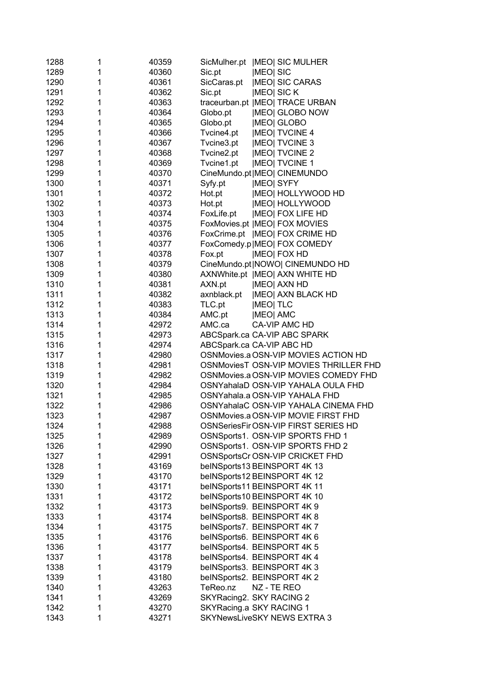| 1288 | 1 | 40359 | SicMulher.pt   MEO  SIC MULHER          |
|------|---|-------|-----------------------------------------|
| 1289 | 1 | 40360 | Sic.pt<br><b>IMEO SIC</b>               |
| 1290 | 1 | 40361 | <b>IMEO SIC CARAS</b><br>SicCaras.pt    |
| 1291 | 1 | 40362 | Sic.pt<br><b>IMEO SICK</b>              |
| 1292 | 1 | 40363 | traceurban.pt   MEO  TRACE URBAN        |
| 1293 | 1 | 40364 | Globo.pt<br><b>IMEOI GLOBO NOW</b>      |
| 1294 | 1 | 40365 | Globo.pt<br><b>IMEO GLOBO</b>           |
| 1295 | 1 | 40366 | Tvcine4.pt<br><b>IMEOI TVCINE 4</b>     |
| 1296 | 1 | 40367 | Tvcine3.pt<br><b>IMEO TVCINE 3</b>      |
| 1297 | 1 | 40368 | Tvcine2.pt<br><b>IMEOI TVCINE 2</b>     |
| 1298 | 1 | 40369 | <b>IMEOI TVCINE 1</b><br>Tvcine1.pt     |
| 1299 | 1 | 40370 | CineMundo.pt MEO  CINEMUNDO             |
| 1300 | 1 | 40371 | Syfy.pt<br><b>IMEO SYFY</b>             |
| 1301 | 1 | 40372 | Hot.pt<br><b>IMEOI HOLLYWOOD HD</b>     |
| 1302 | 1 | 40373 | <b>IMEO HOLLYWOOD</b><br>Hot.pt         |
| 1303 | 1 | 40374 | <b>IMEO FOX LIFE HD</b><br>FoxLife.pt   |
| 1304 | 1 | 40375 | FoxMovies.pt   MEO   FOX MOVIES         |
| 1305 | 1 | 40376 | FoxCrime.pt   MEO  FOX CRIME HD         |
| 1306 | 1 | 40377 | FoxComedy.p MEO  FOX COMEDY             |
| 1307 | 1 | 40378 | <b>IMEOI FOX HD</b><br>Fox.pt           |
| 1308 | 1 | 40379 | CineMundo.pt NOWO  CINEMUNDO HD         |
| 1309 | 1 | 40380 | AXNWhite.pt   MEO  AXN WHITE HD         |
| 1310 | 1 | 40381 | AXN.pt<br><b>IMEO AXN HD</b>            |
| 1311 | 1 | 40382 | axnblack.pt<br><b>IMEO AXN BLACK HD</b> |
| 1312 | 1 | 40383 | TLC.pt<br><b>IMEOI TLC</b>              |
| 1313 | 1 | 40384 | AMC.pt<br><b>IMEO AMC</b>               |
| 1314 | 1 | 42972 | AMC.ca<br>CA-VIP AMC HD                 |
| 1315 | 1 | 42973 | ABCSpark.ca CA-VIP ABC SPARK            |
| 1316 | 1 | 42974 | ABCSpark.ca CA-VIP ABC HD               |
| 1317 | 1 | 42980 | OSNMovies.a OSN-VIP MOVIES ACTION HD    |
| 1318 | 1 | 42981 | OSNMoviesT OSN-VIP MOVIES THRILLER FHD  |
| 1319 | 1 | 42982 | OSNMovies.a OSN-VIP MOVIES COMEDY FHD   |
| 1320 | 1 | 42984 | OSNYahalaD OSN-VIP YAHALA OULA FHD      |
| 1321 | 1 | 42985 | OSNYahala.a OSN-VIP YAHALA FHD          |
| 1322 | 1 | 42986 | OSNYahalaC OSN-VIP YAHALA CINEMA FHD    |
| 1323 | 1 | 42987 | OSNMovies.a OSN-VIP MOVIE FIRST FHD     |
| 1324 | 1 | 42988 | OSNSeriesFirOSN-VIP FIRST SERIES HD     |
| 1325 | 1 | 42989 | OSNSports1. OSN-VIP SPORTS FHD 1        |
| 1326 | 1 | 42990 | OSNSports1. OSN-VIP SPORTS FHD 2        |
| 1327 | 1 | 42991 | OSNSportsCr OSN-VIP CRICKET FHD         |
| 1328 | 1 | 43169 | beINSports13 BEINSPORT 4K 13            |
| 1329 | 1 | 43170 | beINSports12 BEINSPORT 4K 12            |
| 1330 | 1 | 43171 | beINSports11 BEINSPORT 4K 11            |
| 1331 | 1 | 43172 | beINSports10 BEINSPORT 4K 10            |
| 1332 | 1 | 43173 | beINSports9. BEINSPORT 4K 9             |
| 1333 | 1 | 43174 | beINSports8. BEINSPORT 4K 8             |
| 1334 | 1 | 43175 | beINSports7. BEINSPORT 4K 7             |
| 1335 | 1 | 43176 | beINSports6. BEINSPORT 4K 6             |
| 1336 | 1 | 43177 | beINSports4. BEINSPORT 4K 5             |
| 1337 | 1 | 43178 | beINSports4. BEINSPORT 4K 4             |
| 1338 | 1 | 43179 | beINSports3. BEINSPORT 4K 3             |
| 1339 | 1 | 43180 | beINSports2. BEINSPORT 4K 2             |
| 1340 | 1 | 43263 | TeReo.nz<br>NZ - TE REO                 |
| 1341 | 1 | 43269 | SKYRacing2. SKY RACING 2                |
| 1342 | 1 | 43270 | SKYRacing.a SKY RACING 1                |
| 1343 | 1 | 43271 | SKYNewsLiveSKY NEWS EXTRA 3             |
|      |   |       |                                         |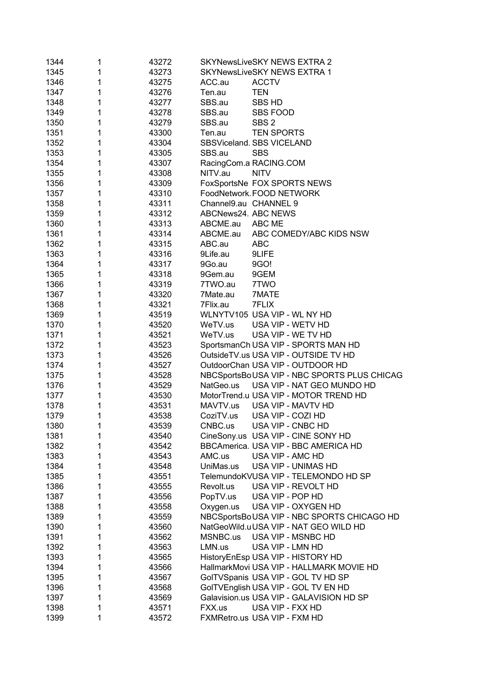| 1344 | 1 | 43272 |                        | SKYNewsLiveSKY NEWS EXTRA 2                 |
|------|---|-------|------------------------|---------------------------------------------|
| 1345 | 1 | 43273 |                        | <b>SKYNewsLiveSKY NEWS EXTRA 1</b>          |
| 1346 | 1 | 43275 | ACC.au                 | <b>ACCTV</b>                                |
| 1347 | 1 | 43276 | Ten.au                 | <b>TEN</b>                                  |
| 1348 | 1 | 43277 | SBS.au                 | <b>SBS HD</b>                               |
| 1349 | 1 | 43278 | SBS.au                 | <b>SBS FOOD</b>                             |
| 1350 | 1 | 43279 | SBS.au                 | SBS <sub>2</sub>                            |
| 1351 | 1 | 43300 | Ten.au                 | <b>TEN SPORTS</b>                           |
| 1352 | 1 | 43304 |                        | SBSViceland. SBS VICELAND                   |
| 1353 | 1 | 43305 | SBS.au                 | <b>SBS</b>                                  |
| 1354 | 1 | 43307 | RacingCom.a RACING.COM |                                             |
| 1355 | 1 | 43308 | NITV.au                | <b>NITV</b>                                 |
| 1356 | 1 | 43309 |                        | FoxSportsNe FOX SPORTS NEWS                 |
| 1357 | 1 | 43310 |                        | FoodNetwork. FOOD NETWORK                   |
| 1358 | 1 | 43311 | Channel9.au CHANNEL 9  |                                             |
| 1359 | 1 | 43312 | ABCNews24. ABC NEWS    |                                             |
| 1360 | 1 | 43313 | ABCME.au               | ABC ME                                      |
| 1361 | 1 | 43314 | ABCME.au               | ABC COMEDY/ABC KIDS NSW                     |
| 1362 | 1 | 43315 | ABC.au                 | <b>ABC</b>                                  |
| 1363 | 1 | 43316 | 9Life.au               | 9LIFE                                       |
| 1364 | 1 | 43317 | 9Go.au                 | 9GO!                                        |
| 1365 | 1 | 43318 | 9Gem.au                | 9GEM                                        |
| 1366 | 1 | 43319 | 7TWO.au                | 7TWO                                        |
| 1367 | 1 | 43320 | 7Mate.au               | 7MATE                                       |
| 1368 | 1 | 43321 | 7Flix.au               | 7FLIX                                       |
| 1369 | 1 | 43519 |                        | WLNYTV105 USA VIP - WL NY HD                |
| 1370 | 1 | 43520 | WeTV.us                | USA VIP - WETV HD                           |
| 1371 | 1 | 43521 | WeTV.us                | USA VIP - WE TV HD                          |
| 1372 | 1 | 43523 |                        | SportsmanCh USA VIP - SPORTS MAN HD         |
| 1373 | 1 | 43526 |                        | OutsideTV.us USA VIP - OUTSIDE TV HD        |
| 1374 | 1 | 43527 |                        | OutdoorChan USA VIP - OUTDOOR HD            |
| 1375 | 1 | 43528 |                        | NBCSportsBoUSA VIP - NBC SPORTS PLUS CHICAG |
| 1376 | 1 | 43529 | NatGeo.us              | USA VIP - NAT GEO MUNDO HD                  |
| 1377 | 1 | 43530 |                        | MotorTrend.u USA VIP - MOTOR TREND HD       |
| 1378 | 1 | 43531 | MAVTV.us               | USA VIP - MAVTV HD                          |
| 1379 | 1 | 43538 | CoziTV.us              | USA VIP - COZI HD                           |
| 1380 | 1 | 43539 | CNBC.us                | USA VIP - CNBC HD                           |
| 1381 | 1 | 43540 |                        | CineSony.us USA VIP - CINE SONY HD          |
| 1382 | 1 | 43542 |                        | BBCAmerica. USA VIP - BBC AMERICA HD        |
| 1383 | 1 | 43543 | AMC.us                 | USA VIP - AMC HD                            |
| 1384 | 1 | 43548 | UniMas.us              | USA VIP - UNIMAS HD                         |
| 1385 | 1 | 43551 |                        | TelemundoKVUSA VIP - TELEMONDO HD SP        |
| 1386 | 1 | 43555 | Revolt.us              | USA VIP - REVOLT HD                         |
| 1387 | 1 | 43556 | PopTV.us               | USA VIP - POP HD                            |
| 1388 | 1 | 43558 | Oxygen.us              | USA VIP - OXYGEN HD                         |
| 1389 | 1 | 43559 |                        | NBCSportsBoUSA VIP - NBC SPORTS CHICAGO HD  |
| 1390 | 1 | 43560 |                        | NatGeoWild.uUSA VIP - NAT GEO WILD HD       |
| 1391 | 1 | 43562 | MSNBC.us               | USA VIP - MSNBC HD                          |
| 1392 | 1 | 43563 | LMN.us                 | USA VIP - LMN HD                            |
| 1393 | 1 | 43565 |                        | HistoryEnEsp USA VIP - HISTORY HD           |
| 1394 | 1 | 43566 |                        | HallmarkMovi USA VIP - HALLMARK MOVIE HD    |
| 1395 | 1 | 43567 |                        | GolTVSpanis USA VIP - GOL TV HD SP          |
| 1396 | 1 | 43568 |                        | GoITVEnglish USA VIP - GOL TV EN HD         |
| 1397 | 1 | 43569 |                        | Galavision.us USA VIP - GALAVISION HD SP    |
| 1398 | 1 | 43571 | FXX.us                 | USA VIP - FXX HD                            |
| 1399 | 1 | 43572 |                        | FXMRetro.us USA VIP - FXM HD                |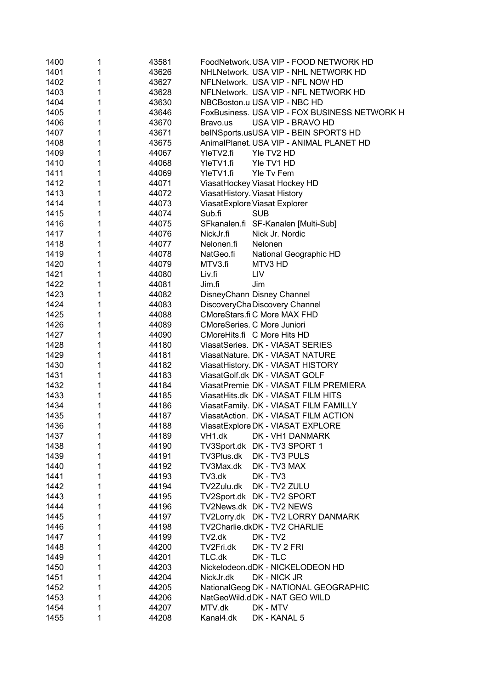| 1400 | 1 | 43581 | FoodNetwork. USA VIP - FOOD NETWORK HD        |
|------|---|-------|-----------------------------------------------|
| 1401 | 1 | 43626 | NHLNetwork. USA VIP - NHL NETWORK HD          |
| 1402 | 1 | 43627 | NFLNetwork. USA VIP - NFL NOW HD              |
| 1403 | 1 | 43628 | NFLNetwork. USA VIP - NFL NETWORK HD          |
| 1404 | 1 | 43630 | NBCBoston.u USA VIP - NBC HD                  |
| 1405 | 1 | 43646 | FoxBusiness. USA VIP - FOX BUSINESS NETWORK H |
| 1406 | 1 | 43670 | USA VIP - BRAVO HD<br>Bravo.us                |
| 1407 | 1 | 43671 | beINSports.usUSA VIP - BEIN SPORTS HD         |
| 1408 | 1 | 43675 | AnimalPlanet. USA VIP - ANIMAL PLANET HD      |
| 1409 | 1 | 44067 | YleTV2.fi<br>Yle TV2 HD                       |
| 1410 | 1 | 44068 | YleTV1.fi<br>Yle TV1 HD                       |
| 1411 | 1 | 44069 | YleTV1.fi<br>Yle Tv Fem                       |
| 1412 | 1 | 44071 | ViasatHockey Viasat Hockey HD                 |
| 1413 | 1 | 44072 | ViasatHistory. Viasat History                 |
| 1414 | 1 | 44073 | ViasatExplore Viasat Explorer                 |
| 1415 | 1 | 44074 | <b>SUB</b><br>Sub.fi                          |
| 1416 | 1 | 44075 | SFkanalen.fi SF-Kanalen [Multi-Sub]           |
| 1417 | 1 | 44076 | Nick Jr. Nordic<br>NickJr.fi                  |
| 1418 | 1 | 44077 | Nelonen.fi<br>Nelonen                         |
| 1419 | 1 | 44078 | NatGeo.fi<br>National Geographic HD           |
| 1420 | 1 | 44079 | MTV3.fi<br>MTV3 HD                            |
| 1421 | 1 | 44080 | Liv.fi<br>LIV                                 |
| 1422 | 1 | 44081 | Jim<br>Jim.fi                                 |
| 1423 | 1 | 44082 | DisneyChann Disney Channel                    |
| 1424 | 1 | 44083 | DiscoveryChaDiscovery Channel                 |
| 1425 | 1 | 44088 | CMoreStars.fi C More MAX FHD                  |
| 1426 | 1 | 44089 | CMoreSeries. C More Juniori                   |
| 1427 | 1 | 44090 | CMoreHits.fi C More Hits HD                   |
| 1428 | 1 | 44180 | ViasatSeries. DK - VIASAT SERIES              |
| 1429 | 1 | 44181 | ViasatNature. DK - VIASAT NATURE              |
| 1430 | 1 | 44182 | ViasatHistory. DK - VIASAT HISTORY            |
| 1431 | 1 | 44183 | ViasatGolf.dk DK - VIASAT GOLF                |
| 1432 | 1 | 44184 | ViasatPremie DK - VIASAT FILM PREMIERA        |
| 1433 | 1 | 44185 | ViasatHits.dk DK - VIASAT FILM HITS           |
| 1434 | 1 | 44186 | ViasatFamily. DK - VIASAT FILM FAMILLY        |
| 1435 | 1 | 44187 | ViasatAction. DK - VIASAT FILM ACTION         |
| 1436 |   | 44188 | ViasatExplore DK - VIASAT EXPLORE             |
| 1437 | 1 | 44189 | VH <sub>1.dk</sub><br>DK - VH1 DANMARK        |
| 1438 | 1 | 44190 | TV3Sport.dk DK - TV3 SPORT 1                  |
| 1439 | 1 | 44191 | TV3Plus.dk DK - TV3 PULS                      |
| 1440 | 1 | 44192 | TV3Max.dk<br>DK - TV3 MAX                     |
| 1441 | 1 | 44193 | TV3.dk<br>DK - TV3                            |
| 1442 | 1 | 44194 | TV2Zulu.dk DK - TV2 ZULU                      |
| 1443 | 1 | 44195 | TV2Sport.dk DK - TV2 SPORT                    |
| 1444 | 1 | 44196 | TV2News.dk DK - TV2 NEWS                      |
| 1445 | 1 | 44197 | TV2Lorry.dk DK - TV2 LORRY DANMARK            |
| 1446 | 1 | 44198 | TV2Charlie.dkDK - TV2 CHARLIE                 |
| 1447 | 1 | 44199 | TV2.dk<br>$DK - TV2$                          |
| 1448 | 1 | 44200 | TV2Fri.dk<br>DK - TV 2 FRI                    |
| 1449 | 1 | 44201 | TLC.dk<br>DK - TLC                            |
| 1450 | 1 | 44203 | Nickelodeon.dDK - NICKELODEON HD              |
| 1451 | 1 | 44204 | DK - NICK JR<br>NickJr.dk                     |
| 1452 | 1 | 44205 | NationalGeog DK - NATIONAL GEOGRAPHIC         |
| 1453 | 1 | 44206 | NatGeoWild.dDK - NAT GEO WILD                 |
| 1454 | 1 | 44207 | MTV.dk<br>DK - MTV                            |
| 1455 | 1 | 44208 | Kanal4.dk<br>DK - KANAL 5                     |
|      |   |       |                                               |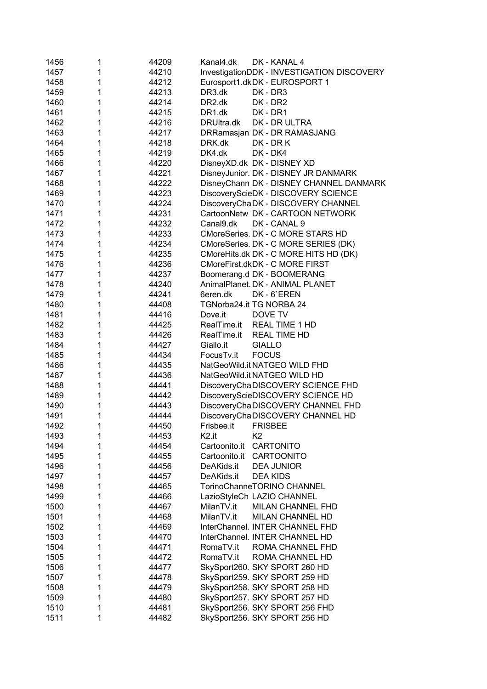| 1456 | 1 | 44209 | Kanal4.dk<br>DK - KANAL 4                  |
|------|---|-------|--------------------------------------------|
| 1457 | 1 | 44210 | InvestigationDDK - INVESTIGATION DISCOVERY |
| 1458 | 1 | 44212 | Eurosport1.dkDK - EUROSPORT 1              |
| 1459 | 1 | 44213 | DR3.dk<br>DK - DR3                         |
| 1460 | 1 | 44214 | DR2.dk<br>DK - DR2                         |
| 1461 | 1 | 44215 | DR <sub>1.dk</sub><br>DK - DR1             |
| 1462 | 1 | 44216 | DRUItra.dk<br>DK - DR ULTRA                |
| 1463 | 1 | 44217 | DRRamasjan DK - DR RAMASJANG               |
| 1464 | 1 | 44218 | DRK.dk<br>DK - DR K                        |
| 1465 | 1 | 44219 | DK4.dk<br>DK - DK4                         |
| 1466 | 1 | 44220 | DisneyXD.dk DK - DISNEY XD                 |
| 1467 | 1 | 44221 | DisneyJunior. DK - DISNEY JR DANMARK       |
| 1468 | 1 | 44222 | DisneyChann DK - DISNEY CHANNEL DANMARK    |
| 1469 | 1 | 44223 | DiscoveryScieDK - DISCOVERY SCIENCE        |
| 1470 | 1 | 44224 | DiscoveryChaDK - DISCOVERY CHANNEL         |
| 1471 | 1 | 44231 | CartoonNetw DK - CARTOON NETWORK           |
| 1472 | 1 | 44232 | Canal9.dk<br>DK - CANAL 9                  |
| 1473 | 1 | 44233 | CMoreSeries. DK - C MORE STARS HD          |
| 1474 | 1 | 44234 | CMoreSeries. DK - C MORE SERIES (DK)       |
| 1475 | 1 | 44235 | CMoreHits.dk DK - C MORE HITS HD (DK)      |
| 1476 | 1 | 44236 | CMoreFirst.dkDK - C MORE FIRST             |
| 1477 | 1 | 44237 | Boomerang.d DK - BOOMERANG                 |
| 1478 | 1 | 44240 | AnimalPlanet. DK - ANIMAL PLANET           |
|      |   |       |                                            |
| 1479 | 1 | 44241 | 6eren.dk<br>DK-6'EREN                      |
| 1480 | 1 | 44408 | TGNorba24.it TG NORBA 24                   |
| 1481 | 1 | 44416 | Dove.it<br>DOVE TV                         |
| 1482 | 1 | 44425 | RealTime.it REAL TIME 1 HD                 |
| 1483 | 1 | 44426 | RealTime.it REAL TIME HD                   |
| 1484 | 1 | 44427 | Giallo.it<br><b>GIALLO</b>                 |
| 1485 | 1 | 44434 | FocusTv.it<br><b>FOCUS</b>                 |
| 1486 | 1 | 44435 | NatGeoWild.it NATGEO WILD FHD              |
| 1487 | 1 | 44436 | NatGeoWild.it NATGEO WILD HD               |
| 1488 | 1 | 44441 | DiscoveryChaDISCOVERY SCIENCE FHD          |
| 1489 | 1 | 44442 | DiscoveryScieDISCOVERY SCIENCE HD          |
| 1490 | 1 | 44443 | DiscoveryChaDISCOVERY CHANNEL FHD          |
| 1491 | 1 | 44444 | DiscoveryChaDISCOVERY CHANNEL HD           |
| 1492 | 1 | 44450 | Frisbee.it FRISBEE                         |
| 1493 | 1 | 44453 | K <sub>2.it</sub><br>K <sub>2</sub>        |
| 1494 | 1 | 44454 | Cartoonito.it<br>CARTONITO                 |
| 1495 | 1 | 44455 | Cartoonito.it<br>CARTOONITO                |
| 1496 | 1 | 44456 | DeAKids.it<br><b>DEA JUNIOR</b>            |
| 1497 | 1 | 44457 | DeAKids.it<br><b>DEA KIDS</b>              |
| 1498 | 1 | 44465 | TorinoChanneTORINO CHANNEL                 |
| 1499 | 1 | 44466 | LazioStyleCh LAZIO CHANNEL                 |
| 1500 | 1 | 44467 | MilanTV.it<br>MILAN CHANNEL FHD            |
| 1501 | 1 | 44468 | MilanTV.it<br>MILAN CHANNEL HD             |
| 1502 | 1 | 44469 | InterChannel. INTER CHANNEL FHD            |
| 1503 | 1 | 44470 | InterChannel. INTER CHANNEL HD             |
| 1504 | 1 | 44471 | RomaTV.it<br>ROMA CHANNEL FHD              |
| 1505 | 1 | 44472 | RomaTV.it<br>ROMA CHANNEL HD               |
| 1506 | 1 | 44477 | SkySport260. SKY SPORT 260 HD              |
| 1507 | 1 | 44478 | SkySport259. SKY SPORT 259 HD              |
| 1508 | 1 | 44479 | SkySport258. SKY SPORT 258 HD              |
| 1509 | 1 | 44480 | SkySport257. SKY SPORT 257 HD              |
| 1510 | 1 | 44481 | SkySport256. SKY SPORT 256 FHD             |
| 1511 | 1 | 44482 | SkySport256. SKY SPORT 256 HD              |
|      |   |       |                                            |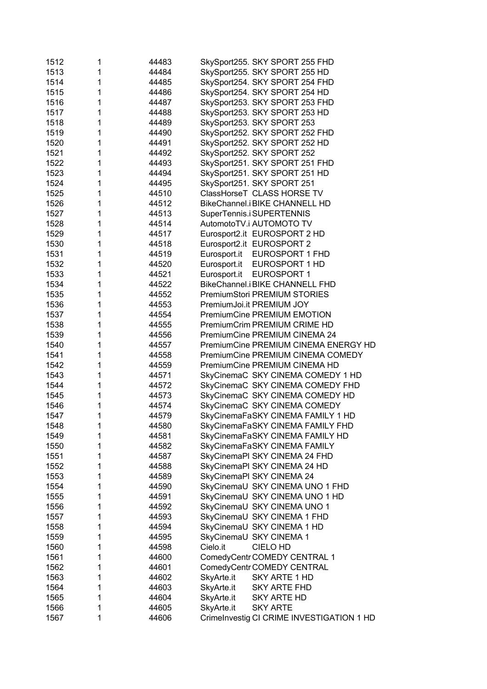| 1512 | 1 | 44483 | SkySport255. SKY SPORT 255 FHD            |
|------|---|-------|-------------------------------------------|
| 1513 | 1 | 44484 | SkySport255. SKY SPORT 255 HD             |
| 1514 | 1 | 44485 | SkySport254. SKY SPORT 254 FHD            |
| 1515 | 1 | 44486 | SkySport254. SKY SPORT 254 HD             |
| 1516 | 1 | 44487 | SkySport253. SKY SPORT 253 FHD            |
| 1517 | 1 | 44488 | SkySport253. SKY SPORT 253 HD             |
| 1518 | 1 | 44489 | SkySport253. SKY SPORT 253                |
| 1519 | 1 | 44490 | SkySport252. SKY SPORT 252 FHD            |
| 1520 | 1 | 44491 | SkySport252. SKY SPORT 252 HD             |
| 1521 | 1 | 44492 | SkySport252. SKY SPORT 252                |
| 1522 | 1 | 44493 | SkySport251. SKY SPORT 251 FHD            |
| 1523 | 1 | 44494 | SkySport251. SKY SPORT 251 HD             |
| 1524 | 1 | 44495 | SkySport251. SKY SPORT 251                |
| 1525 | 1 | 44510 | ClassHorseT CLASS HORSE TV                |
| 1526 | 1 | 44512 | BikeChannel.i BIKE CHANNELL HD            |
| 1527 | 1 | 44513 | SuperTennis.i SUPERTENNIS                 |
| 1528 | 1 | 44514 | AutomotoTV.i AUTOMOTO TV                  |
| 1529 | 1 | 44517 | Eurosport2.it EUROSPORT 2 HD              |
| 1530 | 1 | 44518 | Eurosport2.it EUROSPORT 2                 |
| 1531 | 1 | 44519 | Eurosport.it<br>EUROSPORT 1 FHD           |
| 1532 | 1 | 44520 | Eurosport.it<br>EUROSPORT 1 HD            |
| 1533 | 1 | 44521 | Eurosport.it<br><b>EUROSPORT 1</b>        |
| 1534 | 1 | 44522 | BikeChannel.i BIKE CHANNELL FHD           |
| 1535 | 1 | 44552 | PremiumStori PREMIUM STORIES              |
| 1536 | 1 | 44553 | PremiumJoi.it PREMIUM JOY                 |
| 1537 | 1 | 44554 | PremiumCine PREMIUM EMOTION               |
| 1538 | 1 | 44555 | PremiumCrim PREMIUM CRIME HD              |
| 1539 | 1 | 44556 | PremiumCine PREMIUM CINEMA 24             |
| 1540 | 1 | 44557 | PremiumCine PREMIUM CINEMA ENERGY HD      |
| 1541 | 1 | 44558 | PremiumCine PREMIUM CINEMA COMEDY         |
| 1542 | 1 | 44559 | PremiumCine PREMIUM CINEMA HD             |
| 1543 | 1 | 44571 | SkyCinemaC SKY CINEMA COMEDY 1 HD         |
| 1544 | 1 | 44572 | SkyCinemaC SKY CINEMA COMEDY FHD          |
| 1545 | 1 | 44573 | SkyCinemaC SKY CINEMA COMEDY HD           |
| 1546 | 1 | 44574 | SkyCinemaC SKY CINEMA COMEDY              |
| 1547 | 1 | 44579 | SkyCinemaFaSKY CINEMA FAMILY 1 HD         |
| 1548 | 1 | 44580 | SkyCinemaFaSKY CINEMA FAMILY FHD          |
| 1549 | 1 | 44581 | SkyCinemaFaSKY CINEMA FAMILY HD           |
| 1550 | 1 | 44582 | SkyCinemaFaSKY CINEMA FAMILY              |
| 1551 | 1 | 44587 | SkyCinemaPI SKY CINEMA 24 FHD             |
| 1552 | 1 | 44588 | SkyCinemaPI SKY CINEMA 24 HD              |
| 1553 | 1 | 44589 | SkyCinemaPI SKY CINEMA 24                 |
| 1554 | 1 | 44590 | SkyCinemaU SKY CINEMA UNO 1 FHD           |
| 1555 | 1 | 44591 | SkyCinemaU SKY CINEMA UNO 1 HD            |
| 1556 | 1 | 44592 | SkyCinemaU SKY CINEMA UNO 1               |
| 1557 | 1 | 44593 | SkyCinemaU SKY CINEMA 1 FHD               |
| 1558 | 1 | 44594 | SkyCinemaU SKY CINEMA 1 HD                |
| 1559 | 1 | 44595 | SkyCinemaU SKY CINEMA 1                   |
| 1560 | 1 | 44598 | Cielo.it<br>CIELO HD                      |
| 1561 | 1 | 44600 | ComedyCentr COMEDY CENTRAL 1              |
| 1562 | 1 | 44601 | ComedyCentr COMEDY CENTRAL                |
| 1563 | 1 | 44602 | SkyArte.it<br>SKY ARTE 1 HD               |
| 1564 | 1 | 44603 | SkyArte.it<br><b>SKY ARTE FHD</b>         |
| 1565 | 1 | 44604 | SkyArte.it<br><b>SKY ARTE HD</b>          |
| 1566 | 1 | 44605 | SkyArte.it<br><b>SKY ARTE</b>             |
| 1567 | 1 | 44606 | CrimeInvestig CI CRIME INVESTIGATION 1 HD |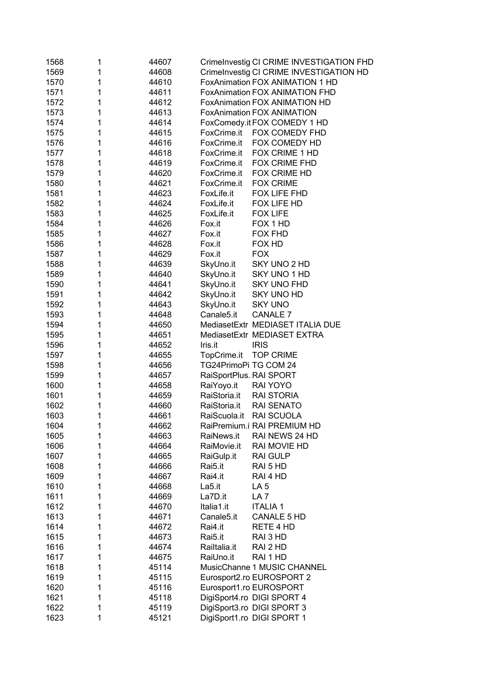| 1568 | 1 | 44607 | CrimeInvestig CI CRIME INVESTIGATION FHD |
|------|---|-------|------------------------------------------|
| 1569 | 1 | 44608 | CrimeInvestig CI CRIME INVESTIGATION HD  |
| 1570 | 1 | 44610 | FoxAnimation FOX ANIMATION 1 HD          |
| 1571 | 1 | 44611 | FoxAnimation FOX ANIMATION FHD           |
| 1572 | 1 | 44612 | FoxAnimation FOX ANIMATION HD            |
| 1573 | 1 | 44613 | <b>FoxAnimation FOX ANIMATION</b>        |
| 1574 | 1 | 44614 | FoxComedy.it FOX COMEDY 1 HD             |
| 1575 | 1 | 44615 | FoxCrime.it<br>FOX COMEDY FHD            |
| 1576 | 1 | 44616 | FoxCrime.it<br>FOX COMEDY HD             |
| 1577 | 1 | 44618 | FoxCrime.it<br>FOX CRIME 1 HD            |
| 1578 | 1 | 44619 | FoxCrime.it<br>FOX CRIME FHD             |
| 1579 | 1 | 44620 | FOX CRIME HD<br>FoxCrime.it              |
| 1580 | 1 | 44621 | <b>FOX CRIME</b><br>FoxCrime.it          |
| 1581 | 1 | 44623 | FOX LIFE FHD<br>FoxLife.it               |
| 1582 | 1 | 44624 | FoxLife.it<br>FOX LIFE HD                |
| 1583 | 1 | 44625 | FoxLife.it<br><b>FOX LIFE</b>            |
| 1584 | 1 | 44626 | Fox.it<br>FOX 1 HD                       |
| 1585 | 1 | 44627 | Fox.it<br><b>FOX FHD</b>                 |
| 1586 | 1 | 44628 | Fox.it<br>FOX HD                         |
| 1587 | 1 | 44629 | Fox.it<br><b>FOX</b>                     |
| 1588 | 1 | 44639 | SkyUno.it<br>SKY UNO 2 HD                |
| 1589 | 1 | 44640 | SkyUno.it<br>SKY UNO 1 HD                |
| 1590 | 1 | 44641 | SkyUno.it<br><b>SKY UNO FHD</b>          |
| 1591 | 1 | 44642 | SkyUno.it<br><b>SKY UNO HD</b>           |
| 1592 | 1 | 44643 | SkyUno.it<br><b>SKY UNO</b>              |
| 1593 | 1 | 44648 | <b>CANALE 7</b><br>Canale5.it            |
| 1594 | 1 | 44650 | MediasetExtr MEDIASET ITALIA DUE         |
| 1595 | 1 | 44651 | MediasetExtr MEDIASET EXTRA              |
| 1596 | 1 | 44652 | Iris.it<br><b>IRIS</b>                   |
| 1597 | 1 | 44655 | <b>TOP CRIME</b><br>TopCrime.it          |
| 1598 | 1 | 44656 | TG24PrimoPi TG COM 24                    |
| 1599 | 1 | 44657 | RaiSportPlus. RAI SPORT                  |
| 1600 | 1 | 44658 | RaiYoyo.it<br>RAI YOYO                   |
| 1601 | 1 | 44659 | RaiStoria.it<br><b>RAI STORIA</b>        |
| 1602 | 1 | 44660 | <b>RAI SENATO</b><br>RaiStoria.it        |
| 1603 | 1 | 44661 | RAI SCUOLA<br>RaiScuola.it               |
| 1604 |   | 44662 | RaiPremium.i RAI PREMIUM HD              |
| 1605 | 1 | 44663 | RaiNews.it<br>RAI NEWS 24 HD             |
| 1606 | 1 | 44664 | RaiMovie.it<br>RAI MOVIE HD              |
| 1607 | 1 | 44665 | RaiGulp.it<br><b>RAI GULP</b>            |
| 1608 | 1 | 44666 | Rai5.it<br>RAI 5 HD                      |
| 1609 | 1 | 44667 | Rai4.it<br>RAI 4 HD                      |
| 1610 | 1 | 44668 | La5.it<br>LA <sub>5</sub>                |
| 1611 | 1 | 44669 | La7D.it<br>LA <sub>7</sub>               |
| 1612 | 1 | 44670 | <b>ITALIA1</b><br>Italia1.it             |
| 1613 | 1 | 44671 | Canale5.it<br>CANALE 5 HD                |
| 1614 | 1 | 44672 | Rai4.it<br>RETE 4 HD                     |
| 1615 | 1 | 44673 | RAI 3 HD<br>Rai5.it                      |
| 1616 | 1 | 44674 | Railtalia.it<br>RAI 2 HD                 |
| 1617 | 1 | 44675 | RaiUno.it<br>RAI 1 HD                    |
| 1618 | 1 | 45114 | MusicChanne 1 MUSIC CHANNEL              |
| 1619 | 1 | 45115 | Eurosport2.ro EUROSPORT 2                |
| 1620 | 1 | 45116 | Eurosport1.ro EUROSPORT                  |
| 1621 | 1 | 45118 | DigiSport4.ro DIGI SPORT 4               |
| 1622 | 1 | 45119 | DigiSport3.ro DIGI SPORT 3               |
| 1623 | 1 | 45121 | DigiSport1.ro DIGI SPORT 1               |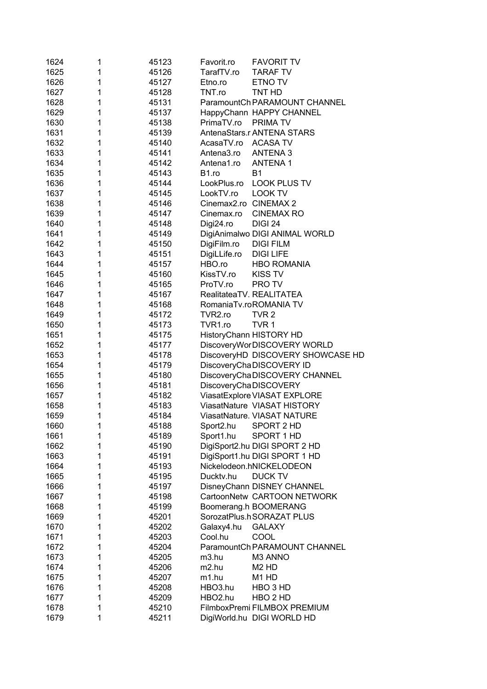| 1624 | 1 | 45123 | Favorit.ro               | <b>FAVORIT TV</b>                 |
|------|---|-------|--------------------------|-----------------------------------|
| 1625 | 1 | 45126 | TarafTV.ro               | <b>TARAF TV</b>                   |
| 1626 | 1 | 45127 | Etno.ro                  | ETNO TV                           |
| 1627 | 1 | 45128 | TNT.ro                   | TNT HD                            |
| 1628 | 1 | 45131 |                          | ParamountCh PARAMOUNT CHANNEL     |
| 1629 | 1 | 45137 |                          | HappyChann HAPPY CHANNEL          |
| 1630 | 1 | 45138 | PrimaTV.ro               | PRIMA TV                          |
| 1631 | 1 | 45139 |                          | AntenaStars.r ANTENA STARS        |
| 1632 | 1 | 45140 | AcasaTV.ro               | <b>ACASA TV</b>                   |
| 1633 | 1 | 45141 | Antena3.ro               | <b>ANTENA3</b>                    |
| 1634 | 1 | 45142 | Antena1.ro               | <b>ANTENA1</b>                    |
| 1635 | 1 | 45143 | B1.ro<br>B <sub>1</sub>  |                                   |
| 1636 | 1 | 45144 | LookPlus.ro              | <b>LOOK PLUS TV</b>               |
| 1637 | 1 | 45145 | LookTV.ro                | <b>LOOK TV</b>                    |
| 1638 | 1 | 45146 | Cinemax2.ro CINEMAX 2    |                                   |
| 1639 | 1 | 45147 | Cinemax.ro               | <b>CINEMAX RO</b>                 |
| 1640 | 1 | 45148 | Digi24.ro                | <b>DIGI 24</b>                    |
| 1641 | 1 | 45149 |                          | DigiAnimalwo DIGI ANIMAL WORLD    |
| 1642 | 1 | 45150 | DigiFilm.ro              | <b>DIGI FILM</b>                  |
| 1643 | 1 | 45151 | DigiLLife.ro             | <b>DIGI LIFE</b>                  |
| 1644 | 1 | 45157 | HBO.ro                   | <b>HBO ROMANIA</b>                |
| 1645 | 1 | 45160 | KissTV.ro                | <b>KISS TV</b>                    |
| 1646 | 1 | 45165 | ProTV.ro                 | PRO TV                            |
| 1647 | 1 | 45167 | RealitateaTV. REALITATEA |                                   |
| 1648 | 1 | 45168 | RomaniaTv.roROMANIA TV   |                                   |
| 1649 | 1 | 45172 | TVR2.ro                  | TVR <sub>2</sub>                  |
| 1650 | 1 | 45173 | TVR1.ro                  | TVR <sub>1</sub>                  |
| 1651 | 1 | 45175 | HistoryChann HISTORY HD  |                                   |
| 1652 | 1 | 45177 |                          | DiscoveryWorDISCOVERY WORLD       |
| 1653 | 1 | 45178 |                          | DiscoveryHD DISCOVERY SHOWCASE HD |
| 1654 | 1 | 45179 | DiscoveryChaDISCOVERY ID |                                   |
| 1655 | 1 | 45180 |                          | DiscoveryChaDISCOVERY CHANNEL     |
| 1656 | 1 | 45181 | DiscoveryChaDISCOVERY    |                                   |
| 1657 | 1 | 45182 |                          | ViasatExplore VIASAT EXPLORE      |
| 1658 | 1 | 45183 |                          | ViasatNature VIASAT HISTORY       |
| 1659 | 1 | 45184 |                          | ViasatNature. VIASAT NATURE       |
| 1660 |   | 45188 | Sport2.hu SPORT 2 HD     |                                   |
| 1661 | 1 | 45189 | Sport1.hu                | SPORT 1 HD                        |
| 1662 | 1 | 45190 |                          | DigiSport2.hu DIGI SPORT 2 HD     |
| 1663 | 1 | 45191 |                          | DigiSport1.hu DIGI SPORT 1 HD     |
| 1664 | 1 | 45193 | Nickelodeon.hNICKELODEON |                                   |
| 1665 | 1 | 45195 | Duckty.hu                | <b>DUCK TV</b>                    |
| 1666 | 1 | 45197 |                          | DisneyChann DISNEY CHANNEL        |
| 1667 | 1 | 45198 |                          | CartoonNetw CARTOON NETWORK       |
| 1668 | 1 | 45199 | Boomerang.h BOOMERANG    |                                   |
| 1669 | 1 | 45201 |                          | SorozatPlus.hSORAZAT PLUS         |
| 1670 | 1 | 45202 | Galaxy4.hu               | <b>GALAXY</b>                     |
| 1671 | 1 | 45203 | Cool.hu                  | COOL                              |
| 1672 | 1 | 45204 |                          | ParamountCh PARAMOUNT CHANNEL     |
| 1673 | 1 | 45205 | m3.hu                    | M3 ANNO                           |
| 1674 | 1 | 45206 | m <sub>2</sub> .hu       | M <sub>2</sub> H <sub>D</sub>     |
| 1675 | 1 | 45207 | m1.hu                    | M <sub>1</sub> H <sub>D</sub>     |
| 1676 | 1 | 45208 | HBO3.hu                  | HBO 3 HD                          |
| 1677 | 1 | 45209 | HBO <sub>2.hu</sub>      | HBO 2 HD                          |
| 1678 | 1 | 45210 |                          | FilmboxPremi FILMBOX PREMIUM      |
| 1679 | 1 | 45211 |                          | DigiWorld.hu DIGI WORLD HD        |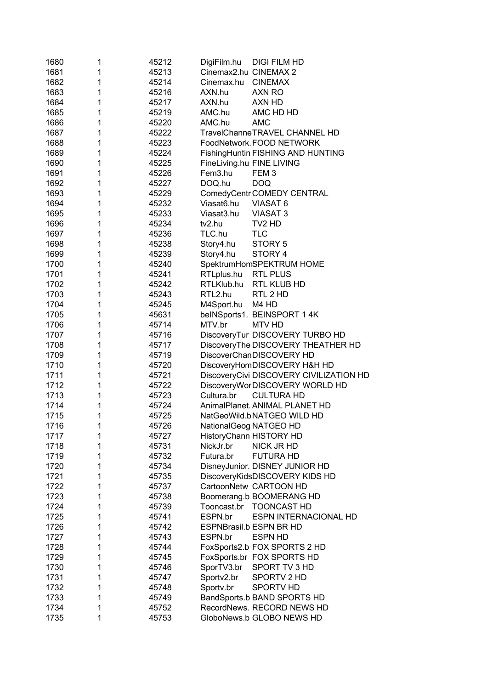| 1680 | 1 | 45212 | DigiFilm.hu               | <b>DIGI FILM HD</b>                     |
|------|---|-------|---------------------------|-----------------------------------------|
| 1681 | 1 | 45213 | Cinemax2.hu CINEMAX 2     |                                         |
| 1682 | 1 | 45214 | Cinemax.hu                | <b>CINEMAX</b>                          |
| 1683 | 1 | 45216 | AXN.hu                    | AXN RO                                  |
| 1684 | 1 | 45217 | AXN.hu                    | AXN HD                                  |
| 1685 | 1 | 45219 | AMC.hu                    | AMC HD HD                               |
| 1686 | 1 | 45220 | AMC.hu                    | <b>AMC</b>                              |
| 1687 | 1 | 45222 |                           | TravelChanneTRAVEL CHANNEL HD           |
| 1688 | 1 | 45223 |                           | FoodNetwork. FOOD NETWORK               |
| 1689 | 1 | 45224 |                           | FishingHuntin FISHING AND HUNTING       |
| 1690 | 1 | 45225 | FineLiving.hu FINE LIVING |                                         |
| 1691 | 1 | 45226 | Fem3.hu                   | FEM <sub>3</sub>                        |
| 1692 | 1 | 45227 | DOQ.hu                    | <b>DOQ</b>                              |
| 1693 | 1 | 45229 |                           | ComedyCentr COMEDY CENTRAL              |
| 1694 | 1 | 45232 | Viasat6.hu                | VIASAT <sub>6</sub>                     |
| 1695 | 1 | 45233 | Viasat3.hu                | <b>VIASAT3</b>                          |
| 1696 | 1 | 45234 | tv2.hu                    | TV <sub>2</sub> HD                      |
| 1697 | 1 | 45236 | TLC.hu                    | <b>TLC</b>                              |
| 1698 | 1 | 45238 | Story4.hu                 | STORY 5                                 |
| 1699 | 1 | 45239 | Story4.hu                 | STORY 4                                 |
| 1700 | 1 | 45240 |                           | SpektrumHomSPEKTRUM HOME                |
| 1701 | 1 | 45241 | RTLplus.hu                | <b>RTL PLUS</b>                         |
| 1702 | 1 | 45242 | RTLKlub.hu                | RTL KLUB HD                             |
| 1703 | 1 | 45243 | RTL2.hu                   | RTL 2 HD                                |
| 1704 | 1 | 45245 | M4Sport.hu                | M4 HD                                   |
| 1705 | 1 | 45631 |                           | belNSports1. BEINSPORT 1 4K             |
| 1706 | 1 | 45714 | MTV.br                    | <b>MTV HD</b>                           |
| 1707 | 1 | 45716 |                           | DiscoveryTur DISCOVERY TURBO HD         |
| 1708 | 1 | 45717 |                           | DiscoveryThe DISCOVERY THEATHER HD      |
| 1709 | 1 | 45719 |                           | DiscoverChanDISCOVERY HD                |
| 1710 | 1 | 45720 |                           | DiscoveryHomDISCOVERY H&H HD            |
| 1711 | 1 | 45721 |                           | DiscoveryCivi DISCOVERY CIVILIZATION HD |
| 1712 | 1 | 45722 |                           | DiscoveryWorDISCOVERY WORLD HD          |
| 1713 | 1 | 45723 | Cultura.br                | <b>CULTURA HD</b>                       |
| 1714 | 1 | 45724 |                           | AnimalPlanet. ANIMAL PLANET HD          |
| 1715 | 1 | 45725 |                           | NatGeoWild.bNATGEO WILD HD              |
| 1716 | 1 | 45726 | NationalGeog NATGEO HD    |                                         |
| 1717 | 1 | 45727 |                           | HistoryChann HISTORY HD                 |
| 1718 | 1 | 45731 | NickJr.br                 | <b>NICK JR HD</b>                       |
| 1719 | 1 | 45732 | Futura.br                 | <b>FUTURA HD</b>                        |
| 1720 | 1 | 45734 |                           | DisneyJunior. DISNEY JUNIOR HD          |
| 1721 | 1 | 45735 |                           | DiscoveryKidsDISCOVERY KIDS HD          |
| 1722 | 1 | 45737 |                           | CartoonNetw CARTOON HD                  |
| 1723 | 1 | 45738 |                           | Boomerang.b BOOMERANG HD                |
| 1724 | 1 | 45739 | Tooncast.br               | <b>TOONCAST HD</b>                      |
| 1725 | 1 | 45741 | ESPN.br                   | <b>ESPN INTERNACIONAL HD</b>            |
| 1726 | 1 | 45742 |                           | ESPNBrasil.b ESPN BR HD                 |
| 1727 | 1 | 45743 | ESPN.br                   | <b>ESPN HD</b>                          |
| 1728 | 1 | 45744 |                           | FoxSports2.b FOX SPORTS 2 HD            |
| 1729 | 1 | 45745 |                           | FoxSports.br FOX SPORTS HD              |
| 1730 | 1 | 45746 | SporTV3.br                | SPORT TV 3 HD                           |
| 1731 | 1 | 45747 | Sportv2.br                | SPORTV 2 HD                             |
| 1732 | 1 | 45748 | Sportv.br                 | <b>SPORTV HD</b>                        |
| 1733 | 1 | 45749 |                           | BandSports.b BAND SPORTS HD             |
| 1734 | 1 | 45752 |                           | RecordNews. RECORD NEWS HD              |
| 1735 | 1 | 45753 |                           | GloboNews.b GLOBO NEWS HD               |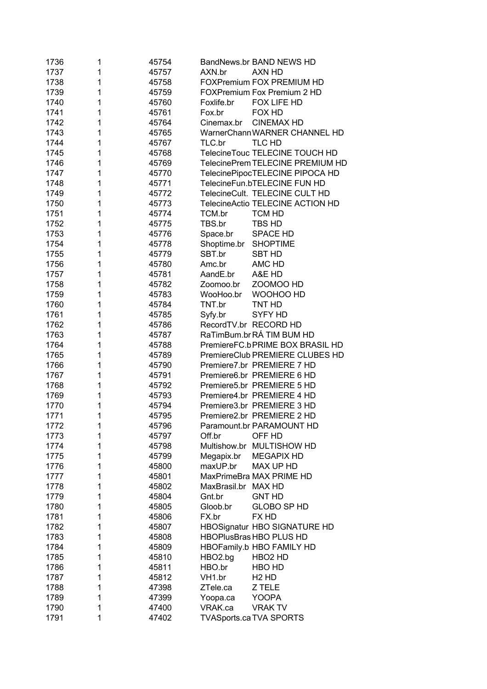| 1736 | 1 | 45754 | BandNews.br BAND NEWS HD                |
|------|---|-------|-----------------------------------------|
| 1737 | 1 | 45757 | AXN HD<br>AXN.br                        |
| 1738 | 1 | 45758 | <b>FOXPremium FOX PREMIUM HD</b>        |
| 1739 | 1 | 45759 | FOXPremium Fox Premium 2 HD             |
| 1740 | 1 | 45760 | Foxlife.br<br>FOX LIFE HD               |
| 1741 | 1 | 45761 | Fox.br<br>FOX HD                        |
| 1742 | 1 | 45764 | Cinemax.br CINEMAX HD                   |
| 1743 | 1 | 45765 | WarnerChann WARNER CHANNEL HD           |
| 1744 | 1 | 45767 | TLC HD<br>TLC.br                        |
| 1745 | 1 | 45768 | TelecineTouc TELECINE TOUCH HD          |
| 1746 | 1 | 45769 | TelecinePrem TELECINE PREMIUM HD        |
| 1747 | 1 | 45770 | TelecinePipocTELECINE PIPOCA HD         |
| 1748 | 1 | 45771 | TelecineFun.bTELECINE FUN HD            |
| 1749 | 1 | 45772 | TelecineCult. TELECINE CULT HD          |
| 1750 | 1 | 45773 | TelecineActio TELECINE ACTION HD        |
| 1751 | 1 | 45774 | <b>TCM HD</b><br>TCM.br                 |
| 1752 | 1 | 45775 | TBS.br<br>TBS HD                        |
| 1753 | 1 | 45776 | Space.br<br><b>SPACE HD</b>             |
| 1754 | 1 | 45778 | Shoptime.br<br><b>SHOPTIME</b>          |
| 1755 | 1 | 45779 | SBT.br<br><b>SBT HD</b>                 |
| 1756 | 1 | 45780 | Amc.br<br>AMC HD                        |
| 1757 | 1 | 45781 | AandE.br<br>A&E HD                      |
| 1758 | 1 | 45782 | ZOOMOO HD<br>Zoomoo.br                  |
| 1759 | 1 | 45783 | WOOHOO HD<br>WooHoo.br                  |
| 1760 | 1 | 45784 | TNT.br<br>TNT HD                        |
| 1761 | 1 | 45785 | Syfy.br<br>SYFY HD                      |
| 1762 | 1 | 45786 | RecordTV.br RECORD HD                   |
| 1763 | 1 | 45787 | RaTimBum.brRÁ TIM BUM HD                |
| 1764 | 1 | 45788 | PremiereFC.bPRIME BOX BRASIL HD         |
| 1765 | 1 | 45789 | PremiereClub PREMIERE CLUBES HD         |
| 1766 | 1 | 45790 | Premiere7.br PREMIERE 7 HD              |
| 1767 | 1 | 45791 | Premiere6.br PREMIERE 6 HD              |
| 1768 | 1 | 45792 | Premiere5.br PREMIERE 5 HD              |
| 1769 | 1 | 45793 | Premiere4.br PREMIERE 4 HD              |
| 1770 | 1 | 45794 | Premiere3.br PREMIERE 3 HD              |
| 1771 | 1 | 45795 | Premiere2.br PREMIERE 2 HD              |
| 1772 | 1 | 45796 | Paramount.br PARAMOUNT HD               |
| 1773 | 1 | 45797 | Off.br<br>OFF HD                        |
| 1774 | 1 | 45798 | Multishow.br MULTISHOW HD               |
| 1775 | 1 | 45799 | <b>MEGAPIX HD</b><br>Megapix.br         |
| 1776 | 1 | 45800 | MAX UP HD<br>maxUP.br                   |
| 1777 | 1 | 45801 | MaxPrimeBra MAX PRIME HD                |
| 1778 | 1 | 45802 | MaxBrasil.br MAX HD                     |
| 1779 | 1 | 45804 | <b>GNT HD</b><br>Gnt.br                 |
| 1780 | 1 | 45805 | <b>GLOBO SP HD</b><br>Gloob.br          |
| 1781 | 1 | 45806 | FX.br<br>FX HD                          |
| 1782 | 1 | 45807 | HBOSignatur HBO SIGNATURE HD            |
| 1783 | 1 | 45808 | HBOPlusBras HBO PLUS HD                 |
| 1784 | 1 | 45809 | HBOFamily.b HBO FAMILY HD               |
| 1785 | 1 | 45810 | HBO2.bg<br>HBO <sub>2</sub> HD          |
| 1786 | 1 | 45811 | HBO.br<br>HBO HD                        |
| 1787 | 1 | 45812 | VH1.br<br>H <sub>2</sub> H <sub>D</sub> |
| 1788 | 1 | 47398 | ZTele.ca<br>Z TELE                      |
| 1789 | 1 | 47399 | <b>YOOPA</b><br>Yoopa.ca                |
| 1790 | 1 | 47400 | VRAK.ca<br><b>VRAK TV</b>               |
| 1791 | 1 | 47402 | <b>TVASports.ca TVA SPORTS</b>          |
|      |   |       |                                         |